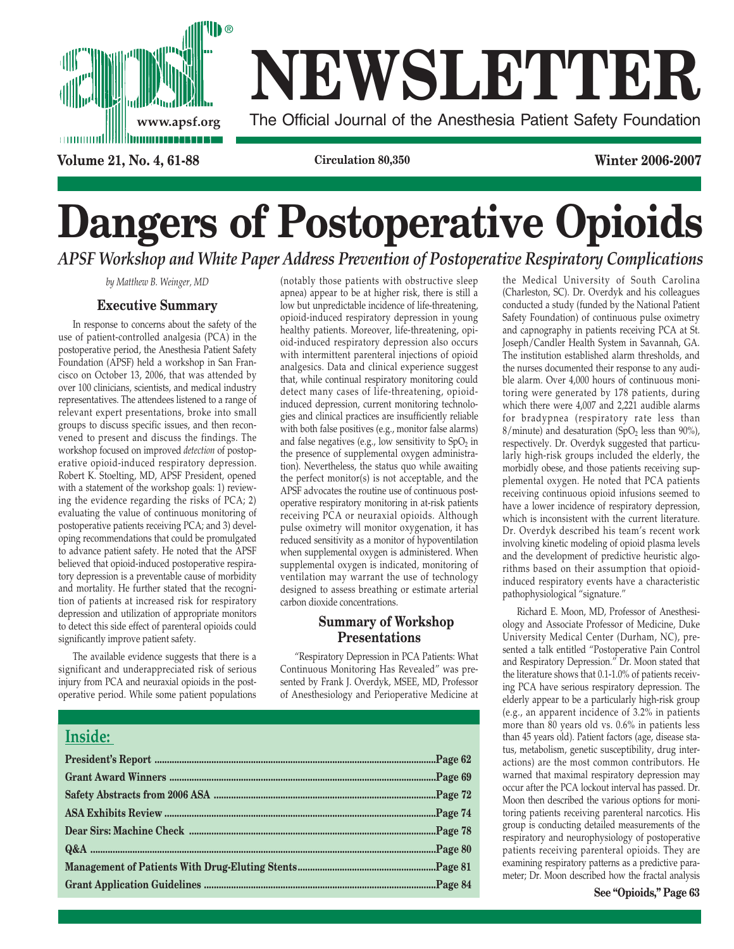

# **NEWSLETTER**

**www.apsf.org** The Official Journal of the Anesthesia Patient Safety Foundation

**Volume 21, No. 4, 61-88 Circulation 80,350 Winter 2006-2007**

## **Dangers of Postoperative Opioids** *APSF Workshop and White Paper Address Prevention of Postoperative Respiratory Complications*

*by Matthew B. Weinger, MD*

## **Executive Summary**

In response to concerns about the safety of the use of patient-controlled analgesia (PCA) in the postoperative period, the Anesthesia Patient Safety Foundation (APSF) held a workshop in San Francisco on October 13, 2006, that was attended by over 100 clinicians, scientists, and medical industry representatives. The attendees listened to a range of relevant expert presentations, broke into small groups to discuss specific issues, and then reconvened to present and discuss the findings. The workshop focused on improved *detection* of postoperative opioid-induced respiratory depression. Robert K. Stoelting, MD, APSF President, opened with a statement of the workshop goals: 1) reviewing the evidence regarding the risks of PCA; 2) evaluating the value of continuous monitoring of postoperative patients receiving PCA; and 3) developing recommendations that could be promulgated to advance patient safety. He noted that the APSF believed that opioid-induced postoperative respiratory depression is a preventable cause of morbidity and mortality. He further stated that the recognition of patients at increased risk for respiratory depression and utilization of appropriate monitors to detect this side effect of parenteral opioids could significantly improve patient safety.

The available evidence suggests that there is a significant and underappreciated risk of serious injury from PCA and neuraxial opioids in the postoperative period. While some patient populations

**Inside:** 

(notably those patients with obstructive sleep apnea) appear to be at higher risk, there is still a low but unpredictable incidence of life-threatening, opioid-induced respiratory depression in young healthy patients. Moreover, life-threatening, opioid-induced respiratory depression also occurs with intermittent parenteral injections of opioid analgesics. Data and clinical experience suggest that, while continual respiratory monitoring could detect many cases of life-threatening, opioidinduced depression, current monitoring technologies and clinical practices are insufficiently reliable with both false positives (e.g., monitor false alarms) and false negatives (e.g., low sensitivity to  $SpO<sub>2</sub>$  in the presence of supplemental oxygen administration). Nevertheless, the status quo while awaiting the perfect monitor(s) is not acceptable, and the APSF advocates the routine use of continuous postoperative respiratory monitoring in at-risk patients receiving PCA or neuraxial opioids. Although pulse oximetry will monitor oxygenation, it has reduced sensitivity as a monitor of hypoventilation when supplemental oxygen is administered. When supplemental oxygen is indicated, monitoring of ventilation may warrant the use of technology designed to assess breathing or estimate arterial carbon dioxide concentrations.

## **Summary of Workshop Presentations**

"Respiratory Depression in PCA Patients: What Continuous Monitoring Has Revealed" was presented by Frank J. Overdyk, MSEE, MD, Professor of Anesthesiology and Perioperative Medicine at

the Medical University of South Carolina (Charleston, SC). Dr. Overdyk and his colleagues conducted a study (funded by the National Patient Safety Foundation) of continuous pulse oximetry and capnography in patients receiving PCA at St. Joseph/Candler Health System in Savannah, GA. The institution established alarm thresholds, and the nurses documented their response to any audible alarm. Over 4,000 hours of continuous monitoring were generated by 178 patients, during which there were 4,007 and 2,221 audible alarms for bradypnea (respiratory rate less than  $8/m$ inute) and desaturation (SpO<sub>2</sub> less than 90%), respectively. Dr. Overdyk suggested that particularly high-risk groups included the elderly, the morbidly obese, and those patients receiving supplemental oxygen. He noted that PCA patients receiving continuous opioid infusions seemed to have a lower incidence of respiratory depression, which is inconsistent with the current literature. Dr. Overdyk described his team's recent work involving kinetic modeling of opioid plasma levels and the development of predictive heuristic algorithms based on their assumption that opioidinduced respiratory events have a characteristic pathophysiological "signature."

Richard E. Moon, MD, Professor of Anesthesiology and Associate Professor of Medicine, Duke University Medical Center (Durham, NC), presented a talk entitled "Postoperative Pain Control and Respiratory Depression." Dr. Moon stated that the literature shows that 0.1-1.0% of patients receiving PCA have serious respiratory depression. The elderly appear to be a particularly high-risk group (e.g., an apparent incidence of 3.2% in patients more than 80 years old vs. 0.6% in patients less than 45 years old). Patient factors (age, disease status, metabolism, genetic susceptibility, drug interactions) are the most common contributors. He warned that maximal respiratory depression may occur after the PCA lockout interval has passed. Dr. Moon then described the various options for monitoring patients receiving parenteral narcotics. His group is conducting detailed measurements of the respiratory and neurophysiology of postoperative patients receiving parenteral opioids. They are examining respiratory patterns as a predictive parameter; Dr. Moon described how the fractal analysis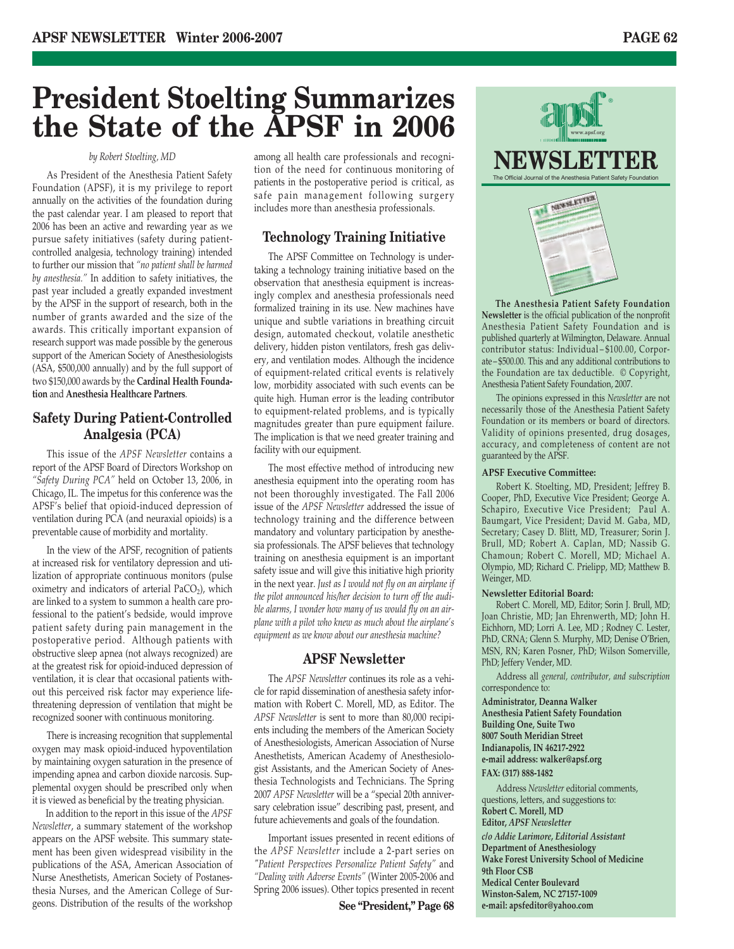## **President Stoelting Summarizes the State of the APSF in 2006**

## *by Robert Stoelting, MD*

As President of the Anesthesia Patient Safety Foundation (APSF), it is my privilege to report annually on the activities of the foundation during the past calendar year. I am pleased to report that 2006 has been an active and rewarding year as we pursue safety initiatives (safety during patientcontrolled analgesia, technology training) intended to further our mission that *"no patient shall be harmed by anesthesia."* In addition to safety initiatives, the past year included a greatly expanded investment by the APSF in the support of research, both in the number of grants awarded and the size of the awards. This critically important expansion of research support was made possible by the generous support of the American Society of Anesthesiologists (ASA, \$500,000 annually) and by the full support of two \$150,000 awards by the **Cardinal Health Foundation** and **Anesthesia Healthcare Partners**.

## **Safety During Patient-Controlled Analgesia (PCA)**

This issue of the *APSF Newsletter* contains a report of the APSF Board of Directors Workshop on *"Safety During PCA"* held on October 13, 2006, in Chicago, IL. The impetus for this conference was the APSF's belief that opioid-induced depression of ventilation during PCA (and neuraxial opioids) is a preventable cause of morbidity and mortality.

In the view of the APSF, recognition of patients at increased risk for ventilatory depression and utilization of appropriate continuous monitors (pulse oximetry and indicators of arterial  $PaCO<sub>2</sub>$ ), which are linked to a system to summon a health care professional to the patient's bedside, would improve patient safety during pain management in the postoperative period. Although patients with obstructive sleep apnea (not always recognized) are at the greatest risk for opioid-induced depression of ventilation, it is clear that occasional patients without this perceived risk factor may experience lifethreatening depression of ventilation that might be recognized sooner with continuous monitoring.

There is increasing recognition that supplemental oxygen may mask opioid-induced hypoventilation by maintaining oxygen saturation in the presence of impending apnea and carbon dioxide narcosis. Supplemental oxygen should be prescribed only when it is viewed as beneficial by the treating physician.

In addition to the report in this issue of the *APSF Newsletter*, a summary statement of the workshop appears on the APSF website. This summary statement has been given widespread visibility in the publications of the ASA, American Association of Nurse Anesthetists, American Society of Postanesthesia Nurses, and the American College of Surgeons. Distribution of the results of the workshop

among all health care professionals and recognition of the need for continuous monitoring of patients in the postoperative period is critical, as safe pain management following surgery includes more than anesthesia professionals.

## **Technology Training Initiative**

The APSF Committee on Technology is undertaking a technology training initiative based on the observation that anesthesia equipment is increasingly complex and anesthesia professionals need formalized training in its use. New machines have unique and subtle variations in breathing circuit design, automated checkout, volatile anesthetic delivery, hidden piston ventilators, fresh gas delivery, and ventilation modes. Although the incidence of equipment-related critical events is relatively low, morbidity associated with such events can be quite high. Human error is the leading contributor to equipment-related problems, and is typically magnitudes greater than pure equipment failure. The implication is that we need greater training and facility with our equipment.

The most effective method of introducing new anesthesia equipment into the operating room has not been thoroughly investigated. The Fall 2006 issue of the *APSF Newsletter* addressed the issue of technology training and the difference between mandatory and voluntary participation by anesthesia professionals. The APSF believes that technology training on anesthesia equipment is an important safety issue and will give this initiative high priority in the next year. *Just as I would not fly on an airplane if the pilot announced his/her decision to turn off the audible alarms, I wonder how many of us would fly on an airplane with a pilot who knew as much about the airplane's equipment as we know about our anesthesia machine?*

## **APSF Newsletter**

The *APSF Newsletter* continues its role as a vehicle for rapid dissemination of anesthesia safety information with Robert C. Morell, MD, as Editor. The *APSF Newsletter* is sent to more than 80,000 recipients including the members of the American Society of Anesthesiologists, American Association of Nurse Anesthetists, American Academy of Anesthesiologist Assistants, and the American Society of Anesthesia Technologists and Technicians. The Spring 2007 *APSF Newsletter* will be a "special 20th anniversary celebration issue" describing past, present, and future achievements and goals of the foundation.

Important issues presented in recent editions of the *APSF Newsletter* include a 2-part series on *"Patient Perspectives Personalize Patient Safety"* and *"Dealing with Adverse Events"* (Winter 2005-2006 and Spring 2006 issues). Other topics presented in recent

**See "President," Page 68**



**The Anesthesia Patient Safety Foundation Newsletter** is the official publication of the nonprofit Anesthesia Patient Safety Foundation and is published quarterly at Wilmington, Delaware. Annual contributor status: Individual – \$100.00, Corporate – \$500.00. This and any additional contributions to the Foundation are tax deductible. © Copyright, Anesthesia Patient Safety Foundation, 2007.

The opinions expressed in this *Newsletter* are not necessarily those of the Anesthesia Patient Safety Foundation or its members or board of directors. Validity of opinions presented, drug dosages, accuracy, and completeness of content are not guaranteed by the APSF.

### **APSF Executive Committee:**

Robert K. Stoelting, MD, President; Jeffrey B. Cooper, PhD, Executive Vice President; George A. Schapiro, Executive Vice President; Paul A. Baumgart, Vice President; David M. Gaba, MD, Secretary; Casey D. Blitt, MD, Treasurer; Sorin J. Brull, MD; Robert A. Caplan, MD; Nassib G. Chamoun; Robert C. Morell, MD; Michael A. Olympio, MD; Richard C. Prielipp, MD; Matthew B. Weinger, MD.

### **Newsletter Editorial Board:**

Robert C. Morell, MD, Editor; Sorin J. Brull, MD; Joan Christie, MD; Jan Ehrenwerth, MD; John H. Eichhorn, MD; Lorri A. Lee, MD ; Rodney C. Lester, PhD, CRNA; Glenn S. Murphy, MD; Denise O'Brien, MSN, RN; Karen Posner, PhD; Wilson Somerville, PhD; Jeffery Vender, MD.

Address all *general, contributor, and subscription* correspondence to:

- **Administrator, Deanna Walker**
- **Anesthesia Patient Safety Foundation Building One, Suite Two 8007 South Meridian Street Indianapolis, IN 46217-2922 e-mail address: walker@apsf.org**

## **FAX: (317) 888-1482**

Address *Newsletter* editorial comments, questions, letters, and suggestions to: **Robert C. Morell, MD Editor,** *APSF Newsletter*

*c/o Addie Larimore, Editorial Assistant* **Department of Anesthesiology Wake Forest University School of Medicine 9th Floor CSB Medical Center Boulevard Winston-Salem, NC 27157-1009 e-mail: apsfeditor@yahoo.com**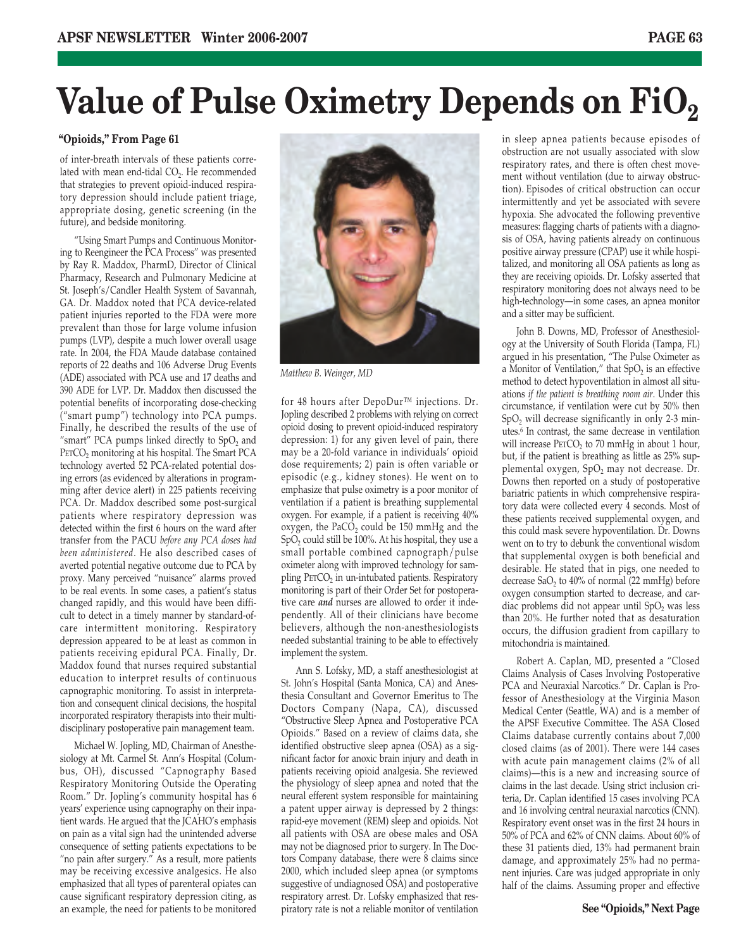## **Value of Pulse Oximetry Depends on FiO2**

## **"Opioids," From Page 61**

of inter-breath intervals of these patients correlated with mean end-tidal CO<sub>2</sub>. He recommended that strategies to prevent opioid-induced respiratory depression should include patient triage, appropriate dosing, genetic screening (in the future), and bedside monitoring.

"Using Smart Pumps and Continuous Monitoring to Reengineer the PCA Process" was presented by Ray R. Maddox, PharmD, Director of Clinical Pharmacy, Research and Pulmonary Medicine at St. Joseph's/Candler Health System of Savannah, GA. Dr. Maddox noted that PCA device-related patient injuries reported to the FDA were more prevalent than those for large volume infusion pumps (LVP), despite a much lower overall usage rate. In 2004, the FDA Maude database contained reports of 22 deaths and 106 Adverse Drug Events (ADE) associated with PCA use and 17 deaths and 390 ADE for LVP. Dr. Maddox then discussed the potential benefits of incorporating dose-checking ("smart pump") technology into PCA pumps. Finally, he described the results of the use of "smart" PCA pumps linked directly to  $SpO<sub>2</sub>$  and PETCO<sub>2</sub> monitoring at his hospital. The Smart PCA technology averted 52 PCA-related potential dosing errors (as evidenced by alterations in programming after device alert) in 225 patients receiving PCA. Dr. Maddox described some post-surgical patients where respiratory depression was detected within the first 6 hours on the ward after transfer from the PACU *before any PCA doses had been administered*. He also described cases of averted potential negative outcome due to PCA by proxy. Many perceived "nuisance" alarms proved to be real events. In some cases, a patient's status changed rapidly, and this would have been difficult to detect in a timely manner by standard-ofcare intermittent monitoring. Respiratory depression appeared to be at least as common in patients receiving epidural PCA. Finally, Dr. Maddox found that nurses required substantial education to interpret results of continuous capnographic monitoring. To assist in interpretation and consequent clinical decisions, the hospital incorporated respiratory therapists into their multidisciplinary postoperative pain management team.

Michael W. Jopling, MD, Chairman of Anesthesiology at Mt. Carmel St. Ann's Hospital (Columbus, OH), discussed "Capnography Based Respiratory Monitoring Outside the Operating Room." Dr. Jopling's community hospital has 6 years' experience using capnography on their inpatient wards. He argued that the JCAHO's emphasis on pain as a vital sign had the unintended adverse consequence of setting patients expectations to be "no pain after surgery." As a result, more patients may be receiving excessive analgesics. He also emphasized that all types of parenteral opiates can cause significant respiratory depression citing, as an example, the need for patients to be monitored



*Matthew B. Weinger, MD*

for 48 hours after DepoDur™ injections. Dr. Jopling described 2 problems with relying on correct opioid dosing to prevent opioid-induced respiratory depression: 1) for any given level of pain, there may be a 20-fold variance in individuals' opioid dose requirements; 2) pain is often variable or episodic (e.g., kidney stones). He went on to emphasize that pulse oximetry is a poor monitor of ventilation if a patient is breathing supplemental oxygen. For example, if a patient is receiving 40% oxygen, the  $PaCO<sub>2</sub>$  could be 150 mmHg and the  $SpO<sub>2</sub>$  could still be 100%. At his hospital, they use a small portable combined capnograph/pulse oximeter along with improved technology for sampling PETCO<sub>2</sub> in un-intubated patients. Respiratory monitoring is part of their Order Set for postoperative care *and* nurses are allowed to order it independently. All of their clinicians have become believers, although the non-anesthesiologists needed substantial training to be able to effectively implement the system.

Ann S. Lofsky, MD, a staff anesthesiologist at St. John's Hospital (Santa Monica, CA) and Anesthesia Consultant and Governor Emeritus to The Doctors Company (Napa, CA), discussed "Obstructive Sleep Apnea and Postoperative PCA Opioids." Based on a review of claims data, she identified obstructive sleep apnea (OSA) as a significant factor for anoxic brain injury and death in patients receiving opioid analgesia. She reviewed the physiology of sleep apnea and noted that the neural efferent system responsible for maintaining a patent upper airway is depressed by 2 things: rapid-eye movement (REM) sleep and opioids. Not all patients with OSA are obese males and OSA may not be diagnosed prior to surgery. In The Doctors Company database, there were 8 claims since 2000, which included sleep apnea (or symptoms suggestive of undiagnosed OSA) and postoperative respiratory arrest. Dr. Lofsky emphasized that respiratory rate is not a reliable monitor of ventilation in sleep apnea patients because episodes of obstruction are not usually associated with slow respiratory rates, and there is often chest movement without ventilation (due to airway obstruction). Episodes of critical obstruction can occur intermittently and yet be associated with severe hypoxia. She advocated the following preventive measures: flagging charts of patients with a diagnosis of OSA, having patients already on continuous positive airway pressure (CPAP) use it while hospitalized, and monitoring all OSA patients as long as they are receiving opioids. Dr. Lofsky asserted that respiratory monitoring does not always need to be high-technology—in some cases, an apnea monitor and a sitter may be sufficient.

John B. Downs, MD, Professor of Anesthesiology at the University of South Florida (Tampa, FL) argued in his presentation, "The Pulse Oximeter as a Monitor of Ventilation," that  $SpO<sub>2</sub>$  is an effective method to detect hypoventilation in almost all situations *if the patient is breathing room air*. Under this circumstance, if ventilation were cut by 50% then  $SpO<sub>2</sub>$  will decrease significantly in only 2-3 minutes.6 In contrast, the same decrease in ventilation will increase  $\text{PETCO}_2$  to 70 mmHg in about 1 hour, but, if the patient is breathing as little as 25% supplemental oxygen, SpO<sub>2</sub> may not decrease. Dr. Downs then reported on a study of postoperative bariatric patients in which comprehensive respiratory data were collected every 4 seconds. Most of these patients received supplemental oxygen, and this could mask severe hypoventilation. Dr. Downs went on to try to debunk the conventional wisdom that supplemental oxygen is both beneficial and desirable. He stated that in pigs, one needed to decrease  $SaO<sub>2</sub>$  to  $40%$  of normal (22 mmHg) before oxygen consumption started to decrease, and cardiac problems did not appear until SpO<sub>2</sub> was less than 20%. He further noted that as desaturation occurs, the diffusion gradient from capillary to mitochondria is maintained.

Robert A. Caplan, MD, presented a "Closed Claims Analysis of Cases Involving Postoperative PCA and Neuraxial Narcotics." Dr. Caplan is Professor of Anesthesiology at the Virginia Mason Medical Center (Seattle, WA) and is a member of the APSF Executive Committee. The ASA Closed Claims database currently contains about 7,000 closed claims (as of 2001). There were 144 cases with acute pain management claims (2% of all claims)—this is a new and increasing source of claims in the last decade. Using strict inclusion criteria, Dr. Caplan identified 15 cases involving PCA and 16 involving central neuraxial narcotics (CNN). Respiratory event onset was in the first 24 hours in 50% of PCA and 62% of CNN claims. About 60% of these 31 patients died, 13% had permanent brain damage, and approximately 25% had no permanent injuries. Care was judged appropriate in only half of the claims. Assuming proper and effective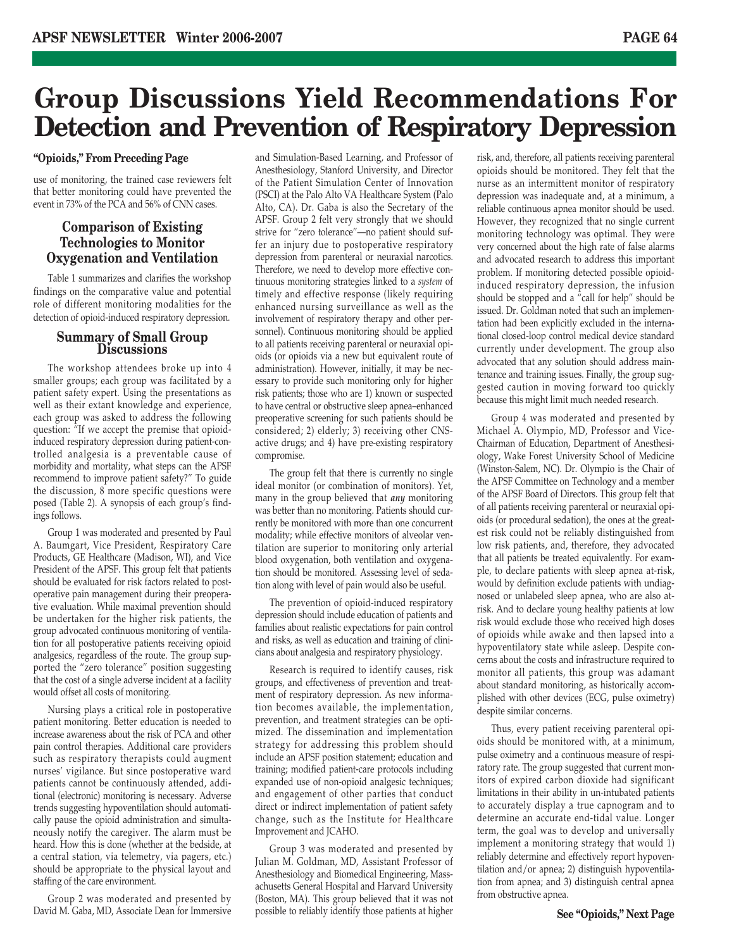## **Group Discussions Yield Recommendations For Detection and Prevention of Respiratory Depression**

## **"Opioids," From Preceding Page**

use of monitoring, the trained case reviewers felt that better monitoring could have prevented the event in 73% of the PCA and 56% of CNN cases.

## **Comparison of Existing Technologies to Monitor Oxygenation and Ventilation**

Table 1 summarizes and clarifies the workshop findings on the comparative value and potential role of different monitoring modalities for the detection of opioid-induced respiratory depression.

## **Summary of Small Group Discussions**

The workshop attendees broke up into 4 smaller groups; each group was facilitated by a patient safety expert. Using the presentations as well as their extant knowledge and experience, each group was asked to address the following question: "If we accept the premise that opioidinduced respiratory depression during patient-controlled analgesia is a preventable cause of morbidity and mortality, what steps can the APSF recommend to improve patient safety?" To guide the discussion, 8 more specific questions were posed (Table 2). A synopsis of each group's findings follows.

Group 1 was moderated and presented by Paul A. Baumgart, Vice President, Respiratory Care Products, GE Healthcare (Madison, WI), and Vice President of the APSF. This group felt that patients should be evaluated for risk factors related to postoperative pain management during their preoperative evaluation. While maximal prevention should be undertaken for the higher risk patients, the group advocated continuous monitoring of ventilation for all postoperative patients receiving opioid analgesics, regardless of the route. The group supported the "zero tolerance" position suggesting that the cost of a single adverse incident at a facility would offset all costs of monitoring.

Nursing plays a critical role in postoperative patient monitoring. Better education is needed to increase awareness about the risk of PCA and other pain control therapies. Additional care providers such as respiratory therapists could augment nurses' vigilance. But since postoperative ward patients cannot be continuously attended, additional (electronic) monitoring is necessary. Adverse trends suggesting hypoventilation should automatically pause the opioid administration and simultaneously notify the caregiver. The alarm must be heard. How this is done (whether at the bedside, at a central station, via telemetry, via pagers, etc.) should be appropriate to the physical layout and staffing of the care environment.

Group 2 was moderated and presented by David M. Gaba, MD, Associate Dean for Immersive

and Simulation-Based Learning, and Professor of Anesthesiology, Stanford University, and Director of the Patient Simulation Center of Innovation (PSCI) at the Palo Alto VA Healthcare System (Palo Alto, CA). Dr. Gaba is also the Secretary of the APSF. Group 2 felt very strongly that we should strive for "zero tolerance"—no patient should suffer an injury due to postoperative respiratory depression from parenteral or neuraxial narcotics. Therefore, we need to develop more effective continuous monitoring strategies linked to a *system* of timely and effective response (likely requiring enhanced nursing surveillance as well as the involvement of respiratory therapy and other personnel). Continuous monitoring should be applied to all patients receiving parenteral or neuraxial opioids (or opioids via a new but equivalent route of administration). However, initially, it may be necessary to provide such monitoring only for higher risk patients; those who are 1) known or suspected to have central or obstructive sleep apnea–enhanced preoperative screening for such patients should be considered; 2) elderly; 3) receiving other CNSactive drugs; and 4) have pre-existing respiratory compromise.

The group felt that there is currently no single ideal monitor (or combination of monitors). Yet, many in the group believed that *any* monitoring was better than no monitoring. Patients should currently be monitored with more than one concurrent modality; while effective monitors of alveolar ventilation are superior to monitoring only arterial blood oxygenation, both ventilation and oxygenation should be monitored. Assessing level of sedation along with level of pain would also be useful.

The prevention of opioid-induced respiratory depression should include education of patients and families about realistic expectations for pain control and risks, as well as education and training of clinicians about analgesia and respiratory physiology.

Research is required to identify causes, risk groups, and effectiveness of prevention and treatment of respiratory depression. As new information becomes available, the implementation, prevention, and treatment strategies can be optimized. The dissemination and implementation strategy for addressing this problem should include an APSF position statement; education and training; modified patient-care protocols including expanded use of non-opioid analgesic techniques; and engagement of other parties that conduct direct or indirect implementation of patient safety change, such as the Institute for Healthcare Improvement and JCAHO.

Group 3 was moderated and presented by Julian M. Goldman, MD, Assistant Professor of Anesthesiology and Biomedical Engineering, Massachusetts General Hospital and Harvard University (Boston, MA). This group believed that it was not possible to reliably identify those patients at higher risk, and, therefore, all patients receiving parenteral opioids should be monitored. They felt that the nurse as an intermittent monitor of respiratory depression was inadequate and, at a minimum, a reliable continuous apnea monitor should be used. However, they recognized that no single current monitoring technology was optimal. They were very concerned about the high rate of false alarms and advocated research to address this important problem. If monitoring detected possible opioidinduced respiratory depression, the infusion should be stopped and a "call for help" should be issued. Dr. Goldman noted that such an implementation had been explicitly excluded in the international closed-loop control medical device standard currently under development. The group also advocated that any solution should address maintenance and training issues. Finally, the group suggested caution in moving forward too quickly because this might limit much needed research.

Group 4 was moderated and presented by Michael A. Olympio, MD, Professor and Vice-Chairman of Education, Department of Anesthesiology, Wake Forest University School of Medicine (Winston-Salem, NC). Dr. Olympio is the Chair of the APSF Committee on Technology and a member of the APSF Board of Directors. This group felt that of all patients receiving parenteral or neuraxial opioids (or procedural sedation), the ones at the greatest risk could not be reliably distinguished from low risk patients, and, therefore, they advocated that all patients be treated equivalently. For example, to declare patients with sleep apnea at-risk, would by definition exclude patients with undiagnosed or unlabeled sleep apnea, who are also atrisk. And to declare young healthy patients at low risk would exclude those who received high doses of opioids while awake and then lapsed into a hypoventilatory state while asleep. Despite concerns about the costs and infrastructure required to monitor all patients, this group was adamant about standard monitoring, as historically accomplished with other devices (ECG, pulse oximetry) despite similar concerns.

Thus, every patient receiving parenteral opioids should be monitored with, at a minimum, pulse oximetry and a continuous measure of respiratory rate. The group suggested that current monitors of expired carbon dioxide had significant limitations in their ability in un-intubated patients to accurately display a true capnogram and to determine an accurate end-tidal value. Longer term, the goal was to develop and universally implement a monitoring strategy that would 1) reliably determine and effectively report hypoventilation and/or apnea; 2) distinguish hypoventilation from apnea; and 3) distinguish central apnea from obstructive apnea.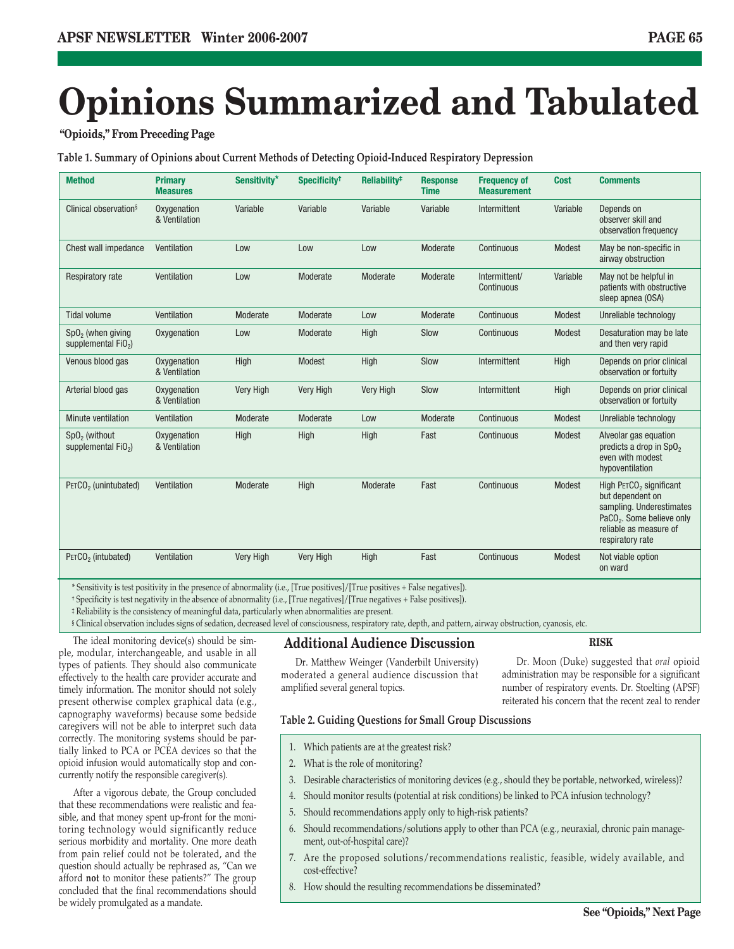## **Opinions Summarized and Tabulated**

## **"Opioids," From Preceding Page**

**Table 1. Summary of Opinions about Current Methods of Detecting Opioid-Induced Respiratory Depression**

| <b>Method</b>                                | <b>Primary</b><br><b>Measures</b> | Sensitivity*     | Specificity <sup>t</sup> | Reliability <sup>#</sup> | <b>Response</b><br><b>Time</b> | <b>Frequency of</b><br><b>Measurement</b> | <b>Cost</b> | <b>Comments</b>                                                                                                                                                            |
|----------------------------------------------|-----------------------------------|------------------|--------------------------|--------------------------|--------------------------------|-------------------------------------------|-------------|----------------------------------------------------------------------------------------------------------------------------------------------------------------------------|
| Clinical observation <sup>§</sup>            | Oxygenation<br>& Ventilation      | Variable         | Variable                 | Variable                 | Variable                       | Intermittent                              | Variable    | Depends on<br>observer skill and<br>observation frequency                                                                                                                  |
| Chest wall impedance                         | Ventilation                       | Low              | Low                      | Low                      | Moderate                       | Continuous                                | Modest      | May be non-specific in<br>airway obstruction                                                                                                                               |
| <b>Respiratory rate</b>                      | Ventilation                       | Low              | Moderate                 | Moderate                 | Moderate                       | Intermittent/<br>Continuous               | Variable    | May not be helpful in<br>patients with obstructive<br>sleep apnea (OSA)                                                                                                    |
| <b>Tidal volume</b>                          | Ventilation                       | Moderate         | Moderate                 | Low                      | Moderate                       | Continuous                                | Modest      | Unreliable technology                                                                                                                                                      |
| $SpO2$ (when giving<br>supplemental $FiO2$ ) | Oxygenation                       | Low              | Moderate                 | High                     | Slow                           | Continuous                                | Modest      | Desaturation may be late<br>and then very rapid                                                                                                                            |
| Venous blood gas                             | Oxygenation<br>& Ventilation      | High             | Modest                   | High                     | Slow                           | Intermittent                              | High        | Depends on prior clinical<br>observation or fortuity                                                                                                                       |
| Arterial blood gas                           | Oxygenation<br>& Ventilation      | <b>Very High</b> | <b>Very High</b>         | Very High                | Slow                           | Intermittent                              | High        | Depends on prior clinical<br>observation or fortuity                                                                                                                       |
| Minute ventilation                           | Ventilation                       | Moderate         | Moderate                 | Low                      | Moderate                       | Continuous                                | Modest      | Unreliable technology                                                                                                                                                      |
| $SpO2$ (without<br>supplemental $FiO2$ )     | Oxygenation<br>& Ventilation      | High             | High                     | <b>High</b>              | Fast                           | Continuous                                | Modest      | Alveolar gas equation<br>predicts a drop in SpO <sub>2</sub><br>even with modest<br>hypoventilation                                                                        |
| PETCO <sub>2</sub> (unintubated)             | Ventilation                       | Moderate         | High                     | Moderate                 | Fast                           | Continuous                                | Modest      | High PETCO <sub>2</sub> significant<br>but dependent on<br>sampling. Underestimates<br>PaCO <sub>2</sub> . Some believe only<br>reliable as measure of<br>respiratory rate |
| PETCO <sub>2</sub> (intubated)               | Ventilation                       | <b>Very High</b> | <b>Very High</b>         | <b>High</b>              | Fast                           | Continuous                                | Modest      | Not viable option<br>on ward                                                                                                                                               |

\* Sensitivity is test positivity in the presence of abnormality (i.e., [True positives]/[True positives + False negatives]).

† Specificity is test negativity in the absence of abnormality (i.e., [True negatives]/[True negatives + False positives]).

‡ Reliability is the consistency of meaningful data, particularly when abnormalities are present.

§ Clinical observation includes signs of sedation, decreased level of consciousness, respiratory rate, depth, and pattern, airway obstruction, cyanosis, etc.

The ideal monitoring device(s) should be simple, modular, interchangeable, and usable in all types of patients. They should also communicate effectively to the health care provider accurate and timely information. The monitor should not solely present otherwise complex graphical data (e.g., capnography waveforms) because some bedside caregivers will not be able to interpret such data correctly. The monitoring systems should be partially linked to PCA or PCEA devices so that the opioid infusion would automatically stop and concurrently notify the responsible caregiver(s).

After a vigorous debate, the Group concluded that these recommendations were realistic and feasible, and that money spent up-front for the monitoring technology would significantly reduce serious morbidity and mortality. One more death from pain relief could not be tolerated, and the question should actually be rephrased as, "Can we afford **not** to monitor these patients?" The group concluded that the final recommendations should be widely promulgated as a mandate.

## **Additional Audience Discussion**

Dr. Matthew Weinger (Vanderbilt University) moderated a general audience discussion that amplified several general topics.

Dr. Moon (Duke) suggested that *oral* opioid administration may be responsible for a significant number of respiratory events. Dr. Stoelting (APSF) reiterated his concern that the recent zeal to render

**RISK**

## **Table 2. Guiding Questions for Small Group Discussions**

- 1. Which patients are at the greatest risk?
- 2. What is the role of monitoring?
- 3. Desirable characteristics of monitoring devices (e.g., should they be portable, networked, wireless)?
- 4. Should monitor results (potential at risk conditions) be linked to PCA infusion technology?
- 5. Should recommendations apply only to high-risk patients?
- 6. Should recommendations/solutions apply to other than PCA (e.g., neuraxial, chronic pain management, out-of-hospital care)?
- 7. Are the proposed solutions/recommendations realistic, feasible, widely available, and cost-effective?
- 8. How should the resulting recommendations be disseminated?

## **See "Opioids," Next Page**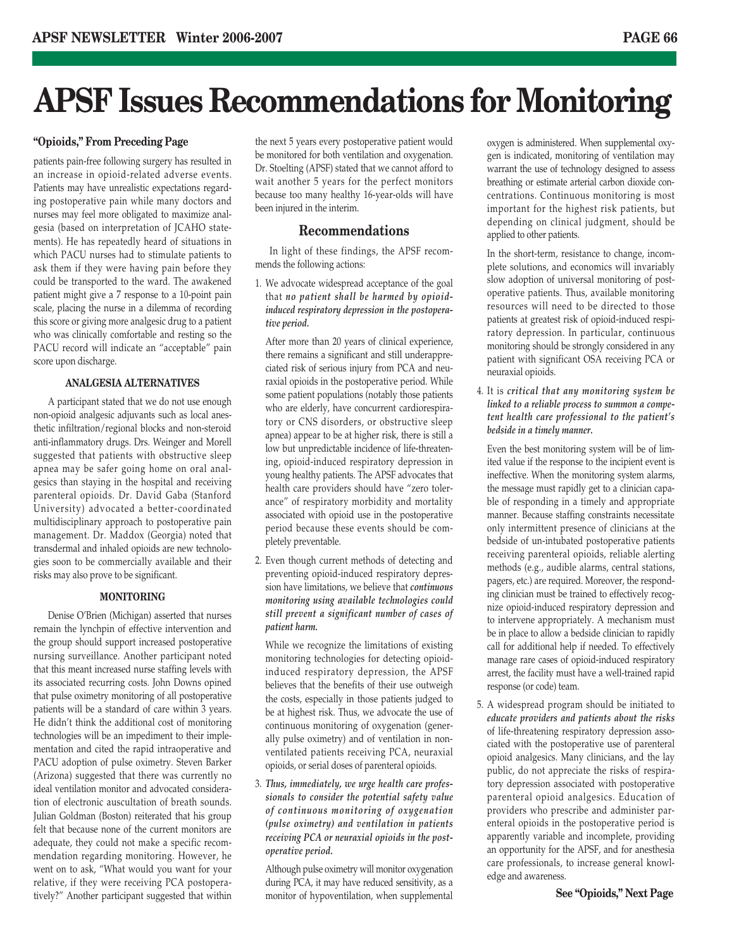## **APSF Issues Recommendations for Monitoring**

patients pain-free following surgery has resulted in an increase in opioid-related adverse events. Patients may have unrealistic expectations regarding postoperative pain while many doctors and nurses may feel more obligated to maximize analgesia (based on interpretation of JCAHO statements). He has repeatedly heard of situations in which PACU nurses had to stimulate patients to ask them if they were having pain before they could be transported to the ward. The awakened patient might give a 7 response to a 10-point pain scale, placing the nurse in a dilemma of recording this score or giving more analgesic drug to a patient who was clinically comfortable and resting so the PACU record will indicate an "acceptable" pain score upon discharge.

## **ANALGESIA ALTERNATIVES**

A participant stated that we do not use enough non-opioid analgesic adjuvants such as local anesthetic infiltration/regional blocks and non-steroid anti-inflammatory drugs. Drs. Weinger and Morell suggested that patients with obstructive sleep apnea may be safer going home on oral analgesics than staying in the hospital and receiving parenteral opioids. Dr. David Gaba (Stanford University) advocated a better-coordinated multidisciplinary approach to postoperative pain management. Dr. Maddox (Georgia) noted that transdermal and inhaled opioids are new technologies soon to be commercially available and their risks may also prove to be significant.

## **MONITORING**

Denise O'Brien (Michigan) asserted that nurses remain the lynchpin of effective intervention and the group should support increased postoperative nursing surveillance. Another participant noted that this meant increased nurse staffing levels with its associated recurring costs. John Downs opined that pulse oximetry monitoring of all postoperative patients will be a standard of care within 3 years. He didn't think the additional cost of monitoring technologies will be an impediment to their implementation and cited the rapid intraoperative and PACU adoption of pulse oximetry. Steven Barker (Arizona) suggested that there was currently no ideal ventilation monitor and advocated consideration of electronic auscultation of breath sounds. Julian Goldman (Boston) reiterated that his group felt that because none of the current monitors are adequate, they could not make a specific recommendation regarding monitoring. However, he went on to ask, "What would you want for your relative, if they were receiving PCA postoperatively?" Another participant suggested that within

**"Opioids," From Preceding Page** the next 5 years every postoperative patient would be monitored for both ventilation and oxygenation. Dr. Stoelting (APSF) stated that we cannot afford to wait another 5 years for the perfect monitors because too many healthy 16-year-olds will have been injured in the interim.

## **Recommendations**

In light of these findings, the APSF recommends the following actions:

1. We advocate widespread acceptance of the goal that *no patient shall be harmed by opioidinduced respiratory depression in the postoperative period.*

After more than 20 years of clinical experience, there remains a significant and still underappreciated risk of serious injury from PCA and neuraxial opioids in the postoperative period. While some patient populations (notably those patients who are elderly, have concurrent cardiorespiratory or CNS disorders, or obstructive sleep apnea) appear to be at higher risk, there is still a low but unpredictable incidence of life-threatening, opioid-induced respiratory depression in young healthy patients. The APSF advocates that health care providers should have "zero tolerance" of respiratory morbidity and mortality associated with opioid use in the postoperative period because these events should be completely preventable.

2. Even though current methods of detecting and preventing opioid-induced respiratory depression have limitations, we believe that *continuous monitoring using available technologies could still prevent a significant number of cases of patient harm.*

While we recognize the limitations of existing monitoring technologies for detecting opioidinduced respiratory depression, the APSF believes that the benefits of their use outweigh the costs, especially in those patients judged to be at highest risk. Thus, we advocate the use of continuous monitoring of oxygenation (generally pulse oximetry) and of ventilation in nonventilated patients receiving PCA, neuraxial opioids, or serial doses of parenteral opioids.

3. *Thus, immediately, we urge health care professionals to consider the potential safety value of continuous monitoring of oxygenation (pulse oximetry) and ventilation in patients receiving PCA or neuraxial opioids in the postoperative period.*

Although pulse oximetry will monitor oxygenation during PCA, it may have reduced sensitivity, as a monitor of hypoventilation, when supplemental

oxygen is administered. When supplemental oxygen is indicated, monitoring of ventilation may warrant the use of technology designed to assess breathing or estimate arterial carbon dioxide concentrations. Continuous monitoring is most important for the highest risk patients, but depending on clinical judgment, should be applied to other patients.

- In the short-term, resistance to change, incomplete solutions, and economics will invariably slow adoption of universal monitoring of postoperative patients. Thus, available monitoring resources will need to be directed to those patients at greatest risk of opioid-induced respiratory depression. In particular, continuous monitoring should be strongly considered in any patient with significant OSA receiving PCA or neuraxial opioids.
- 4. It is *critical that any monitoring system be linked to a reliable process to summon a competent health care professional to the patient's bedside in a timely manner.*

Even the best monitoring system will be of limited value if the response to the incipient event is ineffective. When the monitoring system alarms, the message must rapidly get to a clinician capable of responding in a timely and appropriate manner. Because staffing constraints necessitate only intermittent presence of clinicians at the bedside of un-intubated postoperative patients receiving parenteral opioids, reliable alerting methods (e.g., audible alarms, central stations, pagers, etc.) are required. Moreover, the responding clinician must be trained to effectively recognize opioid-induced respiratory depression and to intervene appropriately. A mechanism must be in place to allow a bedside clinician to rapidly call for additional help if needed. To effectively manage rare cases of opioid-induced respiratory arrest, the facility must have a well-trained rapid response (or code) team.

5. A widespread program should be initiated to *educate providers and patients about the risks* of life-threatening respiratory depression associated with the postoperative use of parenteral opioid analgesics. Many clinicians, and the lay public, do not appreciate the risks of respiratory depression associated with postoperative parenteral opioid analgesics. Education of providers who prescribe and administer parenteral opioids in the postoperative period is apparently variable and incomplete, providing an opportunity for the APSF, and for anesthesia care professionals, to increase general knowledge and awareness.

**See "Opioids," Next Page**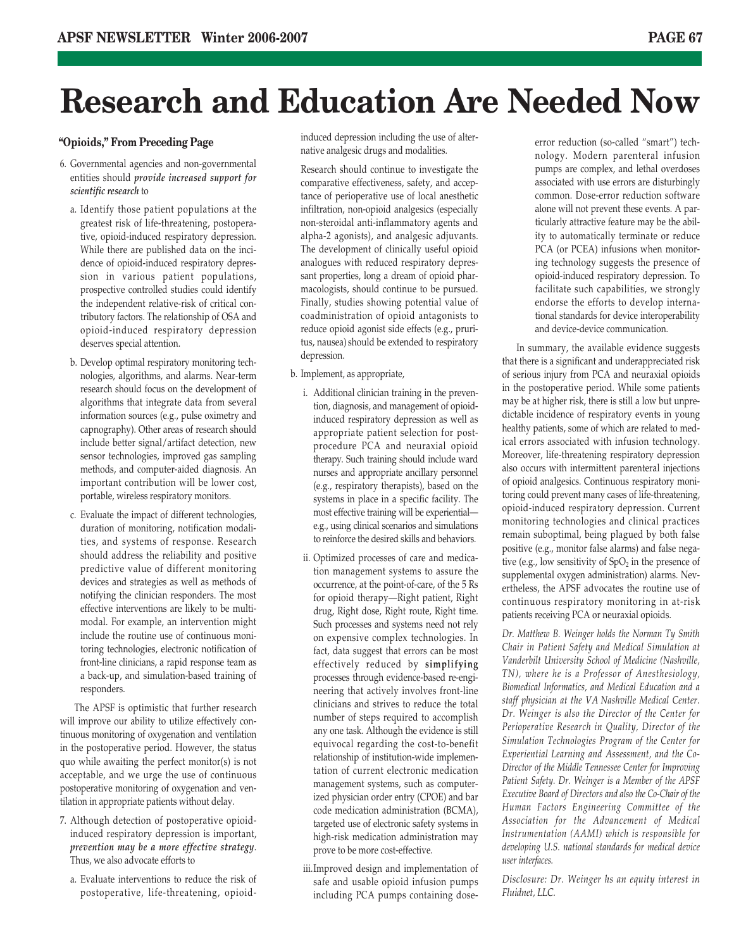## **Research and Education Are Needed Now**

## **"Opioids," From Preceding Page**

- 6. Governmental agencies and non-governmental entities should *provide increased support for scientific research* to
	- a. Identify those patient populations at the greatest risk of life-threatening, postoperative, opioid-induced respiratory depression. While there are published data on the incidence of opioid-induced respiratory depression in various patient populations, prospective controlled studies could identify the independent relative-risk of critical contributory factors. The relationship of OSA and opioid-induced respiratory depression deserves special attention.
	- b. Develop optimal respiratory monitoring technologies, algorithms, and alarms. Near-term research should focus on the development of algorithms that integrate data from several information sources (e.g., pulse oximetry and capnography). Other areas of research should include better signal/artifact detection, new sensor technologies, improved gas sampling methods, and computer-aided diagnosis. An important contribution will be lower cost, portable, wireless respiratory monitors.
	- c. Evaluate the impact of different technologies, duration of monitoring, notification modalities, and systems of response. Research should address the reliability and positive predictive value of different monitoring devices and strategies as well as methods of notifying the clinician responders. The most effective interventions are likely to be multimodal. For example, an intervention might include the routine use of continuous monitoring technologies, electronic notification of front-line clinicians, a rapid response team as a back-up, and simulation-based training of responders.

The APSF is optimistic that further research will improve our ability to utilize effectively continuous monitoring of oxygenation and ventilation in the postoperative period. However, the status quo while awaiting the perfect monitor(s) is not acceptable, and we urge the use of continuous postoperative monitoring of oxygenation and ventilation in appropriate patients without delay.

- 7. Although detection of postoperative opioidinduced respiratory depression is important, *prevention may be a more effective strategy*. Thus, we also advocate efforts to
	- a. Evaluate interventions to reduce the risk of postoperative, life-threatening, opioid-

induced depression including the use of alternative analgesic drugs and modalities.

Research should continue to investigate the comparative effectiveness, safety, and acceptance of perioperative use of local anesthetic infiltration, non-opioid analgesics (especially non-steroidal anti-inflammatory agents and alpha-2 agonists), and analgesic adjuvants. The development of clinically useful opioid analogues with reduced respiratory depressant properties, long a dream of opioid pharmacologists, should continue to be pursued. Finally, studies showing potential value of coadministration of opioid antagonists to reduce opioid agonist side effects (e.g., pruritus, nausea) should be extended to respiratory depression.

- b. Implement, as appropriate,
	- i. Additional clinician training in the prevention, diagnosis, and management of opioidinduced respiratory depression as well as appropriate patient selection for postprocedure PCA and neuraxial opioid therapy. Such training should include ward nurses and appropriate ancillary personnel (e.g., respiratory therapists), based on the systems in place in a specific facility. The most effective training will be experiential e.g., using clinical scenarios and simulations to reinforce the desired skills and behaviors.
	- ii. Optimized processes of care and medication management systems to assure the occurrence, at the point-of-care, of the 5 Rs for opioid therapy—Right patient, Right drug, Right dose, Right route, Right time. Such processes and systems need not rely on expensive complex technologies. In fact, data suggest that errors can be most effectively reduced by **simplifying** processes through evidence-based re-engineering that actively involves front-line clinicians and strives to reduce the total number of steps required to accomplish any one task. Although the evidence is still equivocal regarding the cost-to-benefit relationship of institution-wide implementation of current electronic medication management systems, such as computerized physician order entry (CPOE) and bar code medication administration (BCMA), targeted use of electronic safety systems in high-risk medication administration may prove to be more cost-effective.
	- iii.Improved design and implementation of safe and usable opioid infusion pumps including PCA pumps containing dose-

error reduction (so-called "smart") technology. Modern parenteral infusion pumps are complex, and lethal overdoses associated with use errors are disturbingly common. Dose-error reduction software alone will not prevent these events. A particularly attractive feature may be the ability to automatically terminate or reduce PCA (or PCEA) infusions when monitoring technology suggests the presence of opioid-induced respiratory depression. To facilitate such capabilities, we strongly endorse the efforts to develop international standards for device interoperability and device-device communication.

In summary, the available evidence suggests that there is a significant and underappreciated risk of serious injury from PCA and neuraxial opioids in the postoperative period. While some patients may be at higher risk, there is still a low but unpredictable incidence of respiratory events in young healthy patients, some of which are related to medical errors associated with infusion technology. Moreover, life-threatening respiratory depression also occurs with intermittent parenteral injections of opioid analgesics. Continuous respiratory monitoring could prevent many cases of life-threatening, opioid-induced respiratory depression. Current monitoring technologies and clinical practices remain suboptimal, being plagued by both false positive (e.g., monitor false alarms) and false negative (e.g., low sensitivity of  $SpO<sub>2</sub>$  in the presence of supplemental oxygen administration) alarms. Nevertheless, the APSF advocates the routine use of continuous respiratory monitoring in at-risk patients receiving PCA or neuraxial opioids.

*Dr. Matthew B. Weinger holds the Norman Ty Smith Chair in Patient Safety and Medical Simulation at Vanderbilt University School of Medicine (Nashville, TN), where he is a Professor of Anesthesiology, Biomedical Informatics, and Medical Education and a staff physician at the VA Nashville Medical Center. Dr. Weinger is also the Director of the Center for Perioperative Research in Quality, Director of the Simulation Technologies Program of the Center for Experiential Learning and Assessment, and the Co-Director of the Middle Tennessee Center for Improving Patient Safety. Dr. Weinger is a Member of the APSF Executive Board of Directors and also the Co-Chair of the Human Factors Engineering Committee of the Association for the Advancement of Medical Instrumentation (AAMI) which is responsible for developing U.S. national standards for medical device user interfaces.* 

*Disclosure: Dr. Weinger hs an equity interest in Fluidnet, LLC.*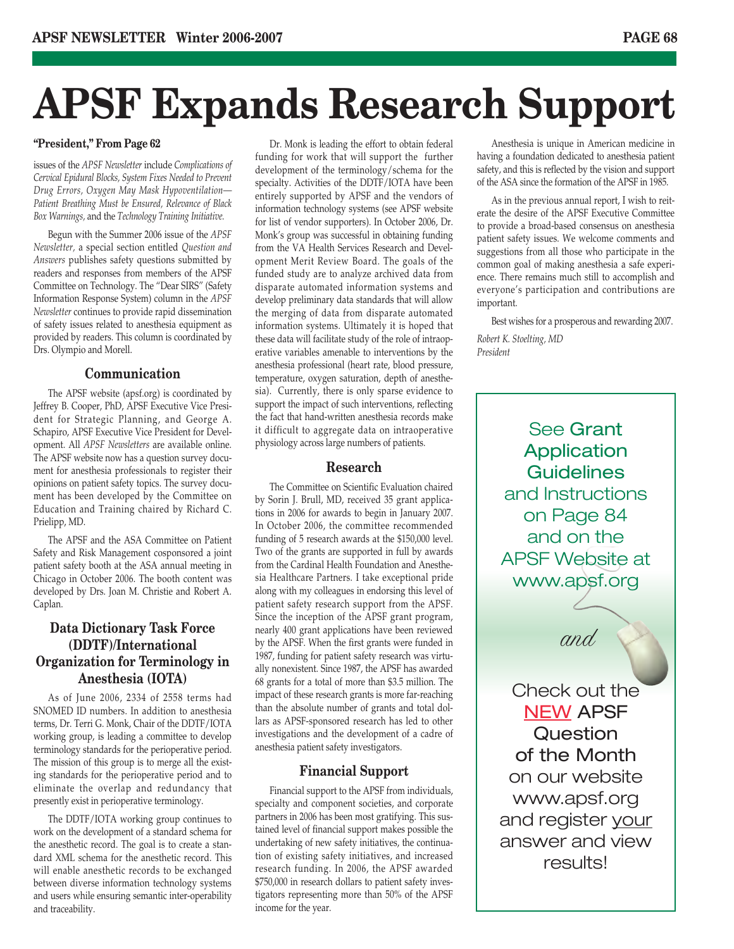## **APSF Expands Research Support**

## **"President," From Page 62**

issues of the *APSF Newsletter* include *Complications of Cervical Epidural Blocks, System Fixes Needed to Prevent Drug Errors, Oxygen May Mask Hypoventilation— Patient Breathing Must be Ensured, Relevance of Black Box Warnings,* and the *Technology Training Initiative.*

Begun with the Summer 2006 issue of the *APSF Newsletter,* a special section entitled *Question and Answers* publishes safety questions submitted by readers and responses from members of the APSF Committee on Technology. The "Dear SIRS" (Safety Information Response System) column in the *APSF Newsletter* continues to provide rapid dissemination of safety issues related to anesthesia equipment as provided by readers. This column is coordinated by Drs. Olympio and Morell.

## **Communication**

The APSF website (apsf.org) is coordinated by Jeffrey B. Cooper, PhD, APSF Executive Vice President for Strategic Planning, and George A. Schapiro, APSF Executive Vice President for Development. All *APSF Newsletters* are available online. The APSF website now has a question survey document for anesthesia professionals to register their opinions on patient safety topics. The survey document has been developed by the Committee on Education and Training chaired by Richard C. Prielipp, MD.

The APSF and the ASA Committee on Patient Safety and Risk Management cosponsored a joint patient safety booth at the ASA annual meeting in Chicago in October 2006. The booth content was developed by Drs. Joan M. Christie and Robert A. Caplan.

## **Data Dictionary Task Force (DDTF)/International Organization for Terminology in Anesthesia (IOTA)**

As of June 2006, 2334 of 2558 terms had SNOMED ID numbers. In addition to anesthesia terms, Dr. Terri G. Monk, Chair of the DDTF/IOTA working group, is leading a committee to develop terminology standards for the perioperative period. The mission of this group is to merge all the existing standards for the perioperative period and to eliminate the overlap and redundancy that presently exist in perioperative terminology.

The DDTF/IOTA working group continues to work on the development of a standard schema for the anesthetic record. The goal is to create a standard XML schema for the anesthetic record. This will enable anesthetic records to be exchanged between diverse information technology systems and users while ensuring semantic inter-operability and traceability.

Dr. Monk is leading the effort to obtain federal funding for work that will support the further development of the terminology/schema for the specialty. Activities of the DDTF/IOTA have been entirely supported by APSF and the vendors of information technology systems (see APSF website for list of vendor supporters). In October 2006, Dr. Monk's group was successful in obtaining funding from the VA Health Services Research and Development Merit Review Board. The goals of the funded study are to analyze archived data from disparate automated information systems and develop preliminary data standards that will allow the merging of data from disparate automated information systems. Ultimately it is hoped that these data will facilitate study of the role of intraoperative variables amenable to interventions by the anesthesia professional (heart rate, blood pressure, temperature, oxygen saturation, depth of anesthesia). Currently, there is only sparse evidence to support the impact of such interventions, reflecting the fact that hand-written anesthesia records make it difficult to aggregate data on intraoperative physiology across large numbers of patients.

## **Research**

The Committee on Scientific Evaluation chaired by Sorin J. Brull, MD, received 35 grant applications in 2006 for awards to begin in January 2007. In October 2006, the committee recommended funding of 5 research awards at the \$150,000 level. Two of the grants are supported in full by awards from the Cardinal Health Foundation and Anesthesia Healthcare Partners. I take exceptional pride along with my colleagues in endorsing this level of patient safety research support from the APSF. Since the inception of the APSF grant program, nearly 400 grant applications have been reviewed by the APSF. When the first grants were funded in 1987, funding for patient safety research was virtually nonexistent. Since 1987, the APSF has awarded 68 grants for a total of more than \$3.5 million. The impact of these research grants is more far-reaching than the absolute number of grants and total dollars as APSF-sponsored research has led to other investigations and the development of a cadre of anesthesia patient safety investigators.

## **Financial Support**

Financial support to the APSF from individuals, specialty and component societies, and corporate partners in 2006 has been most gratifying. This sustained level of financial support makes possible the undertaking of new safety initiatives, the continuation of existing safety initiatives, and increased research funding. In 2006, the APSF awarded \$750,000 in research dollars to patient safety investigators representing more than 50% of the APSF income for the year.

Anesthesia is unique in American medicine in having a foundation dedicated to anesthesia patient safety, and this is reflected by the vision and support of the ASA since the formation of the APSF in 1985.

As in the previous annual report, I wish to reiterate the desire of the APSF Executive Committee to provide a broad-based consensus on anesthesia patient safety issues. We welcome comments and suggestions from all those who participate in the common goal of making anesthesia a safe experience. There remains much still to accomplish and everyone's participation and contributions are important.

Best wishes for a prosperous and rewarding 2007. *Robert K. Stoelting, MD President*

> See Grant Application **Guidelines** and Instructions on Page 84 and on the APSF Website at www.apsf.org

> > and

Check out the NEW APSF Question of the Month on our website www.apsf.org and register your answer and view results!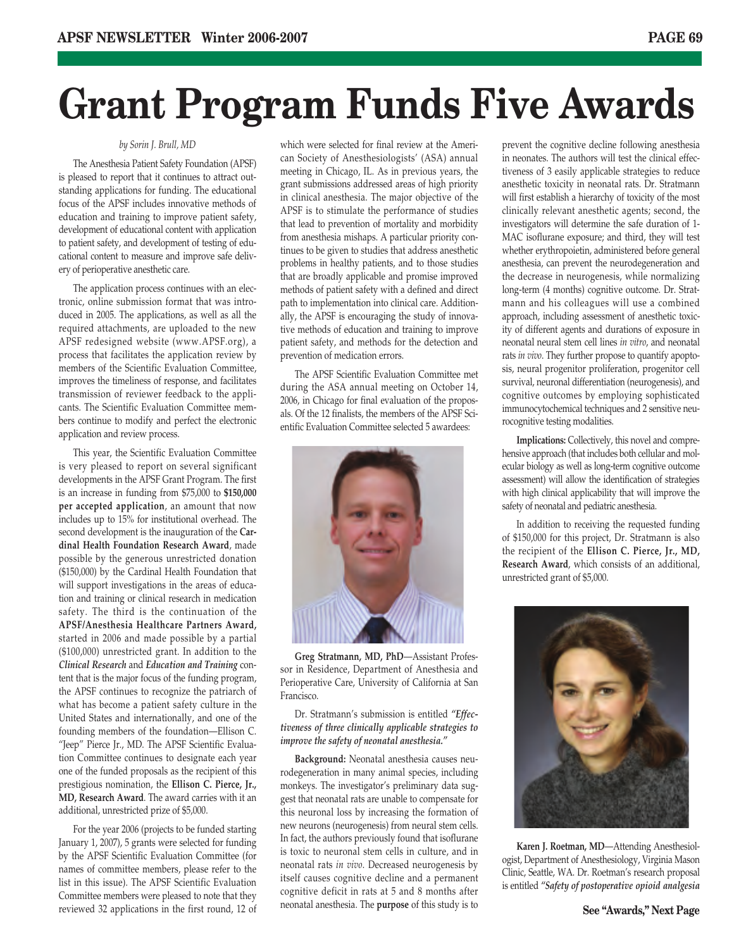## **Grant Program Funds Five Awards**

### *by Sorin J. Brull, MD*

The Anesthesia Patient Safety Foundation (APSF) is pleased to report that it continues to attract outstanding applications for funding. The educational focus of the APSF includes innovative methods of education and training to improve patient safety, development of educational content with application to patient safety, and development of testing of educational content to measure and improve safe delivery of perioperative anesthetic care.

The application process continues with an electronic, online submission format that was introduced in 2005. The applications, as well as all the required attachments, are uploaded to the new APSF redesigned website (www.APSF.org), a process that facilitates the application review by members of the Scientific Evaluation Committee, improves the timeliness of response, and facilitates transmission of reviewer feedback to the applicants. The Scientific Evaluation Committee members continue to modify and perfect the electronic application and review process.

This year, the Scientific Evaluation Committee is very pleased to report on several significant developments in the APSF Grant Program. The first is an increase in funding from \$75,000 to **\$150,000 per accepted application**, an amount that now includes up to 15% for institutional overhead. The second development is the inauguration of the **Cardinal Health Foundation Research Award**, made possible by the generous unrestricted donation (\$150,000) by the Cardinal Health Foundation that will support investigations in the areas of education and training or clinical research in medication safety. The third is the continuation of the **APSF/Anesthesia Healthcare Partners Award,** started in 2006 and made possible by a partial (\$100,000) unrestricted grant. In addition to the *Clinical Research* and *Education and Training* content that is the major focus of the funding program, the APSF continues to recognize the patriarch of what has become a patient safety culture in the United States and internationally, and one of the founding members of the foundation—Ellison C. "Jeep" Pierce Jr., MD. The APSF Scientific Evaluation Committee continues to designate each year one of the funded proposals as the recipient of this prestigious nomination, the **Ellison C. Pierce, Jr., MD, Research Award**. The award carries with it an additional, unrestricted prize of \$5,000.

For the year 2006 (projects to be funded starting January 1, 2007), 5 grants were selected for funding by the APSF Scientific Evaluation Committee (for names of committee members, please refer to the list in this issue). The APSF Scientific Evaluation Committee members were pleased to note that they reviewed 32 applications in the first round, 12 of

which were selected for final review at the American Society of Anesthesiologists' (ASA) annual meeting in Chicago, IL. As in previous years, the grant submissions addressed areas of high priority in clinical anesthesia. The major objective of the APSF is to stimulate the performance of studies that lead to prevention of mortality and morbidity from anesthesia mishaps. A particular priority continues to be given to studies that address anesthetic problems in healthy patients, and to those studies that are broadly applicable and promise improved methods of patient safety with a defined and direct path to implementation into clinical care. Additionally, the APSF is encouraging the study of innovative methods of education and training to improve patient safety, and methods for the detection and prevention of medication errors.

The APSF Scientific Evaluation Committee met during the ASA annual meeting on October 14, 2006, in Chicago for final evaluation of the proposals. Of the 12 finalists, the members of the APSF Scientific Evaluation Committee selected 5 awardees:



**Greg Stratmann, MD, PhD**—Assistant Professor in Residence, Department of Anesthesia and Perioperative Care, University of California at San Francisco.

Dr. Stratmann's submission is entitled *"Effectiveness of three clinically applicable strategies to improve the safety of neonatal anesthesia."*

**Background:** Neonatal anesthesia causes neurodegeneration in many animal species, including monkeys. The investigator's preliminary data suggest that neonatal rats are unable to compensate for this neuronal loss by increasing the formation of new neurons (neurogenesis) from neural stem cells. In fact, the authors previously found that isoflurane is toxic to neuronal stem cells in culture, and in neonatal rats *in vivo*. Decreased neurogenesis by itself causes cognitive decline and a permanent cognitive deficit in rats at 5 and 8 months after neonatal anesthesia. The **purpose** of this study is to

prevent the cognitive decline following anesthesia in neonates. The authors will test the clinical effectiveness of 3 easily applicable strategies to reduce anesthetic toxicity in neonatal rats. Dr. Stratmann will first establish a hierarchy of toxicity of the most clinically relevant anesthetic agents; second, the investigators will determine the safe duration of 1- MAC isoflurane exposure; and third, they will test whether erythropoietin, administered before general anesthesia, can prevent the neurodegeneration and the decrease in neurogenesis, while normalizing long-term (4 months) cognitive outcome. Dr. Stratmann and his colleagues will use a combined approach, including assessment of anesthetic toxicity of different agents and durations of exposure in neonatal neural stem cell lines *in vitro*, and neonatal rats *in vivo*. They further propose to quantify apoptosis, neural progenitor proliferation, progenitor cell survival, neuronal differentiation (neurogenesis), and cognitive outcomes by employing sophisticated immunocytochemical techniques and 2 sensitive neurocognitive testing modalities.

**Implications:** Collectively, this novel and comprehensive approach (that includes both cellular and molecular biology as well as long-term cognitive outcome assessment) will allow the identification of strategies with high clinical applicability that will improve the safety of neonatal and pediatric anesthesia.

In addition to receiving the requested funding of \$150,000 for this project, Dr. Stratmann is also the recipient of the **Ellison C. Pierce, Jr., MD, Research Award**, which consists of an additional, unrestricted grant of \$5,000.



**Karen J. Roetman, MD**—Attending Anesthesiologist, Department of Anesthesiology, Virginia Mason Clinic, Seattle, WA. Dr. Roetman's research proposal is entitled *"Safety of postoperative opioid analgesia*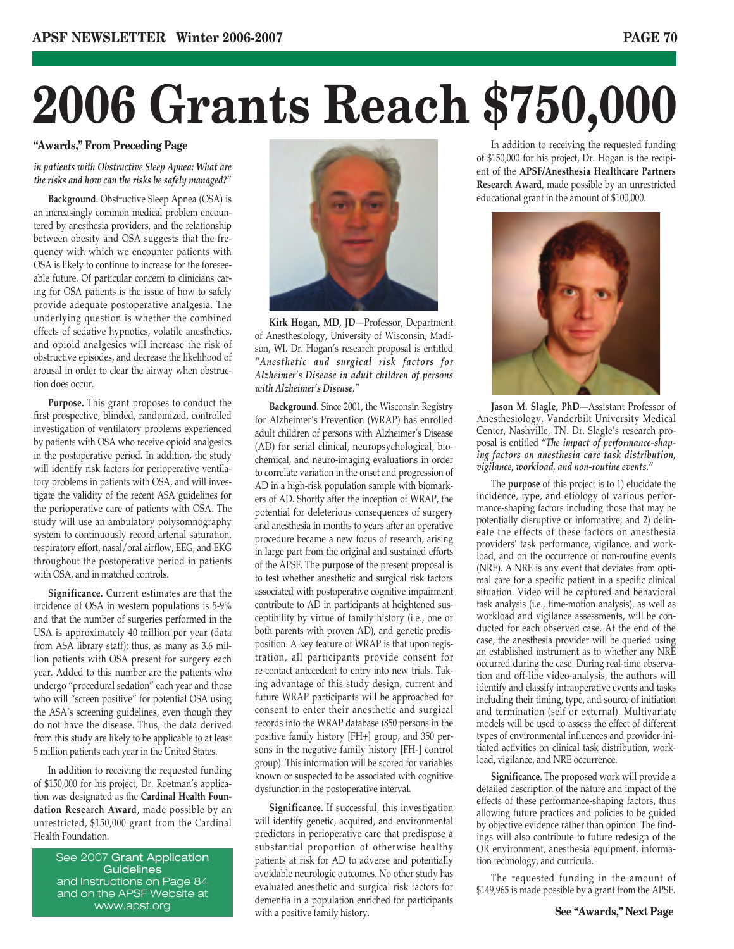# **2006 Grants Reach \$750,000**

## **"Awards," From Preceding Page**

*in patients with Obstructive Sleep Apnea: What are the risks and how can the risks be safely managed?"*

**Background.** Obstructive Sleep Apnea (OSA) is an increasingly common medical problem encountered by anesthesia providers, and the relationship between obesity and OSA suggests that the frequency with which we encounter patients with OSA is likely to continue to increase for the foreseeable future. Of particular concern to clinicians caring for OSA patients is the issue of how to safely provide adequate postoperative analgesia. The underlying question is whether the combined effects of sedative hypnotics, volatile anesthetics, and opioid analgesics will increase the risk of obstructive episodes, and decrease the likelihood of arousal in order to clear the airway when obstruction does occur.

**Purpose.** This grant proposes to conduct the first prospective, blinded, randomized, controlled investigation of ventilatory problems experienced by patients with OSA who receive opioid analgesics in the postoperative period. In addition, the study will identify risk factors for perioperative ventilatory problems in patients with OSA, and will investigate the validity of the recent ASA guidelines for the perioperative care of patients with OSA. The study will use an ambulatory polysomnography system to continuously record arterial saturation, respiratory effort, nasal/oral airflow, EEG, and EKG throughout the postoperative period in patients with OSA, and in matched controls.

**Significance.** Current estimates are that the incidence of OSA in western populations is 5-9% and that the number of surgeries performed in the USA is approximately 40 million per year (data from ASA library staff); thus, as many as 3.6 million patients with OSA present for surgery each year. Added to this number are the patients who undergo "procedural sedation" each year and those who will "screen positive" for potential OSA using the ASA's screening guidelines, even though they do not have the disease. Thus, the data derived from this study are likely to be applicable to at least 5 million patients each year in the United States.

In addition to receiving the requested funding of \$150,000 for his project, Dr. Roetman's application was designated as the **Cardinal Health Foundation Research Award**, made possible by an unrestricted, \$150,000 grant from the Cardinal Health Foundation.

> See 2007 Grant Application **Guidelines** and Instructions on Page 84 and on the APSF Website at www.apsf.org



**Kirk Hogan, MD, JD**—Professor, Department of Anesthesiology, University of Wisconsin, Madison, WI. Dr. Hogan's research proposal is entitled *"Anesthetic and surgical risk factors for Alzheimer's Disease in adult children of persons with Alzheimer's Disease."*

**Background.** Since 2001, the Wisconsin Registry for Alzheimer's Prevention (WRAP) has enrolled adult children of persons with Alzheimer's Disease (AD) for serial clinical, neuropsychological, biochemical, and neuro-imaging evaluations in order to correlate variation in the onset and progression of AD in a high-risk population sample with biomarkers of AD. Shortly after the inception of WRAP, the potential for deleterious consequences of surgery and anesthesia in months to years after an operative procedure became a new focus of research, arising in large part from the original and sustained efforts of the APSF. The **purpose** of the present proposal is to test whether anesthetic and surgical risk factors associated with postoperative cognitive impairment contribute to AD in participants at heightened susceptibility by virtue of family history (i.e., one or both parents with proven AD), and genetic predisposition. A key feature of WRAP is that upon registration, all participants provide consent for re-contact antecedent to entry into new trials. Taking advantage of this study design, current and future WRAP participants will be approached for consent to enter their anesthetic and surgical records into the WRAP database (850 persons in the positive family history [FH+] group, and 350 persons in the negative family history [FH-] control group). This information will be scored for variables known or suspected to be associated with cognitive dysfunction in the postoperative interval.

**Significance.** If successful, this investigation will identify genetic, acquired, and environmental predictors in perioperative care that predispose a substantial proportion of otherwise healthy patients at risk for AD to adverse and potentially avoidable neurologic outcomes. No other study has evaluated anesthetic and surgical risk factors for dementia in a population enriched for participants with a positive family history.

In addition to receiving the requested funding of \$150,000 for his project, Dr. Hogan is the recipient of the **APSF/Anesthesia Healthcare Partners Research Award**, made possible by an unrestricted educational grant in the amount of \$100,000.



**Jason M. Slagle, PhD—**Assistant Professor of Anesthesiology, Vanderbilt University Medical Center, Nashville, TN. Dr. Slagle's research proposal is entitled *"The impact of performance-shaping factors on anesthesia care task distribution, vigilance, workload, and non-routine events."*

The **purpose** of this project is to 1) elucidate the incidence, type, and etiology of various performance-shaping factors including those that may be potentially disruptive or informative; and 2) delineate the effects of these factors on anesthesia providers' task performance, vigilance, and workload, and on the occurrence of non-routine events (NRE). A NRE is any event that deviates from optimal care for a specific patient in a specific clinical situation. Video will be captured and behavioral task analysis (i.e., time-motion analysis), as well as workload and vigilance assessments, will be conducted for each observed case. At the end of the case, the anesthesia provider will be queried using an established instrument as to whether any NRE occurred during the case. During real-time observation and off-line video-analysis, the authors will identify and classify intraoperative events and tasks including their timing, type, and source of initiation and termination (self or external). Multivariate models will be used to assess the effect of different types of environmental influences and provider-initiated activities on clinical task distribution, workload, vigilance, and NRE occurrence.

**Significance.** The proposed work will provide a detailed description of the nature and impact of the effects of these performance-shaping factors, thus allowing future practices and policies to be guided by objective evidence rather than opinion. The findings will also contribute to future redesign of the OR environment, anesthesia equipment, information technology, and curricula.

The requested funding in the amount of \$149,965 is made possible by a grant from the APSF.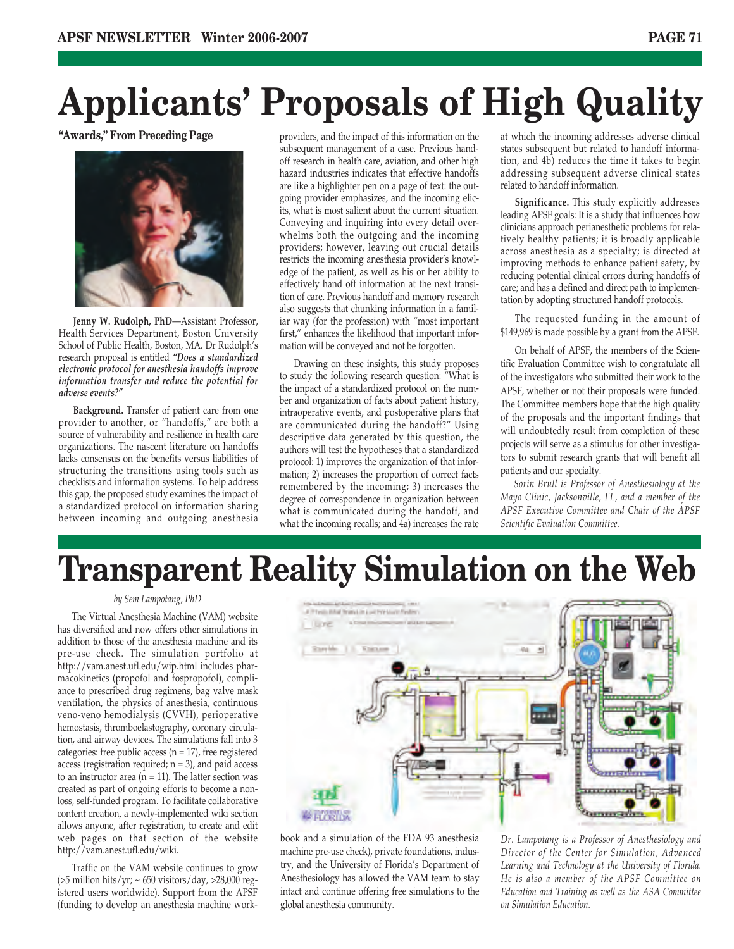## **Applicants' Proposals of High Quality**

**"Awards," From Preceding Page**



**Jenny W. Rudolph, PhD**—Assistant Professor, Health Services Department, Boston University School of Public Health, Boston, MA. Dr Rudolph's research proposal is entitled *"Does a standardized electronic protocol for anesthesia handoffs improve information transfer and reduce the potential for adverse events?"*

**Background.** Transfer of patient care from one provider to another, or "handoffs," are both a source of vulnerability and resilience in health care organizations. The nascent literature on handoffs lacks consensus on the benefits versus liabilities of structuring the transitions using tools such as checklists and information systems. To help address this gap, the proposed study examines the impact of a standardized protocol on information sharing between incoming and outgoing anesthesia providers, and the impact of this information on the subsequent management of a case. Previous handoff research in health care, aviation, and other high hazard industries indicates that effective handoffs are like a highlighter pen on a page of text: the outgoing provider emphasizes, and the incoming elicits, what is most salient about the current situation. Conveying and inquiring into every detail overwhelms both the outgoing and the incoming providers; however, leaving out crucial details restricts the incoming anesthesia provider's knowledge of the patient, as well as his or her ability to effectively hand off information at the next transition of care. Previous handoff and memory research also suggests that chunking information in a familiar way (for the profession) with "most important first," enhances the likelihood that important information will be conveyed and not be forgotten.

Drawing on these insights, this study proposes to study the following research question: "What is the impact of a standardized protocol on the number and organization of facts about patient history, intraoperative events, and postoperative plans that are communicated during the handoff?" Using descriptive data generated by this question, the authors will test the hypotheses that a standardized protocol: 1) improves the organization of that information; 2) increases the proportion of correct facts remembered by the incoming; 3) increases the degree of correspondence in organization between what is communicated during the handoff, and what the incoming recalls; and  $\overline{4}$ a) increases the rate

at which the incoming addresses adverse clinical states subsequent but related to handoff information, and 4b) reduces the time it takes to begin addressing subsequent adverse clinical states related to handoff information.

**Significance.** This study explicitly addresses leading APSF goals: It is a study that influences how clinicians approach perianesthetic problems for relatively healthy patients; it is broadly applicable across anesthesia as a specialty; is directed at improving methods to enhance patient safety, by reducing potential clinical errors during handoffs of care; and has a defined and direct path to implementation by adopting structured handoff protocols.

The requested funding in the amount of \$149,969 is made possible by a grant from the APSF.

On behalf of APSF, the members of the Scientific Evaluation Committee wish to congratulate all of the investigators who submitted their work to the APSF, whether or not their proposals were funded. The Committee members hope that the high quality of the proposals and the important findings that will undoubtedly result from completion of these projects will serve as a stimulus for other investigators to submit research grants that will benefit all patients and our specialty.

*Sorin Brull is Professor of Anesthesiology at the Mayo Clinic, Jacksonville, FL, and a member of the APSF Executive Committee and Chair of the APSF Scientific Evaluation Committee.*

## **Transparent Reality Simulation on the Web**

### *by Sem Lampotang, PhD*

The Virtual Anesthesia Machine (VAM) website has diversified and now offers other simulations in addition to those of the anesthesia machine and its pre-use check. The simulation portfolio at http://vam.anest.ufl.edu/wip.html includes pharmacokinetics (propofol and fospropofol), compliance to prescribed drug regimens, bag valve mask ventilation, the physics of anesthesia, continuous veno-veno hemodialysis (CVVH), perioperative hemostasis, thromboelastography, coronary circulation, and airway devices. The simulations fall into 3 categories: free public access ( $n = 17$ ), free registered access (registration required;  $n = 3$ ), and paid access to an instructor area ( $n = 11$ ). The latter section was created as part of ongoing efforts to become a nonloss, self-funded program. To facilitate collaborative content creation, a newly-implemented wiki section allows anyone, after registration, to create and edit web pages on that section of the website http://vam.anest.ufl.edu/wiki.

Traffic on the VAM website continues to grow (>5 million hits/yr; ~ 650 visitors/day, >28,000 registered users worldwide). Support from the APSF (funding to develop an anesthesia machine work-



book and a simulation of the FDA 93 anesthesia machine pre-use check), private foundations, industry, and the University of Florida's Department of Anesthesiology has allowed the VAM team to stay intact and continue offering free simulations to the global anesthesia community.

*Dr. Lampotang is a Professor of Anesthesiology and Director of the Center for Simulation, Advanced Learning and Technology at the University of Florida. He is also a member of the APSF Committee on Education and Training as well as the ASA Committee on Simulation Education.*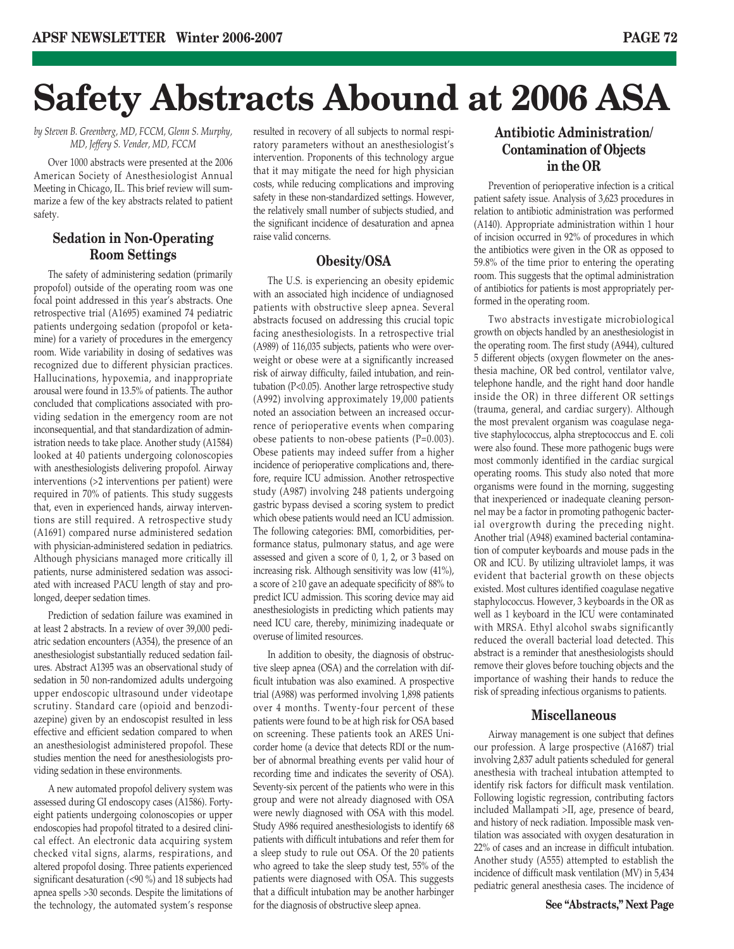## **Safety Abstracts Abound at 2006 ASA**

*by Steven B. Greenberg, MD, FCCM, Glenn S. Murphy, MD, Jeffery S. Vender, MD, FCCM*

Over 1000 abstracts were presented at the 2006 American Society of Anesthesiologist Annual Meeting in Chicago, IL. This brief review will summarize a few of the key abstracts related to patient safety.

## **Sedation in Non-Operating Room Settings**

The safety of administering sedation (primarily propofol) outside of the operating room was one focal point addressed in this year's abstracts. One retrospective trial (A1695) examined 74 pediatric patients undergoing sedation (propofol or ketamine) for a variety of procedures in the emergency room. Wide variability in dosing of sedatives was recognized due to different physician practices. Hallucinations, hypoxemia, and inappropriate arousal were found in 13.5% of patients. The author concluded that complications associated with providing sedation in the emergency room are not inconsequential, and that standardization of administration needs to take place. Another study (A1584) looked at 40 patients undergoing colonoscopies with anesthesiologists delivering propofol. Airway interventions (>2 interventions per patient) were required in 70% of patients. This study suggests that, even in experienced hands, airway interventions are still required. A retrospective study (A1691) compared nurse administered sedation with physician-administered sedation in pediatrics. Although physicians managed more critically ill patients, nurse administered sedation was associated with increased PACU length of stay and prolonged, deeper sedation times.

Prediction of sedation failure was examined in at least 2 abstracts. In a review of over 39,000 pediatric sedation encounters (A354), the presence of an anesthesiologist substantially reduced sedation failures. Abstract A1395 was an observational study of sedation in 50 non-randomized adults undergoing upper endoscopic ultrasound under videotape scrutiny. Standard care (opioid and benzodiazepine) given by an endoscopist resulted in less effective and efficient sedation compared to when an anesthesiologist administered propofol. These studies mention the need for anesthesiologists providing sedation in these environments.

A new automated propofol delivery system was assessed during GI endoscopy cases (A1586). Fortyeight patients undergoing colonoscopies or upper endoscopies had propofol titrated to a desired clinical effect. An electronic data acquiring system checked vital signs, alarms, respirations, and altered propofol dosing. Three patients experienced significant desaturation (<90 %) and 18 subjects had apnea spells >30 seconds. Despite the limitations of the technology, the automated system's response resulted in recovery of all subjects to normal respiratory parameters without an anesthesiologist's intervention. Proponents of this technology argue that it may mitigate the need for high physician costs, while reducing complications and improving safety in these non-standardized settings. However, the relatively small number of subjects studied, and the significant incidence of desaturation and apnea raise valid concerns.

## **Obesity/OSA**

The U.S. is experiencing an obesity epidemic with an associated high incidence of undiagnosed patients with obstructive sleep apnea. Several abstracts focused on addressing this crucial topic facing anesthesiologists. In a retrospective trial (A989) of 116,035 subjects, patients who were overweight or obese were at a significantly increased risk of airway difficulty, failed intubation, and reintubation (P<0.05). Another large retrospective study (A992) involving approximately 19,000 patients noted an association between an increased occurrence of perioperative events when comparing obese patients to non-obese patients (P=0.003). Obese patients may indeed suffer from a higher incidence of perioperative complications and, therefore, require ICU admission. Another retrospective study (A987) involving 248 patients undergoing gastric bypass devised a scoring system to predict which obese patients would need an ICU admission. The following categories: BMI, comorbidities, performance status, pulmonary status, and age were assessed and given a score of 0, 1, 2, or 3 based on increasing risk. Although sensitivity was low (41%), a score of ≥10 gave an adequate specificity of 88% to predict ICU admission. This scoring device may aid anesthesiologists in predicting which patients may need ICU care, thereby, minimizing inadequate or overuse of limited resources.

In addition to obesity, the diagnosis of obstructive sleep apnea (OSA) and the correlation with difficult intubation was also examined. A prospective trial (A988) was performed involving 1,898 patients over 4 months. Twenty-four percent of these patients were found to be at high risk for OSA based on screening. These patients took an ARES Unicorder home (a device that detects RDI or the number of abnormal breathing events per valid hour of recording time and indicates the severity of OSA). Seventy-six percent of the patients who were in this group and were not already diagnosed with OSA were newly diagnosed with OSA with this model. Study A986 required anesthesiologists to identify 68 patients with difficult intubations and refer them for a sleep study to rule out OSA. Of the 20 patients who agreed to take the sleep study test, 55% of the patients were diagnosed with OSA. This suggests that a difficult intubation may be another harbinger for the diagnosis of obstructive sleep apnea.

## **Antibiotic Administration/ Contamination of Objects in the OR**

Prevention of perioperative infection is a critical patient safety issue. Analysis of 3,623 procedures in relation to antibiotic administration was performed (A140). Appropriate administration within 1 hour of incision occurred in 92% of procedures in which the antibiotics were given in the OR as opposed to 59.8% of the time prior to entering the operating room. This suggests that the optimal administration of antibiotics for patients is most appropriately performed in the operating room.

Two abstracts investigate microbiological growth on objects handled by an anesthesiologist in the operating room. The first study (A944), cultured 5 different objects (oxygen flowmeter on the anesthesia machine, OR bed control, ventilator valve, telephone handle, and the right hand door handle inside the OR) in three different OR settings (trauma, general, and cardiac surgery). Although the most prevalent organism was coagulase negative staphylococcus, alpha streptococcus and E. coli were also found. These more pathogenic bugs were most commonly identified in the cardiac surgical operating rooms. This study also noted that more organisms were found in the morning, suggesting that inexperienced or inadequate cleaning personnel may be a factor in promoting pathogenic bacterial overgrowth during the preceding night. Another trial (A948) examined bacterial contamination of computer keyboards and mouse pads in the OR and ICU. By utilizing ultraviolet lamps, it was evident that bacterial growth on these objects existed. Most cultures identified coagulase negative staphylococcus. However, 3 keyboards in the OR as well as 1 keyboard in the ICU were contaminated with MRSA. Ethyl alcohol swabs significantly reduced the overall bacterial load detected. This abstract is a reminder that anesthesiologists should remove their gloves before touching objects and the importance of washing their hands to reduce the risk of spreading infectious organisms to patients.

## **Miscellaneous**

Airway management is one subject that defines our profession. A large prospective (A1687) trial involving 2,837 adult patients scheduled for general anesthesia with tracheal intubation attempted to identify risk factors for difficult mask ventilation. Following logistic regression, contributing factors included Mallampati >II, age, presence of beard, and history of neck radiation. Impossible mask ventilation was associated with oxygen desaturation in 22% of cases and an increase in difficult intubation. Another study (A555) attempted to establish the incidence of difficult mask ventilation (MV) in 5,434 pediatric general anesthesia cases. The incidence of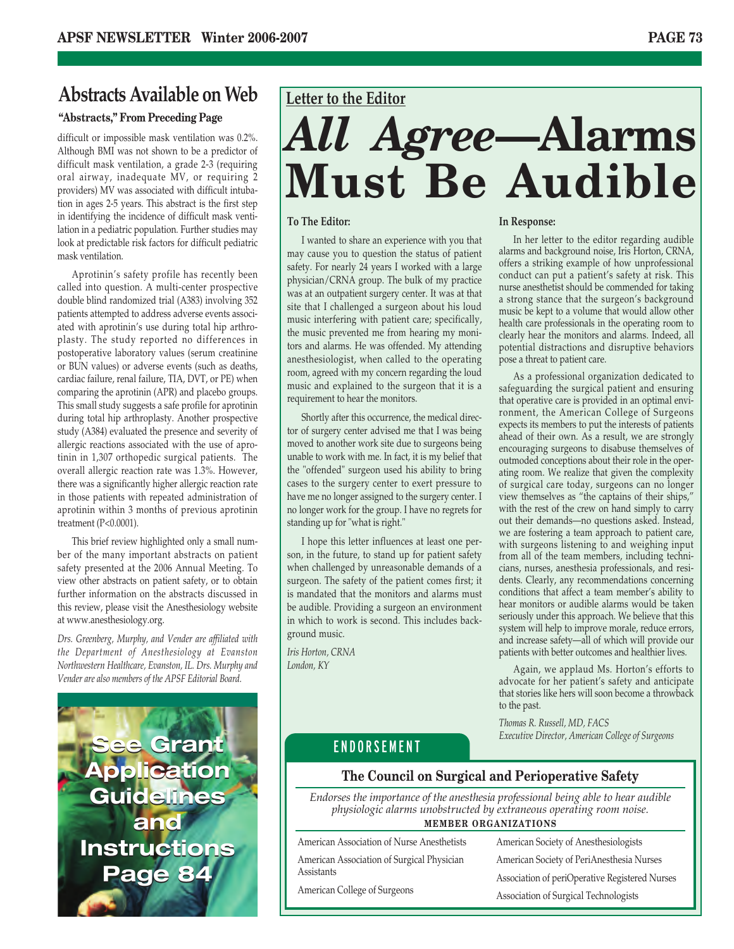## **Abstracts Available on Web Letter to the Editor**

## **"Abstracts," From Preceding Page**

difficult or impossible mask ventilation was 0.2%. Although BMI was not shown to be a predictor of difficult mask ventilation, a grade 2-3 (requiring oral airway, inadequate MV, or requiring 2 providers) MV was associated with difficult intubation in ages 2-5 years. This abstract is the first step in identifying the incidence of difficult mask ventilation in a pediatric population. Further studies may look at predictable risk factors for difficult pediatric mask ventilation.

Aprotinin's safety profile has recently been called into question. A multi-center prospective double blind randomized trial (A383) involving 352 patients attempted to address adverse events associated with aprotinin's use during total hip arthroplasty. The study reported no differences in postoperative laboratory values (serum creatinine or BUN values) or adverse events (such as deaths, cardiac failure, renal failure, TIA, DVT, or PE) when comparing the aprotinin (APR) and placebo groups. This small study suggests a safe profile for aprotinin during total hip arthroplasty. Another prospective study (A384) evaluated the presence and severity of allergic reactions associated with the use of aprotinin in 1,307 orthopedic surgical patients. The overall allergic reaction rate was 1.3%. However, there was a significantly higher allergic reaction rate in those patients with repeated administration of aprotinin within 3 months of previous aprotinin treatment (P<0.0001).

This brief review highlighted only a small number of the many important abstracts on patient safety presented at the 2006 Annual Meeting. To view other abstracts on patient safety, or to obtain further information on the abstracts discussed in this review, please visit the Anesthesiology website at www.anesthesiology.org.

*Drs. Greenberg, Murphy, and Vender are affiliated with the Department of Anesthesiology at Evanston Northwestern Healthcare, Evanston, IL. Drs. Murphy and Vender are also members of the APSF Editorial Board.*



# *All Agree***—Alarms Must Be Audible**

### **To The Editor:**

I wanted to share an experience with you that may cause you to question the status of patient safety. For nearly 24 years I worked with a large physician/CRNA group. The bulk of my practice was at an outpatient surgery center. It was at that site that I challenged a surgeon about his loud music interfering with patient care; specifically, the music prevented me from hearing my monitors and alarms. He was offended. My attending anesthesiologist, when called to the operating room, agreed with my concern regarding the loud music and explained to the surgeon that it is a requirement to hear the monitors.

Shortly after this occurrence, the medical director of surgery center advised me that I was being moved to another work site due to surgeons being unable to work with me. In fact, it is my belief that the "offended" surgeon used his ability to bring cases to the surgery center to exert pressure to have me no longer assigned to the surgery center. I no longer work for the group. I have no regrets for standing up for "what is right."

I hope this letter influences at least one person, in the future, to stand up for patient safety when challenged by unreasonable demands of a surgeon. The safety of the patient comes first; it is mandated that the monitors and alarms must be audible. Providing a surgeon an environment in which to work is second. This includes background music.

*Iris Horton, CRNA London, KY*

### **In Response:**

In her letter to the editor regarding audible alarms and background noise, Iris Horton, CRNA, offers a striking example of how unprofessional conduct can put a patient's safety at risk. This nurse anesthetist should be commended for taking a strong stance that the surgeon's background music be kept to a volume that would allow other health care professionals in the operating room to clearly hear the monitors and alarms. Indeed, all potential distractions and disruptive behaviors pose a threat to patient care.

As a professional organization dedicated to safeguarding the surgical patient and ensuring that operative care is provided in an optimal environment, the American College of Surgeons expects its members to put the interests of patients ahead of their own. As a result, we are strongly encouraging surgeons to disabuse themselves of outmoded conceptions about their role in the operating room. We realize that given the complexity of surgical care today, surgeons can no longer view themselves as "the captains of their ships," with the rest of the crew on hand simply to carry out their demands—no questions asked. Instead, we are fostering a team approach to patient care, with surgeons listening to and weighing input from all of the team members, including technicians, nurses, anesthesia professionals, and residents. Clearly, any recommendations concerning conditions that affect a team member's ability to hear monitors or audible alarms would be taken seriously under this approach. We believe that this system will help to improve morale, reduce errors, and increase safety—all of which will provide our patients with better outcomes and healthier lives.

Again, we applaud Ms. Horton's efforts to advocate for her patient's safety and anticipate that stories like hers will soon become a throwback to the past.

*Thomas R. Russell, MD, FACS Executive Director, American College of Surgeons*

## ENDORSEMENT

## **The Council on Surgical and Perioperative Safety**

*Endorses the importance of the anesthesia professional being able to hear audible physiologic alarms unobstructed by extraneous operating room noise.*

## **MEMBER ORGANIZATIONS**

American Association of Nurse Anesthetists American Association of Surgical Physician Assistants

American College of Surgeons

American Society of Anesthesiologists American Society of PeriAnesthesia Nurses Association of periOperative Registered Nurses Association of Surgical Technologists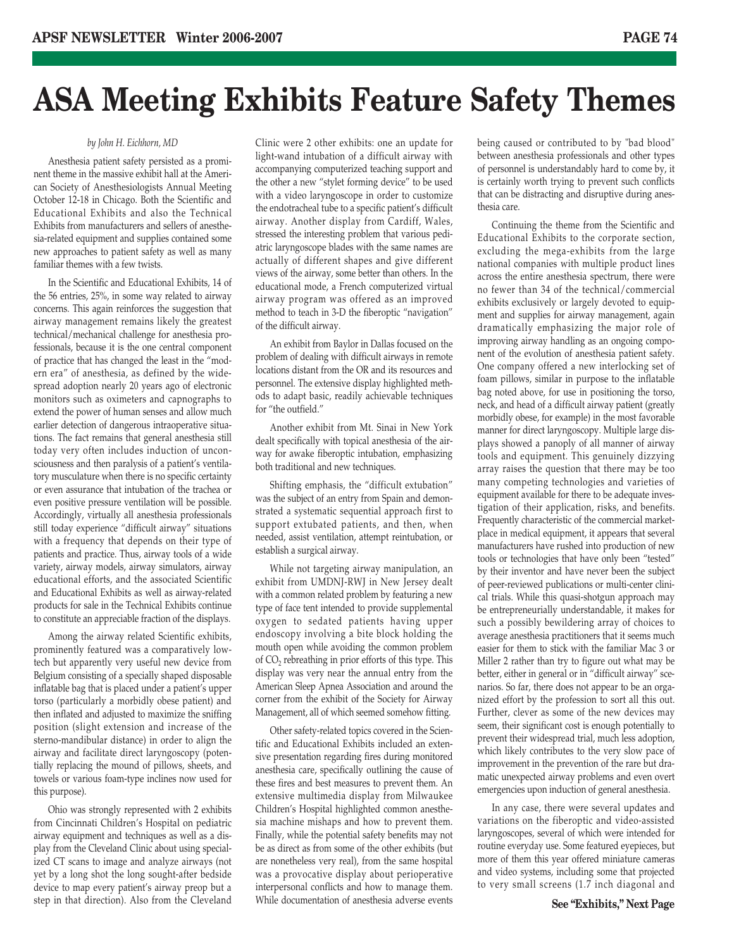## **ASA Meeting Exhibits Feature Safety Themes**

### *by John H. Eichhorn, MD*

Anesthesia patient safety persisted as a prominent theme in the massive exhibit hall at the American Society of Anesthesiologists Annual Meeting October 12-18 in Chicago. Both the Scientific and Educational Exhibits and also the Technical Exhibits from manufacturers and sellers of anesthesia-related equipment and supplies contained some new approaches to patient safety as well as many familiar themes with a few twists.

In the Scientific and Educational Exhibits, 14 of the 56 entries, 25%, in some way related to airway concerns. This again reinforces the suggestion that airway management remains likely the greatest technical/mechanical challenge for anesthesia professionals, because it is the one central component of practice that has changed the least in the "modern era" of anesthesia, as defined by the widespread adoption nearly 20 years ago of electronic monitors such as oximeters and capnographs to extend the power of human senses and allow much earlier detection of dangerous intraoperative situations. The fact remains that general anesthesia still today very often includes induction of unconsciousness and then paralysis of a patient's ventilatory musculature when there is no specific certainty or even assurance that intubation of the trachea or even positive pressure ventilation will be possible. Accordingly, virtually all anesthesia professionals still today experience "difficult airway" situations with a frequency that depends on their type of patients and practice. Thus, airway tools of a wide variety, airway models, airway simulators, airway educational efforts, and the associated Scientific and Educational Exhibits as well as airway-related products for sale in the Technical Exhibits continue to constitute an appreciable fraction of the displays.

Among the airway related Scientific exhibits, prominently featured was a comparatively lowtech but apparently very useful new device from Belgium consisting of a specially shaped disposable inflatable bag that is placed under a patient's upper torso (particularly a morbidly obese patient) and then inflated and adjusted to maximize the sniffing position (slight extension and increase of the sterno-mandibular distance) in order to align the airway and facilitate direct laryngoscopy (potentially replacing the mound of pillows, sheets, and towels or various foam-type inclines now used for this purpose).

Ohio was strongly represented with 2 exhibits from Cincinnati Children's Hospital on pediatric airway equipment and techniques as well as a display from the Cleveland Clinic about using specialized CT scans to image and analyze airways (not yet by a long shot the long sought-after bedside device to map every patient's airway preop but a step in that direction). Also from the Cleveland

Clinic were 2 other exhibits: one an update for light-wand intubation of a difficult airway with accompanying computerized teaching support and the other a new "stylet forming device" to be used with a video laryngoscope in order to customize the endotracheal tube to a specific patient's difficult airway. Another display from Cardiff, Wales, stressed the interesting problem that various pediatric laryngoscope blades with the same names are actually of different shapes and give different views of the airway, some better than others. In the educational mode, a French computerized virtual airway program was offered as an improved method to teach in 3-D the fiberoptic "navigation" of the difficult airway.

An exhibit from Baylor in Dallas focused on the problem of dealing with difficult airways in remote locations distant from the OR and its resources and personnel. The extensive display highlighted methods to adapt basic, readily achievable techniques for "the outfield."

Another exhibit from Mt. Sinai in New York dealt specifically with topical anesthesia of the airway for awake fiberoptic intubation, emphasizing both traditional and new techniques.

Shifting emphasis, the "difficult extubation" was the subject of an entry from Spain and demonstrated a systematic sequential approach first to support extubated patients, and then, when needed, assist ventilation, attempt reintubation, or establish a surgical airway.

While not targeting airway manipulation, an exhibit from UMDNJ-RWJ in New Jersey dealt with a common related problem by featuring a new type of face tent intended to provide supplemental oxygen to sedated patients having upper endoscopy involving a bite block holding the mouth open while avoiding the common problem of CO<sub>2</sub> rebreathing in prior efforts of this type. This display was very near the annual entry from the American Sleep Apnea Association and around the corner from the exhibit of the Society for Airway Management, all of which seemed somehow fitting.

Other safety-related topics covered in the Scientific and Educational Exhibits included an extensive presentation regarding fires during monitored anesthesia care, specifically outlining the cause of these fires and best measures to prevent them. An extensive multimedia display from Milwaukee Children's Hospital highlighted common anesthesia machine mishaps and how to prevent them. Finally, while the potential safety benefits may not be as direct as from some of the other exhibits (but are nonetheless very real), from the same hospital was a provocative display about perioperative interpersonal conflicts and how to manage them. While documentation of anesthesia adverse events

being caused or contributed to by "bad blood" between anesthesia professionals and other types of personnel is understandably hard to come by, it is certainly worth trying to prevent such conflicts that can be distracting and disruptive during anesthesia care.

Continuing the theme from the Scientific and Educational Exhibits to the corporate section, excluding the mega-exhibits from the large national companies with multiple product lines across the entire anesthesia spectrum, there were no fewer than 34 of the technical/commercial exhibits exclusively or largely devoted to equipment and supplies for airway management, again dramatically emphasizing the major role of improving airway handling as an ongoing component of the evolution of anesthesia patient safety. One company offered a new interlocking set of foam pillows, similar in purpose to the inflatable bag noted above, for use in positioning the torso, neck, and head of a difficult airway patient (greatly morbidly obese, for example) in the most favorable manner for direct laryngoscopy. Multiple large displays showed a panoply of all manner of airway tools and equipment. This genuinely dizzying array raises the question that there may be too many competing technologies and varieties of equipment available for there to be adequate investigation of their application, risks, and benefits. Frequently characteristic of the commercial marketplace in medical equipment, it appears that several manufacturers have rushed into production of new tools or technologies that have only been "tested" by their inventor and have never been the subject of peer-reviewed publications or multi-center clinical trials. While this quasi-shotgun approach may be entrepreneurially understandable, it makes for such a possibly bewildering array of choices to average anesthesia practitioners that it seems much easier for them to stick with the familiar Mac 3 or Miller 2 rather than try to figure out what may be better, either in general or in "difficult airway" scenarios. So far, there does not appear to be an organized effort by the profession to sort all this out. Further, clever as some of the new devices may seem, their significant cost is enough potentially to prevent their widespread trial, much less adoption, which likely contributes to the very slow pace of improvement in the prevention of the rare but dramatic unexpected airway problems and even overt emergencies upon induction of general anesthesia.

In any case, there were several updates and variations on the fiberoptic and video-assisted laryngoscopes, several of which were intended for routine everyday use. Some featured eyepieces, but more of them this year offered miniature cameras and video systems, including some that projected to very small screens (1.7 inch diagonal and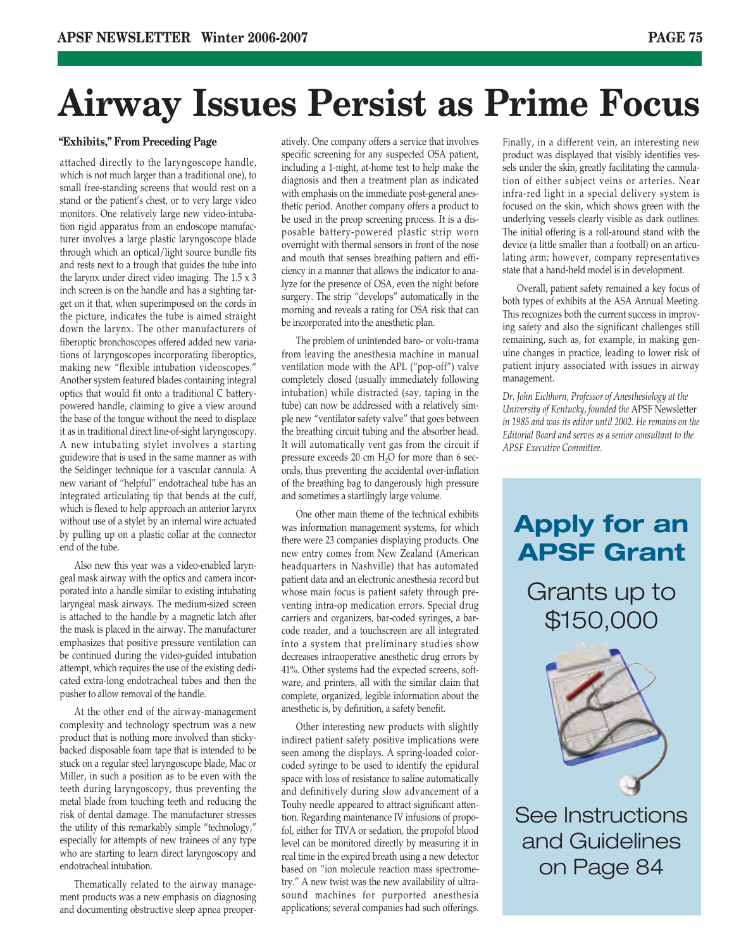## **Airway Issues Persist as Prime Focus**

## **"Exhibits," From Preceding Page**

attached directly to the laryngoscope handle, which is not much larger than a traditional one), to small free-standing screens that would rest on a stand or the patient's chest, or to very large video monitors. One relatively large new video-intubation rigid apparatus from an endoscope manufacturer involves a large plastic laryngoscope blade through which an optical/light source bundle fits and rests next to a trough that guides the tube into the larynx under direct video imaging. The 1.5 x 3 inch screen is on the handle and has a sighting target on it that, when superimposed on the cords in the picture, indicates the tube is aimed straight down the larynx. The other manufacturers of fiberoptic bronchoscopes offered added new variations of laryngoscopes incorporating fiberoptics, making new "flexible intubation videoscopes." Another system featured blades containing integral optics that would fit onto a traditional C batterypowered handle, claiming to give a view around the base of the tongue without the need to displace it as in traditional direct line-of-sight laryngoscopy. A new intubating stylet involves a starting guidewire that is used in the same manner as with the Seldinger technique for a vascular cannula. A new variant of "helpful" endotracheal tube has an integrated articulating tip that bends at the cuff, which is flexed to help approach an anterior larynx without use of a stylet by an internal wire actuated by pulling up on a plastic collar at the connector end of the tube.

Also new this year was a video-enabled laryngeal mask airway with the optics and camera incorporated into a handle similar to existing intubating laryngeal mask airways. The medium-sized screen is attached to the handle by a magnetic latch after the mask is placed in the airway. The manufacturer emphasizes that positive pressure ventilation can be continued during the video-guided intubation attempt, which requires the use of the existing dedicated extra-long endotracheal tubes and then the pusher to allow removal of the handle.

At the other end of the airway-management complexity and technology spectrum was a new product that is nothing more involved than stickybacked disposable foam tape that is intended to be stuck on a regular steel laryngoscope blade, Mac or Miller, in such a position as to be even with the teeth during laryngoscopy, thus preventing the metal blade from touching teeth and reducing the risk of dental damage. The manufacturer stresses the utility of this remarkably simple "technology," especially for attempts of new trainees of any type who are starting to learn direct laryngoscopy and endotracheal intubation.

Thematically related to the airway management products was a new emphasis on diagnosing and documenting obstructive sleep apnea preoperatively. One company offers a service that involves specific screening for any suspected OSA patient, including a 1-night, at-home test to help make the diagnosis and then a treatment plan as indicated with emphasis on the immediate post-general anesthetic period. Another company offers a product to be used in the preop screening process. It is a disposable battery-powered plastic strip worn overnight with thermal sensors in front of the nose and mouth that senses breathing pattern and efficiency in a manner that allows the indicator to analyze for the presence of OSA, even the night before surgery. The strip "develops" automatically in the morning and reveals a rating for OSA risk that can be incorporated into the anesthetic plan.

The problem of unintended baro- or volu-trama from leaving the anesthesia machine in manual ventilation mode with the APL ("pop-off") valve completely closed (usually immediately following intubation) while distracted (say, taping in the tube) can now be addressed with a relatively simple new "ventilator safety valve" that goes between the breathing circuit tubing and the absorber head. It will automatically vent gas from the circuit if pressure exceeds 20 cm  $H_2O$  for more than 6 seconds, thus preventing the accidental over-inflation of the breathing bag to dangerously high pressure and sometimes a startlingly large volume.

One other main theme of the technical exhibits was information management systems, for which there were 23 companies displaying products. One new entry comes from New Zealand (American headquarters in Nashville) that has automated patient data and an electronic anesthesia record but whose main focus is patient safety through preventing intra-op medication errors. Special drug carriers and organizers, bar-coded syringes, a barcode reader, and a touchscreen are all integrated into a system that preliminary studies show decreases intraoperative anesthetic drug errors by 41%. Other systems had the expected screens, software, and printers, all with the similar claim that complete, organized, legible information about the anesthetic is, by definition, a safety benefit.

Other interesting new products with slightly indirect patient safety positive implications were seen among the displays. A spring-loaded colorcoded syringe to be used to identify the epidural space with loss of resistance to saline automatically and definitively during slow advancement of a Touhy needle appeared to attract significant attention. Regarding maintenance IV infusions of propofol, either for TIVA or sedation, the propofol blood level can be monitored directly by measuring it in real time in the expired breath using a new detector based on "ion molecule reaction mass spectrometry." A new twist was the new availability of ultrasound machines for purported anesthesia applications; several companies had such offerings.

Finally, in a different vein, an interesting new product was displayed that visibly identifies vessels under the skin, greatly facilitating the cannulation of either subject veins or arteries. Near infra-red light in a special delivery system is focused on the skin, which shows green with the underlying vessels clearly visible as dark outlines. The initial offering is a roll-around stand with the device (a little smaller than a football) on an articulating arm; however, company representatives state that a hand-held model is in development.

Overall, patient safety remained a key focus of both types of exhibits at the ASA Annual Meeting. This recognizes both the current success in improving safety and also the significant challenges still remaining, such as, for example, in making genuine changes in practice, leading to lower risk of patient injury associated with issues in airway management.

*Dr. John Eichhorn, Professor of Anesthesiology at the University of Kentucky, founded the* APSF Newsletter *in 1985 and was its editor until 2002. He remains on the Editorial Board and serves as a senior consultant to the APSF Executive Committee.*

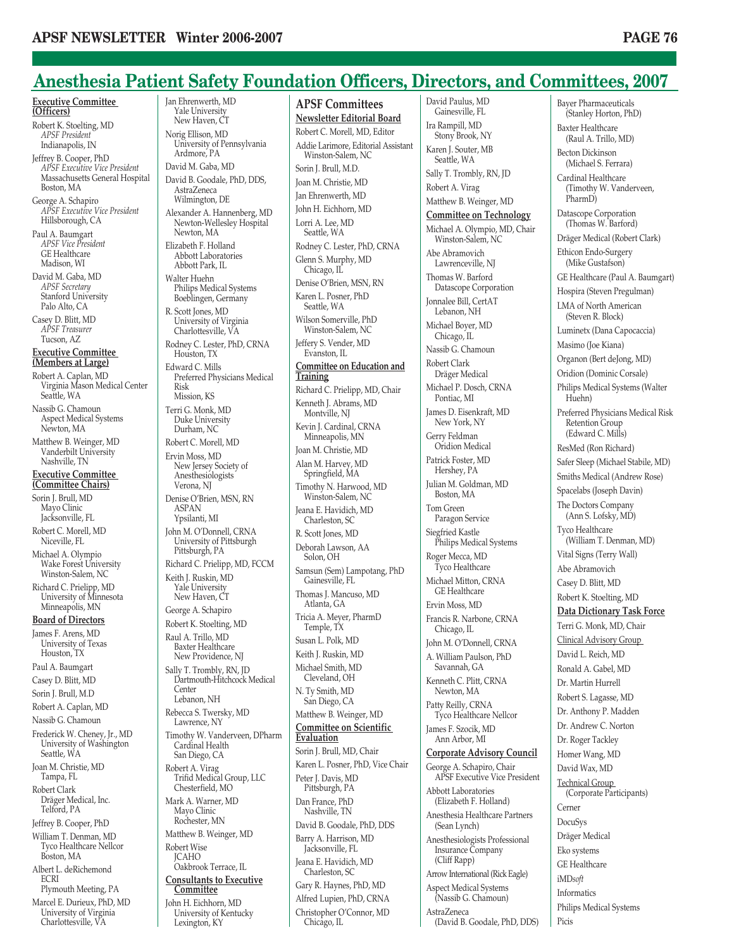## **Anesthesia Patient Safety Foundation Officers, Directors, and Committees, 2007**

**Executive Committee (Officers)** Robert K. Stoelting, MD *APSF President* Indianapolis, IN Jeffrey B. Cooper, PhD *APSF Executive Vice President* Massachusetts General Hospital Boston, MA George A. Schapiro *APSF Executive Vice President* Hillsborough, CA Paul A. Baumgart *APSF Vice President* GE Healthcare Madison, WI David M. Gaba, MD *APSF Secretary* Stanford University Palo Alto, CA Casey D. Blitt, MD *APSF Treasurer* Tucson, AZ **Executive Committee (Members at Large)** Robert A. Caplan, MD Virginia Mason Medical Center Seattle, WA Nassib G. Chamoun Aspect Medical Systems Newton, MA Matthew B. Weinger, MD Vanderbilt University Nashville, TN **Executive Committee (Committee Chairs)** Sorin J. Brull, MD Mayo Clinic Jacksonville, FL Robert C. Morell, MD Niceville, FL Michael A. Olympio Wake Forest University Winston-Salem, NC Richard C. Prielipp, MD University of Minnesota Minneapolis, MN **Board of Directors** James F. Arens, MD University of Texas Houston, TX Paul A. Baumgart Casey D. Blitt, MD Sorin J. Brull, M.D

Robert A. Caplan, MD

Nassib G. Chamoun Frederick W. Cheney, Jr., MD

University of Washington Seattle, WA Joan M. Christie, MD

Tampa, FL Robert Clark Dräger Medical, Inc.

Telford, PA Jeffrey B. Cooper, PhD

William T. Denman, MD Tyco Healthcare Nellcor Boston, MA

Albert L. deRichemond ECRI

Plymouth Meeting, PA Marcel E. Durieux, PhD, MD University of Virginia Charlottesville, VA

Jan Ehrenwerth, MD Yale University New Haven, CT Norig Ellison, MD University of Pennsylvania Ardmore, PA David M. Gaba, MD David B. Goodale, PhD, DDS, AstraZeneca Wilmington, DE Alexander A. Hannenberg, MD Newton-Wellesley Hospital Newton, MA Elizabeth F. Holland Abbott Laboratories Abbott Park, IL Walter Huehn Philips Medical Systems Boeblingen, Germany R. Scott Jones, MD University of Virginia Charlottesville, VA Rodney C. Lester, PhD, CRNA Houston, TX Edward C. Mills Preferred Physicians Medical Risk Mission, KS Terri G. Monk, MD Duke University Durham, NC Robert C. Morell, MD Ervin Moss, MD New Jersey Society of Anesthesiologists Verona, NJ Denise O'Brien, MSN, RN ASPAN Ypsilanti, MI John M. O'Donnell, CRNA University of Pittsburgh Pittsburgh, PA Richard C. Prielipp, MD, FCCM Keith J. Ruskin, MD Yale University New Haven, CT George A. Schapiro Robert K. Stoelting, MD Raul A. Trillo, MD Baxter Healthcare New Providence, NJ Sally T. Trombly, RN, JD Dartmouth-Hitchcock Medical Center Lebanon, NH Rebecca S. Twersky, MD Lawrence, NY Timothy W. Vanderveen, DPharm Cardinal Health San Diego, CA Robert A. Virag Trifid Medical Group, LLC Chesterfield, MO Mark A. Warner, MD Mayo Clinic Rochester, MN Matthew B. Weinger, MD Robert Wise JCAHO Oakbrook Terrace, IL **Consultants to Executive Committee** John H. Eichhorn, MD University of Kentucky Lexington, KY

**APSF Committees Newsletter Editorial Board** Robert C. Morell, MD, Editor Addie Larimore, Editorial Assistant Winston-Salem, NC Sorin J. Brull, M.D. Joan M. Christie, MD Jan Ehrenwerth, MD John H. Eichhorn, MD Lorri A. Lee, MD Seattle, WA Rodney C. Lester, PhD, CRNA Glenn S. Murphy, MD Chicago, IL Denise O'Brien, MSN, RN Karen L. Posner, PhD Seattle, WA Wilson Somerville, PhD Winston-Salem, NC Jeffery S. Vender, MD Evanston, IL **Committee on Education and Training** Richard C. Prielipp, MD, Chair Kenneth J. Abrams, MD Montville, NJ Kevin J. Cardinal, CRNA Minneapolis, MN Joan M. Christie, MD Alan M. Harvey, MD Springfield, MA Timothy N. Harwood, MD Winston-Salem, NC Jeana E. Havidich, MD Charleston, SC R. Scott Jones, MD Deborah Lawson, AA Solon, OH Samsun (Sem) Lampotang, PhD Gainesville, FL Thomas J. Mancuso, MD Atlanta, GA Tricia A. Meyer, PharmD Temple, TX Susan L. Polk, MD Keith J. Ruskin, MD Michael Smith, MD Cleveland, OH N. Ty Smith, MD San Diego, CA Matthew B. Weinger, MD **Committee on Scientific Evaluation** Sorin J. Brull, MD, Chair Karen L. Posner, PhD, Vice Chair Peter J. Davis, MD Pittsburgh, PA Dan France, PhD Nashville, TN David B. Goodale, PhD, DDS Barry A. Harrison, MD Jacksonville, FL Jeana E. Havidich, MD Charleston, SC Gary R. Haynes, PhD, MD Alfred Lupien, PhD, CRNA Christopher O'Connor, MD Chicago, IL

David Paulus, MD Gainesville, FL Ira Rampill, MD Stony Brook, NY Karen J. Souter, MB Seattle, WA Sally T. Trombly, RN, JD Robert A. Virag Matthew B. Weinger, MD **Committee on Technology** Michael A. Olympio, MD, Chair Winston-Salem, NC Abe Abramovich Lawrenceville, NJ Thomas W. Barford Datascope Corporation Jonnalee Bill, CertAT Lebanon, NH Michael Boyer, MD Chicago, IL Nassib G. Chamoun Robert Clark Dräger Medical Michael P. Dosch, CRNA Pontiac, MI James D. Eisenkraft, MD New York, NY Gerry Feldman Oridion Medical Patrick Foster, MD Hershey, PA Julian M. Goldman, MD Boston, MA Tom Green Paragon Service Siegfried Kastle Philips Medical Systems Roger Mecca, MD Tyco Healthcare Michael Mitton, CRNA GE Healthcare Ervin Moss, MD Francis R. Narbone, CRNA Chicago, IL John M. O'Donnell, CRNA A. William Paulson, PhD Savannah, GA Kenneth C. Plitt, CRNA Newton, MA Patty Reilly, CRNA Tyco Healthcare Nellcor James F. Szocik, MD Ann Arbor, MI **Corporate Advisory Council** George A. Schapiro, Chair APSF Executive Vice President Abbott Laboratories (Elizabeth F. Holland) Anesthesia Healthcare Partners (Sean Lynch) Anesthesiologists Professional Insurance Company (Cliff Rapp) Arrow International (Rick Eagle) Aspect Medical Systems (Nassib G. Chamoun) AstraZeneca (David B. Goodale, PhD, DDS)

Bayer Pharmaceuticals (Stanley Horton, PhD) Baxter Healthcare (Raul A. Trillo, MD) Becton Dickinson (Michael S. Ferrara) Cardinal Healthcare (Timothy W. Vanderveen, PharmD) Datascope Corporation (Thomas W. Barford) Dräger Medical (Robert Clark) Ethicon Endo-Surgery (Mike Gustafson) GE Healthcare (Paul A. Baumgart) Hospira (Steven Pregulman) LMA of North American (Steven R. Block) Luminetx (Dana Capocaccia) Masimo (Joe Kiana) Organon (Bert deJong, MD) Oridion (Dominic Corsale) Philips Medical Systems (Walter Huehn) Preferred Physicians Medical Risk Retention Group (Edward C. Mills) ResMed (Ron Richard) Safer Sleep (Michael Stabile, MD) Smiths Medical (Andrew Rose) Spacelabs (Joseph Davin) The Doctors Company (Ann S. Lofsky, MD) Tyco Healthcare (William T. Denman, MD) Vital Signs (Terry Wall) Abe Abramovich Casey D. Blitt, MD Robert K. Stoelting, MD **Data Dictionary Task Force** Terri G. Monk, MD, Chair Clinical Advisory Group David L. Reich, MD Ronald A. Gabel, MD Dr. Martin Hurrell Robert S. Lagasse, MD Dr. Anthony P. Madden Dr. Andrew C. Norton Dr. Roger Tackley Homer Wang, MD David Wax, MD Technical Group (Corporate Participants) Cerner DocuSys Dräger Medical Eko systems GE Healthcare iMD*soft* Informatics Philips Medical Systems

Picis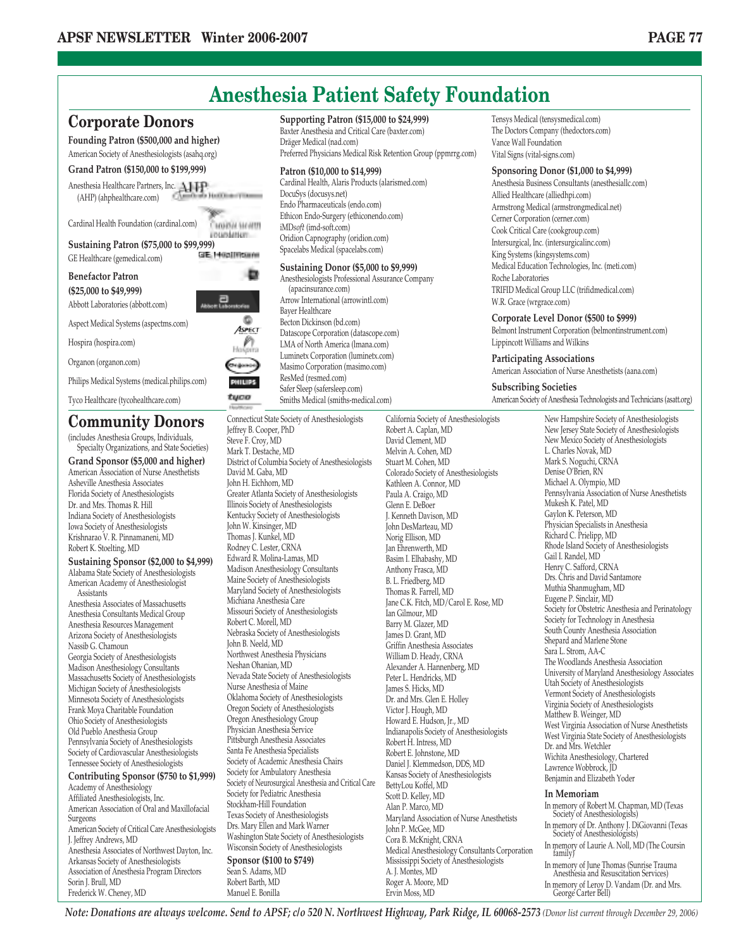

**Grand Sponsor (\$5,000 and higher)** American Association of Nurse Anesthetists Asheville Anesthesia Associates Florida Society of Anesthesiologists Dr. and Mrs. Thomas R. Hill Indiana Society of Anesthesiologists Iowa Society of Anesthesiologists Krishnarao V. R. Pinnamaneni, MD Robert K. Stoelting, MD

**Sustaining Sponsor (\$2,000 to \$4,999)** Alabama State Society of Anesthesiologists American Academy of Anesthesiologist Assistants

Anesthesia Associates of Massachusetts Anesthesia Consultants Medical Group Anesthesia Resources Management Arizona Society of Anesthesiologists Nassib G. Chamoun Georgia Society of Anesthesiologists Madison Anesthesiology Consultants Massachusetts Society of Anesthesiologists Michigan Society of Anesthesiologists Minnesota Society of Anesthesiologists Frank Moya Charitable Foundation Ohio Society of Anesthesiologists Old Pueblo Anesthesia Group Pennsylvania Society of Anesthesiologists Society of Cardiovascular Anesthesiologists Tennessee Society of Anesthesiologists

### **Contributing Sponsor (\$750 to \$1,999)** Academy of Anesthesiology

Affiliated Anesthesiologists, Inc. American Association of Oral and Maxillofacial Surgeons American Society of Critical Care Anesthesiologists J. Jeffrey Andrews, MD Anesthesia Associates of Northwest Dayton, Inc. Arkansas Society of Anesthesiologists Association of Anesthesia Program Directors Sorin J. Brull, MD Frederick W. Cheney, MD

Mark T. Destache, MD District of Columbia Society of Anesthesiologists David M. Gaba, MD John H. Eichhorn, MD Greater Atlanta Society of Anesthesiologists Illinois Society of Anesthesiologists Kentucky Society of Anesthesiologists John W. Kinsinger, MD Thomas J. Kunkel, MD Rodney C. Lester, CRNA Edward R. Molina-Lamas, MD Madison Anesthesiology Consultants Maine Society of Anesthesiologists Maryland Society of Anesthesiologists Michiana Anesthesia Care Missouri Society of Anesthesiologists Robert C. Morell, MD Nebraska Society of Anesthesiologists John B. Neeld, MD Northwest Anesthesia Physicians Neshan Ohanian, MD Nevada State Society of Anesthesiologists Nurse Anesthesia of Maine Oklahoma Society of Anesthesiologists Oregon Society of Anesthesiologists Oregon Anesthesiology Group Physician Anesthesia Service Pittsburgh Anesthesia Associates Santa Fe Anesthesia Specialists Society of Academic Anesthesia Chairs Society for Ambulatory Anesthesia Society of Neurosurgical Anesthesia and Critical Care Society for Pediatric Anesthesia Stockham-Hill Foundation Texas Society of Anesthesiologists Drs. Mary Ellen and Mark Warner Washington State Society of Anesthesiologists Wisconsin Society of Anesthesiologists **Sponsor (\$100 to \$749)** Sean S. Adams, MD Robert Barth, MD

Manuel E. Bonilla

Melvin A. Cohen, MD Stuart M. Cohen, MD Colorado Society of Anesthesiologists Kathleen A. Connor, MD Paula A. Craigo, MD Glenn E. DeBoer J. Kenneth Davison, MD John DesMarteau, MD Norig Ellison, MD Jan Ehrenwerth, MD Basim I. Elhabashy, MD Anthony Frasca, MD B. L. Friedberg, MD Thomas R. Farrell, MD Jane C.K. Fitch, MD/Carol E. Rose, MD Ian Gilmour, MD Barry M. Glazer, MD James D. Grant, MD Griffin Anesthesia Associates William D. Heady, CRNA Alexander A. Hannenberg, MD Peter L. Hendricks, MD James S. Hicks, MD Dr. and Mrs. Glen E. Holley Victor J. Hough, MD Howard E. Hudson, Jr., MD Indianapolis Society of Anesthesiologists Robert H. Intress, MD Robert E. Johnstone, MD Daniel J. Klemmedson, DDS, MD Kansas Society of Anesthesiologists BettyLou Koffel, MD Scott D. Kelley, MD Alan P. Marco, MD Maryland Association of Nurse Anesthetists John P. McGee, MD Cora B. McKnight, CRNA Medical Anesthesiology Consultants Corporation Mississippi Society of Anesthesiologists A. J. Montes, MD Roger A. Moore, MD Ervin Moss, MD

Tensys Medical (tensysmedical.com) The Doctors Company (thedoctors.com)

### **Sponsoring Donor (\$1,000 to \$4,999)**

Anesthesia Business Consultants (anesthesiallc.com) Allied Healthcare (alliedhpi.com) Armstrong Medical (armstrongmedical.net) Cerner Corporation (cerner.com) Cook Critical Care (cookgroup.com) Intersurgical, Inc. (intersurgicalinc.com) King Systems (kingsystems.com) Medical Education Technologies, Inc. (meti.com) TRIFID Medical Group LLC (trifidmedical.com)

### **Corporate Level Donor (\$500 to \$999)**

Belmont Instrument Corporation (belmontinstrument.com) Lippincott Williams and Wilkins

### **Participating Associations**

American Association of Nurse Anesthetists (aana.com)

American Society of Anesthesia Technologists and Technicians (asatt.org)

New Hampshire Society of Anesthesiologists New Jersey State Society of Anesthesiologists New Mexico Society of Anesthesiologists L. Charles Novak, MD Mark S. Noguchi, CRNA Denise O'Brien, RN Michael A. Olympio, MD Pennsylvania Association of Nurse Anesthetists Mukesh K. Patel, MD Gaylon K. Peterson, MD Physician Specialists in Anesthesia Richard C. Prielipp, MD Rhode Island Society of Anesthesiologists Gail I. Randel, MD Henry C. Safford, CRNA Drs. Chris and David Santamore Muthia Shanmugham, MD Eugene P. Sinclair, MD Society for Obstetric Anesthesia and Perinatology Society for Technology in Anesthesia South County Anesthesia Association Shepard and Marlene Stone Sara L. Strom, AA-C The Woodlands Anesthesia Association University of Maryland Anesthesiology Associates Utah Society of Anesthesiologists Vermont Society of Anesthesiologists Virginia Society of Anesthesiologists Matthew B. Weinger, MD West Virginia Association of Nurse Anesthetists West Virginia State Society of Anesthesiologists Dr. and Mrs. Wetchler Wichita Anesthesiology, Chartered Lawrence Wobbrock, JD Benjamin and Elizabeth Yoder

### **In Memoriam**

In memory of Robert M. Chapman, MD (Texas Society of Anesthesiologists) In memory of Dr. Anthony J. DiGiovanni (Texas Society of Anesthesiologists) In memory of Laurie A. Noll, MD (The Coursin family) In memory of June Thomas (Sunrise Trauma Anesthesia and Resuscitation Services) In memory of Leroy D. Vandam (Dr. and Mrs. George Carter Bell)

*Note: Donations are always welcome. Send to APSF; c/o 520 N. Northwest Highway, Park Ridge, IL 60068-2573 (Donor list current through December 29, 2006)*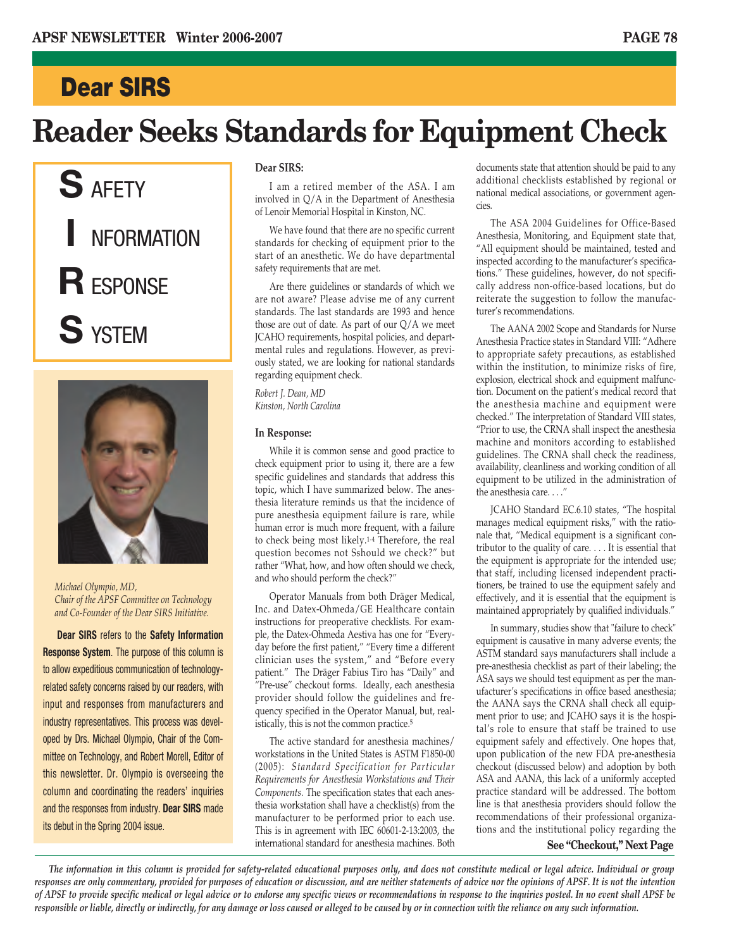## **Dear SIRS**

## **Reader Seeks Standards for Equipment Check**





*Michael Olympio, MD, Chair of the APSF Committee on Technology and Co-Founder of the Dear SIRS Initiative.*

**Dear SIRS** refers to the **Safety Information Response System**. The purpose of this column is to allow expeditious communication of technologyrelated safety concerns raised by our readers, with input and responses from manufacturers and industry representatives. This process was developed by Drs. Michael Olympio, Chair of the Committee on Technology, and Robert Morell, Editor of this newsletter. Dr. Olympio is overseeing the column and coordinating the readers' inquiries and the responses from industry. **Dear SIRS** made its debut in the Spring 2004 issue.

### **Dear SIRS:**

I am a retired member of the ASA. I am involved in Q/A in the Department of Anesthesia of Lenoir Memorial Hospital in Kinston, NC.

We have found that there are no specific current standards for checking of equipment prior to the start of an anesthetic. We do have departmental safety requirements that are met.

Are there guidelines or standards of which we are not aware? Please advise me of any current standards. The last standards are 1993 and hence those are out of date. As part of our Q/A we meet JCAHO requirements, hospital policies, and departmental rules and regulations. However, as previously stated, we are looking for national standards regarding equipment check.

*Robert J. Dean, MD Kinston, North Carolina*

### **In Response:**

While it is common sense and good practice to check equipment prior to using it, there are a few specific guidelines and standards that address this topic, which I have summarized below. The anesthesia literature reminds us that the incidence of pure anesthesia equipment failure is rare, while human error is much more frequent, with a failure to check being most likely.1-4 Therefore, the real question becomes not Sshould we check?" but rather "What, how, and how often should we check, and who should perform the check?"

Operator Manuals from both Dräger Medical, Inc. and Datex-Ohmeda/GE Healthcare contain instructions for preoperative checklists. For example, the Datex-Ohmeda Aestiva has one for "Everyday before the first patient," "Every time a different clinician uses the system," and "Before every patient." The Dräger Fabius Tiro has "Daily" and "Pre-use" checkout forms. Ideally, each anesthesia provider should follow the guidelines and frequency specified in the Operator Manual, but, realistically, this is not the common practice.5

The active standard for anesthesia machines/ workstations in the United States is ASTM F1850-00 (2005): *Standard Specification for Particular Requirements for Anesthesia Workstations and Their Components.* The specification states that each anesthesia workstation shall have a checklist(s) from the manufacturer to be performed prior to each use. This is in agreement with IEC 60601-2-13:2003, the international standard for anesthesia machines. Both

documents state that attention should be paid to any additional checklists established by regional or national medical associations, or government agencies.

The ASA 2004 Guidelines for Office-Based Anesthesia, Monitoring, and Equipment state that, "All equipment should be maintained, tested and inspected according to the manufacturer's specifications." These guidelines, however, do not specifically address non-office-based locations, but do reiterate the suggestion to follow the manufacturer's recommendations.

The AANA 2002 Scope and Standards for Nurse Anesthesia Practice states in Standard VIII: "Adhere to appropriate safety precautions, as established within the institution, to minimize risks of fire, explosion, electrical shock and equipment malfunction. Document on the patient's medical record that the anesthesia machine and equipment were checked." The interpretation of Standard VIII states, "Prior to use, the CRNA shall inspect the anesthesia machine and monitors according to established guidelines. The CRNA shall check the readiness, availability, cleanliness and working condition of all equipment to be utilized in the administration of the anesthesia care. . . ."

JCAHO Standard EC.6.10 states, "The hospital manages medical equipment risks," with the rationale that, "Medical equipment is a significant contributor to the quality of care. . . . It is essential that the equipment is appropriate for the intended use; that staff, including licensed independent practitioners, be trained to use the equipment safely and effectively, and it is essential that the equipment is maintained appropriately by qualified individuals."

In summary, studies show that "failure to check" equipment is causative in many adverse events; the ASTM standard says manufacturers shall include a pre-anesthesia checklist as part of their labeling; the ASA says we should test equipment as per the manufacturer's specifications in office based anesthesia; the AANA says the CRNA shall check all equipment prior to use; and JCAHO says it is the hospital's role to ensure that staff be trained to use equipment safely and effectively. One hopes that, upon publication of the new FDA pre-anesthesia checkout (discussed below) and adoption by both ASA and AANA, this lack of a uniformly accepted practice standard will be addressed. The bottom line is that anesthesia providers should follow the recommendations of their professional organizations and the institutional policy regarding the

**See "Checkout," Next Page**

*The information in this column is provided for safety-related educational purposes only, and does not constitute medical or legal advice. Individual or group responses are only commentary, provided for purposes of education or discussion, and are neither statements of advice nor the opinions of APSF. It is not the intention of APSF to provide specific medical or legal advice or to endorse any specific views or recommendations in response to the inquiries posted. In no event shall APSF be responsible or liable, directly or indirectly, for any damage or loss caused or alleged to be caused by or in connection with the reliance on any such information.*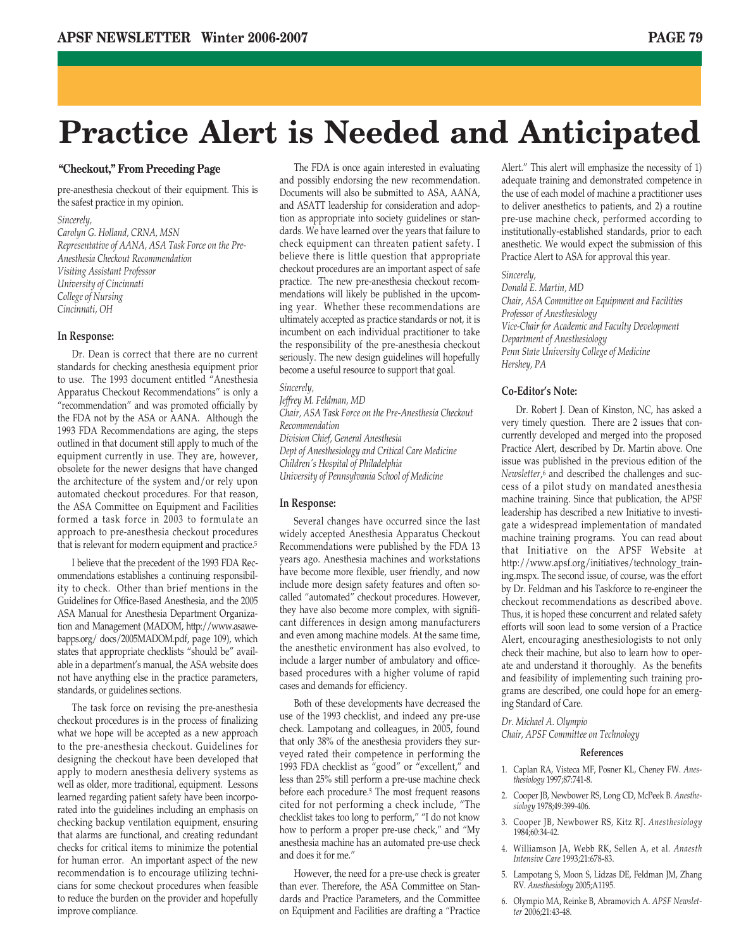## **Practice Alert is Needed and Anticipated**

## **"Checkout," From Preceding Page**

pre-anesthesia checkout of their equipment. This is the safest practice in my opinion.

### *Sincerely,*

*Carolyn G. Holland, CRNA, MSN Representative of AANA, ASA Task Force on the Pre-Anesthesia Checkout Recommendation Visiting Assistant Professor University of Cincinnati College of Nursing Cincinnati, OH*

### **In Response:**

Dr. Dean is correct that there are no current standards for checking anesthesia equipment prior to use. The 1993 document entitled "Anesthesia Apparatus Checkout Recommendations" is only a "recommendation" and was promoted officially by the FDA not by the ASA or AANA. Although the 1993 FDA Recommendations are aging, the steps outlined in that document still apply to much of the equipment currently in use. They are, however, obsolete for the newer designs that have changed the architecture of the system and/or rely upon automated checkout procedures. For that reason, the ASA Committee on Equipment and Facilities formed a task force in 2003 to formulate an approach to pre-anesthesia checkout procedures that is relevant for modern equipment and practice.5

I believe that the precedent of the 1993 FDA Recommendations establishes a continuing responsibility to check. Other than brief mentions in the Guidelines for Office-Based Anesthesia, and the 2005 ASA Manual for Anesthesia Department Organization and Management (MADOM, http://www.asawebapps.org/ docs/2005MADOM.pdf, page 109), which states that appropriate checklists "should be" available in a department's manual, the ASA website does not have anything else in the practice parameters, standards, or guidelines sections.

The task force on revising the pre-anesthesia checkout procedures is in the process of finalizing what we hope will be accepted as a new approach to the pre-anesthesia checkout. Guidelines for designing the checkout have been developed that apply to modern anesthesia delivery systems as well as older, more traditional, equipment. Lessons learned regarding patient safety have been incorporated into the guidelines including an emphasis on checking backup ventilation equipment, ensuring that alarms are functional, and creating redundant checks for critical items to minimize the potential for human error. An important aspect of the new recommendation is to encourage utilizing technicians for some checkout procedures when feasible to reduce the burden on the provider and hopefully improve compliance.

The FDA is once again interested in evaluating and possibly endorsing the new recommendation. Documents will also be submitted to ASA, AANA, and ASATT leadership for consideration and adoption as appropriate into society guidelines or standards. We have learned over the years that failure to check equipment can threaten patient safety. I believe there is little question that appropriate checkout procedures are an important aspect of safe practice. The new pre-anesthesia checkout recommendations will likely be published in the upcoming year. Whether these recommendations are ultimately accepted as practice standards or not, it is incumbent on each individual practitioner to take the responsibility of the pre-anesthesia checkout seriously. The new design guidelines will hopefully become a useful resource to support that goal.

### *Sincerely,*

*Jeffrey M. Feldman, MD Chair, ASA Task Force on the Pre-Anesthesia Checkout Recommendation Division Chief, General Anesthesia Dept of Anesthesiology and Critical Care Medicine Children's Hospital of Philadelphia University of Pennsylvania School of Medicine*

### **In Response:**

Several changes have occurred since the last widely accepted Anesthesia Apparatus Checkout Recommendations were published by the FDA 13 years ago. Anesthesia machines and workstations have become more flexible, user friendly, and now include more design safety features and often socalled "automated" checkout procedures. However, they have also become more complex, with significant differences in design among manufacturers and even among machine models. At the same time, the anesthetic environment has also evolved, to include a larger number of ambulatory and officebased procedures with a higher volume of rapid cases and demands for efficiency.

Both of these developments have decreased the use of the 1993 checklist, and indeed any pre-use check. Lampotang and colleagues, in 2005, found that only 38% of the anesthesia providers they surveyed rated their competence in performing the 1993 FDA checklist as "good" or "excellent," and less than 25% still perform a pre-use machine check before each procedure.5 The most frequent reasons cited for not performing a check include, "The checklist takes too long to perform," "I do not know how to perform a proper pre-use check," and "My anesthesia machine has an automated pre-use check and does it for me."

However, the need for a pre-use check is greater than ever. Therefore, the ASA Committee on Standards and Practice Parameters, and the Committee on Equipment and Facilities are drafting a "Practice Alert." This alert will emphasize the necessity of 1) adequate training and demonstrated competence in the use of each model of machine a practitioner uses to deliver anesthetics to patients, and 2) a routine pre-use machine check, performed according to institutionally-established standards, prior to each anesthetic. We would expect the submission of this Practice Alert to ASA for approval this year.

### *Sincerely,*

*Donald E. Martin, MD Chair, ASA Committee on Equipment and Facilities Professor of Anesthesiology Vice-Chair for Academic and Faculty Development Department of Anesthesiology Penn State University College of Medicine Hershey, PA*

## **Co-Editor's Note:**

Dr. Robert J. Dean of Kinston, NC, has asked a very timely question. There are 2 issues that concurrently developed and merged into the proposed Practice Alert, described by Dr. Martin above. One issue was published in the previous edition of the *Newsletter*,6 and described the challenges and success of a pilot study on mandated anesthesia machine training. Since that publication, the APSF leadership has described a new Initiative to investigate a widespread implementation of mandated machine training programs. You can read about that Initiative on the APSF Website at http://www.apsf.org/initiatives/technology\_training.mspx. The second issue, of course, was the effort by Dr. Feldman and his Taskforce to re-engineer the checkout recommendations as described above. Thus, it is hoped these concurrent and related safety efforts will soon lead to some version of a Practice Alert, encouraging anesthesiologists to not only check their machine, but also to learn how to operate and understand it thoroughly. As the benefits and feasibility of implementing such training programs are described, one could hope for an emerging Standard of Care.

*Dr. Michael A. Olympio*

*Chair, APSF Committee on Technology*

### **References**

- 1. Caplan RA, Visteca MF, Posner KL, Cheney FW. *Anesthesiology* 1997;87:741-8.
- 2. Cooper JB, Newbower RS, Long CD, McPeek B. *Anesthesiology* 1978;49:399-406.
- 3. Cooper JB, Newbower RS, Kitz RJ. *Anesthesiology* 1984;60:34-42.
- 4. Williamson JA, Webb RK, Sellen A, et al. *Anaesth Intensive Care* 1993;21:678-83.
- 5. Lampotang S, Moon S, Lidzas DE, Feldman JM, Zhang RV. *Anesthesiology* 2005;A1195.
- 6. Olympio MA, Reinke B, Abramovich A. *APSF Newsletter* 2006;21:43-48.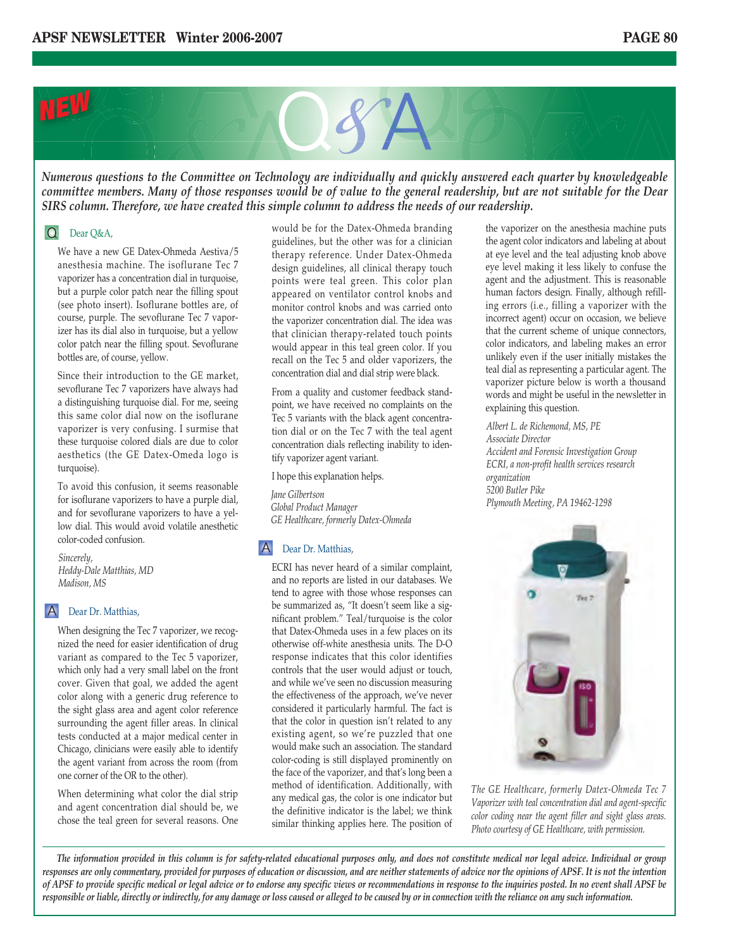

*Numerous questions to the Committee on Technology are individually and quickly answered each quarter by knowledgeable committee members. Many of those responses would be of value to the general readership, but are not suitable for the Dear SIRS column. Therefore, we have created this simple column to address the needs of our readership.*

### $\Omega$ Dear Q&A,

We have a new GE Datex-Ohmeda Aestiva/5 anesthesia machine. The isoflurane Tec 7 vaporizer has a concentration dial in turquoise, but a purple color patch near the filling spout (see photo insert). Isoflurane bottles are, of course, purple. The sevoflurane Tec 7 vaporizer has its dial also in turquoise, but a yellow color patch near the filling spout. Sevoflurane bottles are, of course, yellow.

Since their introduction to the GE market, sevoflurane Tec 7 vaporizers have always had a distinguishing turquoise dial. For me, seeing this same color dial now on the isoflurane vaporizer is very confusing. I surmise that these turquoise colored dials are due to color aesthetics (the GE Datex-Omeda logo is turquoise).

To avoid this confusion, it seems reasonable for isoflurane vaporizers to have a purple dial, and for sevoflurane vaporizers to have a yellow dial. This would avoid volatile anesthetic color-coded confusion.

*Sincerely, Heddy-Dale Matthias, MD Madison, MS*

## A Dear Dr. Matthias,

When designing the Tec 7 vaporizer, we recognized the need for easier identification of drug variant as compared to the Tec 5 vaporizer, which only had a very small label on the front cover. Given that goal, we added the agent color along with a generic drug reference to the sight glass area and agent color reference surrounding the agent filler areas. In clinical tests conducted at a major medical center in Chicago, clinicians were easily able to identify the agent variant from across the room (from one corner of the OR to the other).

When determining what color the dial strip and agent concentration dial should be, we chose the teal green for several reasons. One would be for the Datex-Ohmeda branding guidelines, but the other was for a clinician therapy reference. Under Datex-Ohmeda design guidelines, all clinical therapy touch points were teal green. This color plan appeared on ventilator control knobs and monitor control knobs and was carried onto the vaporizer concentration dial. The idea was that clinician therapy-related touch points would appear in this teal green color. If you recall on the Tec 5 and older vaporizers, the concentration dial and dial strip were black.

From a quality and customer feedback standpoint, we have received no complaints on the Tec 5 variants with the black agent concentration dial or on the Tec 7 with the teal agent concentration dials reflecting inability to identify vaporizer agent variant.

I hope this explanation helps.

*Jane Gilbertson Global Product Manager GE Healthcare, formerly Datex-Ohmeda*

## A Dear Dr. Matthias,

ECRI has never heard of a similar complaint, and no reports are listed in our databases. We tend to agree with those whose responses can be summarized as, "It doesn't seem like a significant problem." Teal/turquoise is the color that Datex-Ohmeda uses in a few places on its otherwise off-white anesthesia units. The D-O response indicates that this color identifies controls that the user would adjust or touch, and while we've seen no discussion measuring the effectiveness of the approach, we've never considered it particularly harmful. The fact is that the color in question isn't related to any existing agent, so we're puzzled that one would make such an association. The standard color-coding is still displayed prominently on the face of the vaporizer, and that's long been a method of identification. Additionally, with any medical gas, the color is one indicator but the definitive indicator is the label; we think similar thinking applies here. The position of the vaporizer on the anesthesia machine puts the agent color indicators and labeling at about at eye level and the teal adjusting knob above eye level making it less likely to confuse the agent and the adjustment. This is reasonable human factors design. Finally, although refilling errors (i.e., filling a vaporizer with the incorrect agent) occur on occasion, we believe that the current scheme of unique connectors, color indicators, and labeling makes an error unlikely even if the user initially mistakes the teal dial as representing a particular agent. The vaporizer picture below is worth a thousand words and might be useful in the newsletter in explaining this question.

*Albert L. de Richemond, MS, PE Associate Director Accident and Forensic Investigation Group ECRI, a non-profit health services research organization 5200 Butler Pike Plymouth Meeting, PA 19462-1298*



*The GE Healthcare, formerly Datex-Ohmeda Tec 7 Vaporizer with teal concentration dial and agent-specific color coding near the agent filler and sight glass areas. Photo courtesy of GE Healthcare, with permission.*

*The information provided in this column is for safety-related educational purposes only, and does not constitute medical nor legal advice. Individual or group responses are only commentary, provided for purposes of education or discussion, and are neither statements of advice nor the opinions of APSF. It is not the intention of APSF to provide specific medical or legal advice or to endorse any specific views or recommendations in response to the inquiries posted. In no event shall APSF be responsible or liable, directly or indirectly, for any damage or loss caused or alleged to be caused by or in connection with the reliance on any such information.*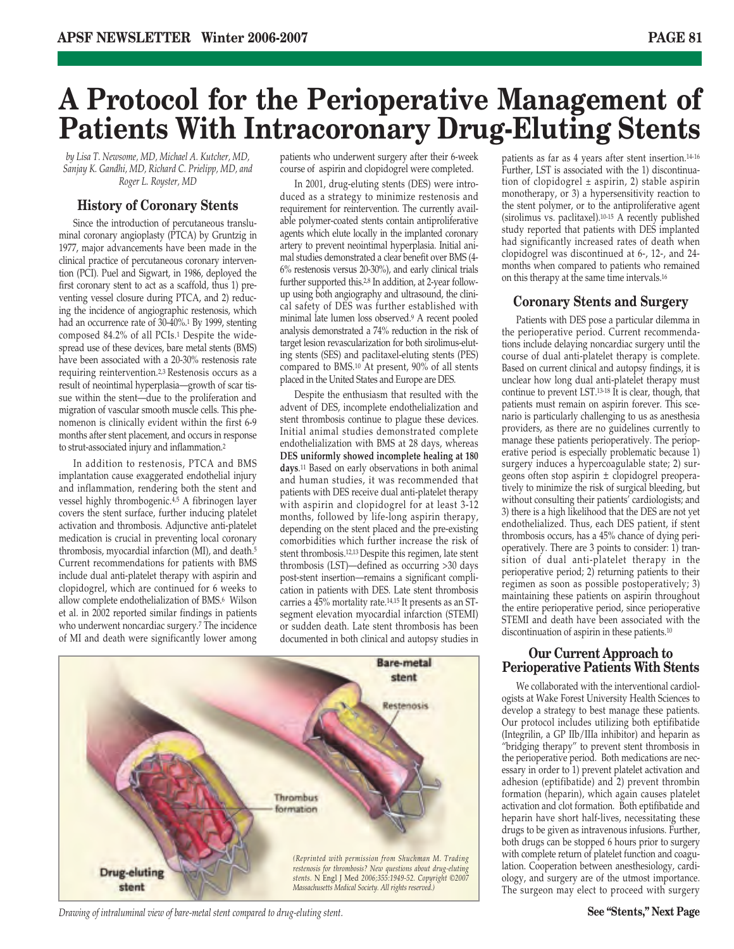## **A Protocol for the Perioperative Management of Patients With Intracoronary Drug-Eluting Stents**

*by Lisa T. Newsome, MD, Michael A. Kutcher, MD, Sanjay K. Gandhi, MD, Richard C. Prielipp, MD, and Roger L. Royster, MD* 

## **History of Coronary Stents**

Since the introduction of percutaneous transluminal coronary angioplasty (PTCA) by Gruntzig in 1977, major advancements have been made in the clinical practice of percutaneous coronary intervention (PCI). Puel and Sigwart, in 1986, deployed the first coronary stent to act as a scaffold, thus 1) preventing vessel closure during PTCA, and 2) reducing the incidence of angiographic restenosis, which had an occurrence rate of 30-40%.1 By 1999, stenting composed 84.2% of all PCIs.1 Despite the widespread use of these devices, bare metal stents (BMS) have been associated with a 20-30% restenosis rate requiring reintervention.2,3 Restenosis occurs as a result of neointimal hyperplasia—growth of scar tissue within the stent—due to the proliferation and migration of vascular smooth muscle cells. This phenomenon is clinically evident within the first 6-9 months after stent placement, and occurs in response to strut-associated injury and inflammation.2

In addition to restenosis, PTCA and BMS implantation cause exaggerated endothelial injury and inflammation, rendering both the stent and vessel highly thrombogenic.4,5 A fibrinogen layer covers the stent surface, further inducing platelet activation and thrombosis. Adjunctive anti-platelet medication is crucial in preventing local coronary thrombosis, myocardial infarction (MI), and death.5 Current recommendations for patients with BMS include dual anti-platelet therapy with aspirin and clopidogrel, which are continued for 6 weeks to allow complete endothelialization of BMS.6 Wilson et al. in 2002 reported similar findings in patients who underwent noncardiac surgery.7 The incidence of MI and death were significantly lower among

patients who underwent surgery after their 6-week course of aspirin and clopidogrel were completed.

In 2001, drug-eluting stents (DES) were introduced as a strategy to minimize restenosis and requirement for reintervention. The currently available polymer-coated stents contain antiproliferative agents which elute locally in the implanted coronary artery to prevent neointimal hyperplasia. Initial animal studies demonstrated a clear benefit over BMS (4- 6% restenosis versus 20-30%), and early clinical trials further supported this.<sup>2,8</sup> In addition, at 2-year followup using both angiography and ultrasound, the clinical safety of DES was further established with minimal late lumen loss observed.9 A recent pooled analysis demonstrated a 74% reduction in the risk of target lesion revascularization for both sirolimus-eluting stents (SES) and paclitaxel-eluting stents (PES) compared to BMS.10 At present, 90% of all stents placed in the United States and Europe are DES.

Despite the enthusiasm that resulted with the advent of DES, incomplete endothelialization and stent thrombosis continue to plague these devices. Initial animal studies demonstrated complete endothelialization with BMS at 28 days, whereas **DES uniformly showed incomplete healing at 180 days**.11 Based on early observations in both animal and human studies, it was recommended that patients with DES receive dual anti-platelet therapy with aspirin and clopidogrel for at least 3-12 months, followed by life-long aspirin therapy, depending on the stent placed and the pre-existing comorbidities which further increase the risk of stent thrombosis.12,13 Despite this regimen, late stent thrombosis (LST)—defined as occurring >30 days post-stent insertion—remains a significant complication in patients with DES. Late stent thrombosis carries a 45% mortality rate.14,15 It presents as an STsegment elevation myocardial infarction (STEMI) or sudden death. Late stent thrombosis has been documented in both clinical and autopsy studies in



*Drawing of intraluminal view of bare-metal stent compared to drug-eluting stent.* **See "Stents," Next Page** 

patients as far as 4 years after stent insertion.14-16 Further, LST is associated with the 1) discontinuation of clopidogrel  $\pm$  aspirin, 2) stable aspirin monotherapy, or 3) a hypersensitivity reaction to the stent polymer, or to the antiproliferative agent (sirolimus vs. paclitaxel).10-15 A recently published study reported that patients with DES implanted had significantly increased rates of death when clopidogrel was discontinued at 6-, 12-, and 24 months when compared to patients who remained on this therapy at the same time intervals.16

## **Coronary Stents and Surgery**

Patients with DES pose a particular dilemma in the perioperative period. Current recommendations include delaying noncardiac surgery until the course of dual anti-platelet therapy is complete. Based on current clinical and autopsy findings, it is unclear how long dual anti-platelet therapy must continue to prevent LST.13-18 It is clear, though, that patients must remain on aspirin forever. This scenario is particularly challenging to us as anesthesia providers, as there are no guidelines currently to manage these patients perioperatively. The perioperative period is especially problematic because 1) surgery induces a hypercoagulable state; 2) surgeons often stop aspirin ± clopidogrel preoperatively to minimize the risk of surgical bleeding, but without consulting their patients' cardiologists; and 3) there is a high likelihood that the DES are not yet endothelialized. Thus, each DES patient, if stent thrombosis occurs, has a 45% chance of dying perioperatively. There are 3 points to consider: 1) transition of dual anti-platelet therapy in the perioperative period; 2) returning patients to their regimen as soon as possible postoperatively; 3) maintaining these patients on aspirin throughout the entire perioperative period, since perioperative STEMI and death have been associated with the discontinuation of aspirin in these patients.10

## **Our Current Approach to Perioperative Patients With Stents**

We collaborated with the interventional cardiologists at Wake Forest University Health Sciences to develop a strategy to best manage these patients. Our protocol includes utilizing both eptifibatide (Integrilin, a GP IIb/IIIa inhibitor) and heparin as "bridging therapy" to prevent stent thrombosis in the perioperative period. Both medications are necessary in order to 1) prevent platelet activation and adhesion (eptifibatide) and 2) prevent thrombin formation (heparin), which again causes platelet activation and clot formation. Both eptifibatide and heparin have short half-lives, necessitating these drugs to be given as intravenous infusions. Further, both drugs can be stopped 6 hours prior to surgery with complete return of platelet function and coagulation. Cooperation between anesthesiology, cardiology, and surgery are of the utmost importance. The surgeon may elect to proceed with surgery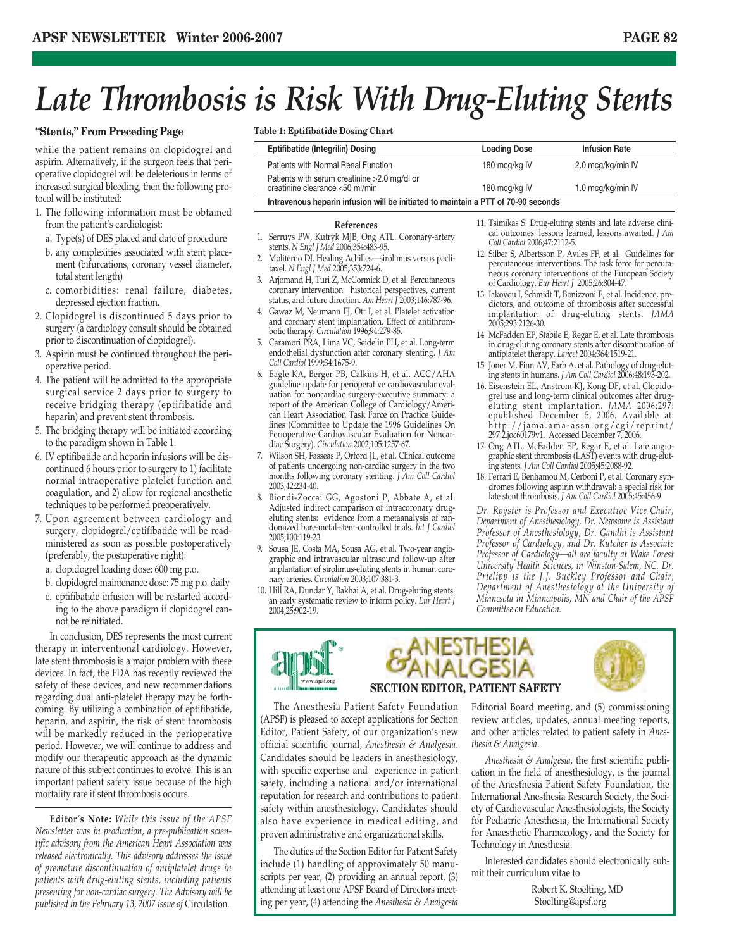## *Late Thrombosis is Risk With Drug-Eluting Stents*

## **"Stents," From Preceding Page**

while the patient remains on clopidogrel and aspirin. Alternatively, if the surgeon feels that perioperative clopidogrel will be deleterious in terms of increased surgical bleeding, then the following protocol will be instituted:

- 1. The following information must be obtained from the patient's cardiologist:
	- a. Type(s) of DES placed and date of procedure
	- b. any complexities associated with stent placement (bifurcations, coronary vessel diameter, total stent length)
	- c. comorbidities: renal failure, diabetes, depressed ejection fraction.
- 2. Clopidogrel is discontinued 5 days prior to surgery (a cardiology consult should be obtained prior to discontinuation of clopidogrel).
- 3. Aspirin must be continued throughout the perioperative period.
- 4. The patient will be admitted to the appropriate surgical service 2 days prior to surgery to receive bridging therapy (eptifibatide and heparin) and prevent stent thrombosis.
- 5. The bridging therapy will be initiated according to the paradigm shown in Table 1.
- 6. IV eptifibatide and heparin infusions will be discontinued 6 hours prior to surgery to 1) facilitate normal intraoperative platelet function and coagulation, and 2) allow for regional anesthetic techniques to be performed preoperatively.
- 7. Upon agreement between cardiology and surgery, clopidogrel/eptifibatide will be readministered as soon as possible postoperatively (preferably, the postoperative night):
	- a. clopidogrel loading dose: 600 mg p.o.
	- b. clopidogrel maintenance dose: 75 mg p.o. daily
	- c. eptifibatide infusion will be restarted according to the above paradigm if clopidogrel cannot be reinitiated.

In conclusion, DES represents the most current therapy in interventional cardiology. However, late stent thrombosis is a major problem with these devices. In fact, the FDA has recently reviewed the safety of these devices, and new recommendations regarding dual anti-platelet therapy may be forthcoming. By utilizing a combination of eptifibatide, heparin, and aspirin, the risk of stent thrombosis will be markedly reduced in the perioperative period. However, we will continue to address and modify our therapeutic approach as the dynamic nature of this subject continues to evolve. This is an important patient safety issue because of the high mortality rate if stent thrombosis occurs.

**Editor's Note:** *While this issue of the APSF Newsletter was in production, a pre-publication scientific advisory from the American Heart Association was released electronically. This advisory addresses the issue of premature discontinuation of antiplatelet drugs in patients with drug-eluting stents, including patients presenting for non-cardiac surgery. The Advisory will be published in the February 13, 2007 issue of* Circulation*.*

**Table 1: Eptifibatide Dosing Chart**

| <b>Eptifibatide (Integrilin) Dosing</b>                                           | <b>Loading Dose</b> | <b>Infusion Rate</b> |
|-----------------------------------------------------------------------------------|---------------------|----------------------|
| Patients with Normal Renal Function                                               | 180 mcg/kg IV       | 2.0 mcg/kg/min IV    |
| Patients with serum creatinine >2.0 mg/dl or<br>creatinine clearance <50 ml/min   | 180 mcg/kg IV       | 1.0 mcg/kg/min IV    |
| Intravenous heparin infusion will be initiated to maintain a PTT of 70-90 seconds |                     |                      |

### **References**

- 1. Serruys PW, Kutryk MJB, Ong ATL. Coronary-artery stents. *N Engl J Med* 2006;354:483-95.
- 2. Moliterno DJ. Healing Achilles—sirolimus versus paclitaxel. *N Engl J Med* 2005;353:724-6.
- 3. Arjomand H, Turi Z, McCormick D, et al. Percutaneous coronary intervention: historical perspectives, current status, and future direction. *Am Heart J* 2003;146:787-96.
- 4. Gawaz M, Neumann FJ, Ott I, et al. Platelet activation and coronary stent implantation. Effect of antithrombotic therapy. *Circulation* 1996;94:279-85.
- 5. Caramori PRA, Lima VC, Seidelin PH, et al. Long-term endothelial dysfunction after coronary stenting. *J Am Coll Cardiol* 1999;34:1675-9.
- 6. Eagle KA, Berger PB, Calkins H, et al. ACC/AHA guideline update for perioperative cardiovascular evaluation for noncardiac surgery-executive summary: a report of the American College of Cardiology/American Heart Association Task Force on Practice Guidelines (Committee to Update the 1996 Guidelines On Perioperative Cardiovascular Evaluation for Noncardiac Surgery). *Circulation* 2002;105:1257-67.
- 7. Wilson SH, Fasseas P, Orford JL, et al. Clinical outcome of patients undergoing non-cardiac surgery in the two months following coronary stenting. *J Am Coll Cardiol* 2003;42:234-40.
- 8. Biondi-Zoccai GG, Agostoni P, Abbate A, et al. Adjusted indirect comparison of intracoronary drugeluting stents: evidence from a metaanalysis of randomized bare-metal-stent-controlled trials. *Int J Cardiol* 2005;100:119-23.
- 9. Sousa JE, Costa MA, Sousa AG, et al. Two-year angiographic and intravascular ultrasound follow-up after implantation of sirolimus-eluting stents in human coronary arteries. *Circulation* 2003;107:381-3.
- 10. Hill RA, Dundar Y, Bakhai A, et al. Drug-eluting stents: an early systematic review to inform policy. *Eur Heart J* 2004;25:902-19.
- 11. Tsimikas S. Drug-eluting stents and late adverse clinical outcomes: lessons learned, lessons awaited. *J Am Coll Cardiol* 2006;47:2112-5.
- 12. Silber S, Albertsson P, Aviles FF, et al. Guidelines for percutaneous interventions. The task force for percutaneous coronary interventions of the European Society of Cardiology. *Eur Heart J* 2005;26:804-47.
- 13. Iakovou I, Schmidt T, Bonizzoni E, et al. Incidence, predictors, and outcome of thrombosis after successful implantation of drug-eluting stents. *JAMA* 2005;293:2126-30.
- 14. McFadden EP, Stabile E, Regar E, et al. Late thrombosis in drug-eluting coronary stents after discontinuation of antiplatelet therapy. *Lancet* 2004;364:1519-21.
- 15. Joner M, Finn AV, Farb A, et al. Pathology of drug-eluting stents in humans. *J Am Coll Cardiol* 2006;48:193-202.
- 16. Eisenstein EL, Anstrom KJ, Kong DF, et al. Clopidogrel use and long-term clinical outcomes after drugeluting stent implantation. *JAMA* 2006;297: epublished December 5, 2006. Available at: http://jama.ama-assn.org/cgi/reprint/ 297.2.joc60179v1. Accessed December 7, 2006.
- 17. Ong ATL, McFadden EP, Regar E, et al. Late angiographic stent thrombosis (LAST) events with drug-eluting stents. *J Am Coll Cardiol* 2005;45:2088-92.
- 18. Ferrari E, Benhamou M, Cerboni P, et al. Coronary syndromes following aspirin withdrawal: a special risk for late stent thrombosis. *J Am Coll Cardiol* 2005;45:456-9.

*Dr. Royster is Professor and Executive Vice Chair, Department of Anesthesiology, Dr. Newsome is Assistant Professor of Anesthesiology, Dr. Gandhi is Assistant Professor of Cardiology, and Dr. Kutcher is Associate Professor of Cardiology—all are faculty at Wake Forest University Health Sciences, in Winston-Salem, NC. Dr. Prielipp is the J.J. Buckley Professor and Chair, Department of Anesthesiology at the University of Minnesota in Minneapolis, MN and Chair of the APSF Committee on Education.*



## **SECTION EDITOR, PATIENT SAFETY**

IESTHESIA

The Anesthesia Patient Safety Foundation (APSF) is pleased to accept applications for Section Editor, Patient Safety, of our organization's new official scientific journal, *Anesthesia & Analgesia*. Candidates should be leaders in anesthesiology, with specific expertise and experience in patient safety, including a national and/or international reputation for research and contributions to patient safety within anesthesiology. Candidates should also have experience in medical editing, and proven administrative and organizational skills.

The duties of the Section Editor for Patient Safety include (1) handling of approximately 50 manuscripts per year, (2) providing an annual report, (3) attending at least one APSF Board of Directors meeting per year, (4) attending the *Anesthesia & Analgesia*

Editorial Board meeting, and (5) commissioning review articles, updates, annual meeting reports, and other articles related to patient safety in *Anesthesia & Analgesia*.

*Anesthesia & Analgesia*, the first scientific publication in the field of anesthesiology, is the journal of the Anesthesia Patient Safety Foundation, the International Anesthesia Research Society, the Society of Cardiovascular Anesthesiologists, the Society for Pediatric Anesthesia, the International Society for Anaesthetic Pharmacology, and the Society for Technology in Anesthesia.

Interested candidates should electronically submit their curriculum vitae to

> Robert K. Stoelting, MD Stoelting@apsf.org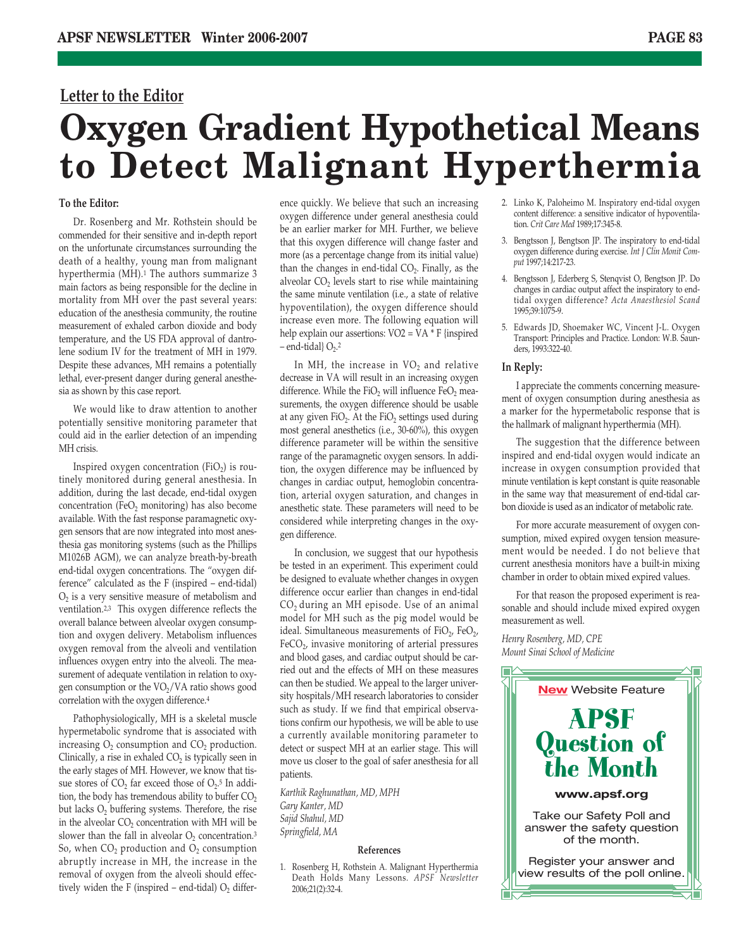## **Letter to the Editor**

## **Oxygen Gradient Hypothetical Means to Detect Malignant Hyperthermia**

## **To the Editor:**

Dr. Rosenberg and Mr. Rothstein should be commended for their sensitive and in-depth report on the unfortunate circumstances surrounding the death of a healthy, young man from malignant hyperthermia (MH).<sup>1</sup> The authors summarize 3 main factors as being responsible for the decline in mortality from MH over the past several years: education of the anesthesia community, the routine measurement of exhaled carbon dioxide and body temperature, and the US FDA approval of dantrolene sodium IV for the treatment of MH in 1979. Despite these advances, MH remains a potentially lethal, ever-present danger during general anesthesia as shown by this case report.

We would like to draw attention to another potentially sensitive monitoring parameter that could aid in the earlier detection of an impending MH crisis.

Inspired oxygen concentration (FiO<sub>2</sub>) is routinely monitored during general anesthesia. In addition, during the last decade, end-tidal oxygen concentration (FeO<sub>2</sub> monitoring) has also become available. With the fast response paramagnetic oxygen sensors that are now integrated into most anesthesia gas monitoring systems (such as the Phillips M1026B AGM), we can analyze breath-by-breath end-tidal oxygen concentrations. The "oxygen difference" calculated as the F (inspired – end-tidal)  $O<sub>2</sub>$  is a very sensitive measure of metabolism and ventilation.2,3 This oxygen difference reflects the overall balance between alveolar oxygen consumption and oxygen delivery. Metabolism influences oxygen removal from the alveoli and ventilation influences oxygen entry into the alveoli. The measurement of adequate ventilation in relation to oxygen consumption or the  $VO<sub>2</sub>/VA$  ratio shows good correlation with the oxygen difference.4

Pathophysiologically, MH is a skeletal muscle hypermetabolic syndrome that is associated with increasing  $O_2$  consumption and  $CO_2$  production. Clinically, a rise in exhaled  $CO<sub>2</sub>$  is typically seen in the early stages of MH. However, we know that tissue stores of  $CO<sub>2</sub>$  far exceed those of  $O<sub>2</sub>$ .<sup>5</sup> In addition, the body has tremendous ability to buffer  $CO<sub>2</sub>$ but lacks  $O_2$  buffering systems. Therefore, the rise in the alveolar  $CO<sub>2</sub>$  concentration with MH will be slower than the fall in alveolar  $O_2$  concentration.<sup>3</sup> So, when  $CO<sub>2</sub>$  production and  $O<sub>2</sub>$  consumption abruptly increase in MH, the increase in the removal of oxygen from the alveoli should effectively widen the F (inspired – end-tidal)  $O_2$  difference quickly. We believe that such an increasing oxygen difference under general anesthesia could be an earlier marker for MH. Further, we believe that this oxygen difference will change faster and more (as a percentage change from its initial value) than the changes in end-tidal  $CO<sub>2</sub>$ . Finally, as the alveolar CO<sub>2</sub> levels start to rise while maintaining the same minute ventilation (i.e., a state of relative hypoventilation), the oxygen difference should increase even more. The following equation will help explain our assertions: VO2 = VA \* F {inspired  $-$  end-tidal}  $O<sub>2</sub>$ .<sup>2</sup>

In MH, the increase in  $VO<sub>2</sub>$  and relative decrease in VA will result in an increasing oxygen difference. While the  $FiO<sub>2</sub>$  will influence  $FeO<sub>2</sub>$  measurements, the oxygen difference should be usable at any given FiO<sub>2</sub>. At the FiO<sub>2</sub> settings used during most general anesthetics (i.e., 30-60%), this oxygen difference parameter will be within the sensitive range of the paramagnetic oxygen sensors. In addition, the oxygen difference may be influenced by changes in cardiac output, hemoglobin concentration, arterial oxygen saturation, and changes in anesthetic state. These parameters will need to be considered while interpreting changes in the oxygen difference.

In conclusion, we suggest that our hypothesis be tested in an experiment. This experiment could be designed to evaluate whether changes in oxygen difference occur earlier than changes in end-tidal CO2 during an MH episode. Use of an animal model for MH such as the pig model would be ideal. Simultaneous measurements of  $FiO<sub>2</sub>$ ,  $FeO<sub>2</sub>$ ,  $FeCO<sub>2</sub>$  invasive monitoring of arterial pressures and blood gases, and cardiac output should be carried out and the effects of MH on these measures can then be studied. We appeal to the larger university hospitals/MH research laboratories to consider such as study. If we find that empirical observations confirm our hypothesis, we will be able to use a currently available monitoring parameter to detect or suspect MH at an earlier stage. This will move us closer to the goal of safer anesthesia for all patients.

*Karthik Raghunathan, MD, MPH Gary Kanter, MD Sajid Shahul, MD Springfield, MA*

### **References**

1. Rosenberg H, Rothstein A. Malignant Hyperthermia Death Holds Many Lessons. *APSF Newsletter* 2006;21(2):32-4.

- 2. Linko K, Paloheimo M. Inspiratory end-tidal oxygen content difference: a sensitive indicator of hypoventilation. *Crit Care Med* 1989;17:345-8.
- 3. Bengtsson J, Bengtson JP. The inspiratory to end-tidal oxygen difference during exercise. *Int J Clin Monit Comput* 1997;14:217-23.
- 4. Bengtsson J, Ederberg S, Stenqvist O, Bengtson JP. Do changes in cardiac output affect the inspiratory to endtidal oxygen difference? *Acta Anaesthesiol Scand* 1995;39:1075-9.
- 5. Edwards JD, Shoemaker WC, Vincent J-L. Oxygen Transport: Principles and Practice. London: W.B. Saunders, 1993:322-40.

## **In Reply:**

I appreciate the comments concerning measurement of oxygen consumption during anesthesia as a marker for the hypermetabolic response that is the hallmark of malignant hyperthermia (MH).

The suggestion that the difference between inspired and end-tidal oxygen would indicate an increase in oxygen consumption provided that minute ventilation is kept constant is quite reasonable in the same way that measurement of end-tidal carbon dioxide is used as an indicator of metabolic rate.

For more accurate measurement of oxygen consumption, mixed expired oxygen tension measurement would be needed. I do not believe that current anesthesia monitors have a built-in mixing chamber in order to obtain mixed expired values.

For that reason the proposed experiment is reasonable and should include mixed expired oxygen measurement as well.

*Henry Rosenberg, MD, CPE Mount Sinai School of Medicine*

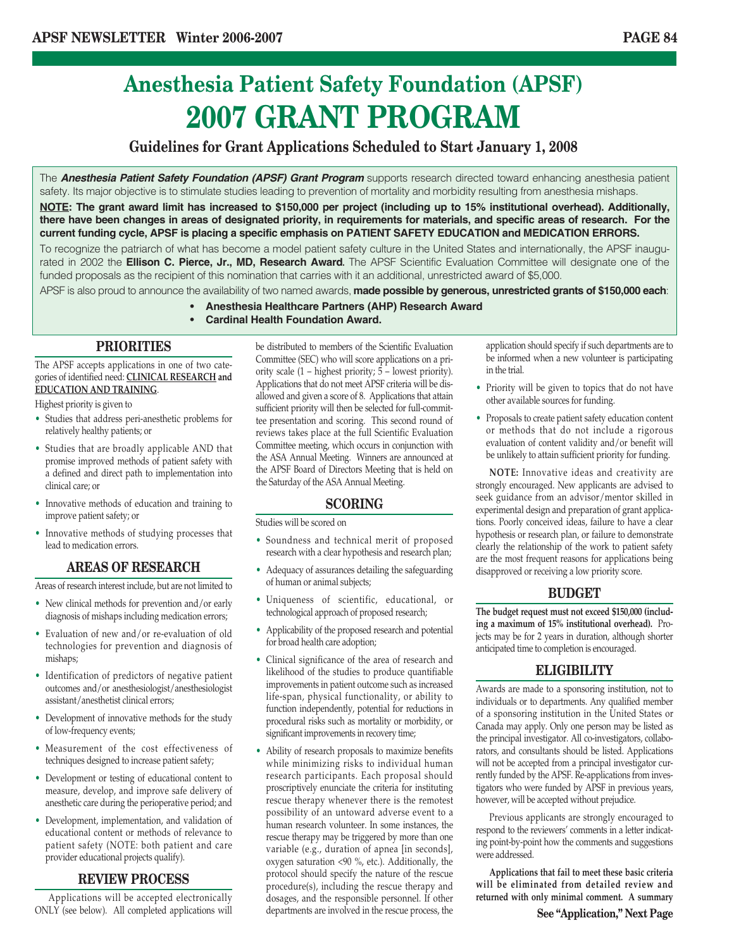## **Anesthesia Patient Safety Foundation (APSF) 2007 GRANT PROGRAM**

## **Guidelines for Grant Applications Scheduled to Start January 1, 2008**

The *Anesthesia Patient Safety Foundation (APSF) Grant Program* supports research directed toward enhancing anesthesia patient safety. Its major objective is to stimulate studies leading to prevention of mortality and morbidity resulting from anesthesia mishaps.

**NOTE: The grant award limit has increased to \$150,000 per project (including up to 15% institutional overhead). Additionally, there have been changes in areas of designated priority, in requirements for materials, and specific areas of research. For the current funding cycle, APSF is placing a specific emphasis on PATIENT SAFETY EDUCATION and MEDICATION ERRORS.**

To recognize the patriarch of what has become a model patient safety culture in the United States and internationally, the APSF inaugurated in 2002 the **Ellison C. Pierce, Jr., MD, Research Award.** The APSF Scientific Evaluation Committee will designate one of the funded proposals as the recipient of this nomination that carries with it an additional, unrestricted award of \$5,000.

APSF is also proud to announce the availability of two named awards, **made possible by generous, unrestricted grants of \$150,000 each**:

- **Anesthesia Healthcare Partners (AHP) Research Award**
- **Cardinal Health Foundation Award.**

## **PRIORITIES**

The APSF accepts applications in one of two categories of identified need: **CLINICAL RESEARCH and EDUCATION AND TRAINING**.

Highest priority is given to

- Studies that address peri-anesthetic problems for relatively healthy patients; or
- Studies that are broadly applicable AND that promise improved methods of patient safety with a defined and direct path to implementation into clinical care; or
- Innovative methods of education and training to improve patient safety; or
- Innovative methods of studying processes that lead to medication errors.

## **AREAS OF RESEARCH**

Areas of research interest include, but are not limited to

- New clinical methods for prevention and/or early diagnosis of mishaps including medication errors;
- Evaluation of new and/or re-evaluation of old technologies for prevention and diagnosis of mishaps;
- Identification of predictors of negative patient outcomes and/or anesthesiologist/anesthesiologist assistant/anesthetist clinical errors;
- Development of innovative methods for the study of low-frequency events;
- Measurement of the cost effectiveness of techniques designed to increase patient safety;
- Development or testing of educational content to measure, develop, and improve safe delivery of anesthetic care during the perioperative period; and
- Development, implementation, and validation of educational content or methods of relevance to patient safety (NOTE: both patient and care provider educational projects qualify).

## **REVIEW PROCESS**

Applications will be accepted electronically ONLY (see below). All completed applications will be distributed to members of the Scientific Evaluation Committee (SEC) who will score applications on a priority scale  $(1 -$  highest priority;  $5 -$  lowest priority). Applications that do not meet APSF criteria will be disallowed and given a score of 8. Applications that attain sufficient priority will then be selected for full-committee presentation and scoring. This second round of reviews takes place at the full Scientific Evaluation Committee meeting, which occurs in conjunction with the ASA Annual Meeting. Winners are announced at the APSF Board of Directors Meeting that is held on the Saturday of the ASA Annual Meeting.

## **SCORING**

Studies will be scored on

- Soundness and technical merit of proposed research with a clear hypothesis and research plan;
- Adequacy of assurances detailing the safeguarding of human or animal subjects;
- Uniqueness of scientific, educational, or technological approach of proposed research;
- Applicability of the proposed research and potential for broad health care adoption;
- Clinical significance of the area of research and likelihood of the studies to produce quantifiable improvements in patient outcome such as increased life-span, physical functionality, or ability to function independently, potential for reductions in procedural risks such as mortality or morbidity, or significant improvements in recovery time;
- Ability of research proposals to maximize benefits while minimizing risks to individual human research participants. Each proposal should proscriptively enunciate the criteria for instituting rescue therapy whenever there is the remotest possibility of an untoward adverse event to a human research volunteer. In some instances, the rescue therapy may be triggered by more than one variable (e.g., duration of apnea [in seconds], oxygen saturation <90 %, etc.). Additionally, the protocol should specify the nature of the rescue procedure(s), including the rescue therapy and dosages, and the responsible personnel. If other departments are involved in the rescue process, the

application should specify if such departments are to be informed when a new volunteer is participating in the trial.

- Priority will be given to topics that do not have other available sources for funding.
- Proposals to create patient safety education content or methods that do not include a rigorous evaluation of content validity and/or benefit will be unlikely to attain sufficient priority for funding.

**NOTE:** Innovative ideas and creativity are strongly encouraged. New applicants are advised to seek guidance from an advisor/mentor skilled in experimental design and preparation of grant applications. Poorly conceived ideas, failure to have a clear hypothesis or research plan, or failure to demonstrate clearly the relationship of the work to patient safety are the most frequent reasons for applications being disapproved or receiving a low priority score.

## **BUDGET**

**The budget request must not exceed \$150,000 (including a maximum of 15% institutional overhead).** Projects may be for 2 years in duration, although shorter anticipated time to completion is encouraged.

## **ELIGIBILITY**

Awards are made to a sponsoring institution, not to individuals or to departments. Any qualified member of a sponsoring institution in the United States or Canada may apply. Only one person may be listed as the principal investigator. All co-investigators, collaborators, and consultants should be listed. Applications will not be accepted from a principal investigator currently funded by the APSF. Re-applications from investigators who were funded by APSF in previous years, however, will be accepted without prejudice.

Previous applicants are strongly encouraged to respond to the reviewers' comments in a letter indicating point-by-point how the comments and suggestions were addressed.

**Applications that fail to meet these basic criteria will be eliminated from detailed review and returned with only minimal comment. A summary**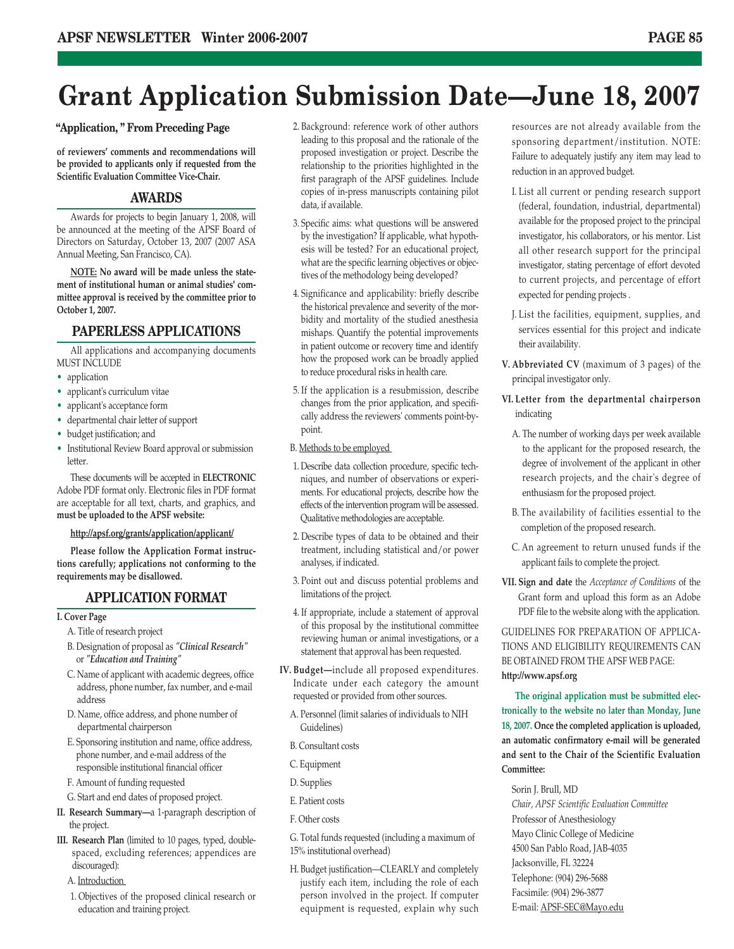## **Grant Application Submission Date—June 18, 2007**

## **"Application, " From Preceding Page**

**of reviewers' comments and recommendations will be provided to applicants only if requested from the Scientific Evaluation Committee Vice-Chair.**

## **AWARDS**

Awards for projects to begin January 1, 2008, will be announced at the meeting of the APSF Board of Directors on Saturday, October 13, 2007 (2007 ASA Annual Meeting, San Francisco, CA).

**NOTE: No award will be made unless the statement of institutional human or animal studies' committee approval is received by the committee prior to October 1, 2007.**

## **PAPERLESS APPLICATIONS**

All applications and accompanying documents MUST INCLUDE

- application
- applicant's curriculum vitae
- applicant's acceptance form
- departmental chair letter of support
- budget justification; and
- Institutional Review Board approval or submission letter.

These documents will be accepted in **ELECTRONIC** Adobe PDF format only. Electronic files in PDF format are acceptable for all text, charts, and graphics, and **must be uploaded to the APSF website:** 

## **http://apsf.org/grants/application/applicant/**

**Please follow the Application Format instructions carefully; applications not conforming to the requirements may be disallowed.**

## **APPLICATION FORMAT**

### **I. Cover Page**

- A. Title of research project
- B. Designation of proposal as *"Clinical Research"* or *"Education and Training"*
- C. Name of applicant with academic degrees, office address, phone number, fax number, and e-mail address
- D. Name, office address, and phone number of departmental chairperson
- E. Sponsoring institution and name, office address, phone number, and e-mail address of the responsible institutional financial officer
- F. Amount of funding requested
- G. Start and end dates of proposed project.
- **II. Research Summary—**a 1-paragraph description of the project.
- **III. Research Plan** (limited to 10 pages, typed, doublespaced, excluding references; appendices are discouraged):
	- A. Introduction
	- 1. Objectives of the proposed clinical research or education and training project.
- 2. Background: reference work of other authors leading to this proposal and the rationale of the proposed investigation or project. Describe the relationship to the priorities highlighted in the first paragraph of the APSF guidelines. Include copies of in-press manuscripts containing pilot data, if available.
- 3. Specific aims: what questions will be answered by the investigation? If applicable, what hypothesis will be tested? For an educational project, what are the specific learning objectives or objectives of the methodology being developed?
- 4. Significance and applicability: briefly describe the historical prevalence and severity of the morbidity and mortality of the studied anesthesia mishaps. Quantify the potential improvements in patient outcome or recovery time and identify how the proposed work can be broadly applied to reduce procedural risks in health care.
- 5. If the application is a resubmission, describe changes from the prior application, and specifically address the reviewers' comments point-bypoint.
- B. Methods to be employed
- 1. Describe data collection procedure, specific techniques, and number of observations or experiments. For educational projects, describe how the effects of the intervention program will be assessed. Qualitative methodologies are acceptable.
- 2. Describe types of data to be obtained and their treatment, including statistical and/or power analyses, if indicated.
- 3. Point out and discuss potential problems and limitations of the project.
- 4. If appropriate, include a statement of approval of this proposal by the institutional committee reviewing human or animal investigations, or a statement that approval has been requested.
- **IV. Budget—**include all proposed expenditures. Indicate under each category the amount requested or provided from other sources.
	- A. Personnel (limit salaries of individuals to NIH Guidelines)
	- B. Consultant costs
	- C. Equipment
	- D. Supplies
	- E. Patient costs
	- F. Other costs

G. Total funds requested (including a maximum of 15% institutional overhead)

H. Budget justification—CLEARLY and completely justify each item, including the role of each person involved in the project. If computer equipment is requested, explain why such resources are not already available from the sponsoring department/institution. NOTE: Failure to adequately justify any item may lead to reduction in an approved budget.

- I. List all current or pending research support (federal, foundation, industrial, departmental) available for the proposed project to the principal investigator, his collaborators, or his mentor. List all other research support for the principal investigator, stating percentage of effort devoted to current projects, and percentage of effort expected for pending projects .
- J. List the facilities, equipment, supplies, and services essential for this project and indicate their availability.
- **V. Abbreviated CV** (maximum of 3 pages) of the principal investigator only.
- **VI. Letter from the departmental chairperson** indicating
	- A. The number of working days per week available to the applicant for the proposed research, the degree of involvement of the applicant in other research projects, and the chair's degree of enthusiasm for the proposed project.
	- B. The availability of facilities essential to the completion of the proposed research.
	- C. An agreement to return unused funds if the applicant fails to complete the project.
- **VII. Sign and date** the *Acceptance of Conditions* of the Grant form and upload this form as an Adobe PDF file to the website along with the application.

GUIDELINES FOR PREPARATION OF APPLICA-TIONS AND ELIGIBILITY REQUIREMENTS CAN BE OBTAINED FROM THE APSF WEB PAGE: **http://www.apsf.org**

**The original application must be submitted electronically to the website no later than Monday, June 18, 2007. Once the completed application is uploaded, an automatic confirmatory e-mail will be generated and sent to the Chair of the Scientific Evaluation Committee:** 

Sorin J. Brull, MD *Chair, APSF Scientific Evaluation Committee* Professor of Anesthesiology Mayo Clinic College of Medicine 4500 San Pablo Road, JAB-4035 Jacksonville, FL 32224 Telephone: (904) 296-5688 Facsimile: (904) 296-3877 E-mail: APSF-SEC@Mayo.edu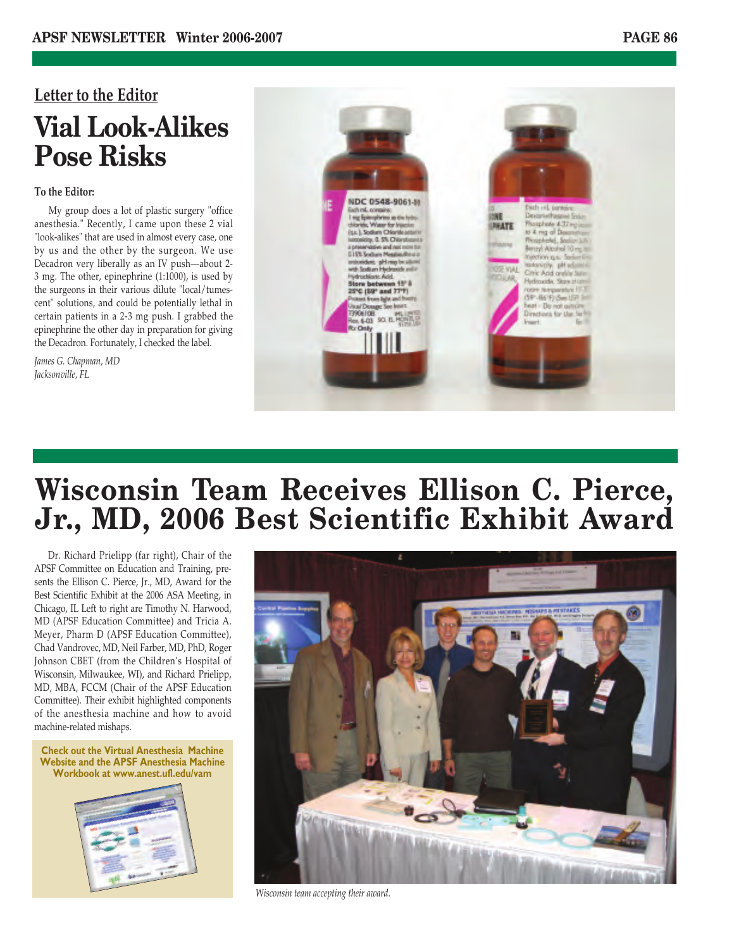## **Letter to the Editor Vial Look-Alikes Pose Risks**

## **To the Editor:**

My group does a lot of plastic surgery "office anesthesia." Recently, I came upon these 2 vial "look-alikes" that are used in almost every case, one by us and the other by the surgeon. We use Decadron very liberally as an IV push—about 2- 3 mg. The other, epinephrine (1:1000), is used by the surgeons in their various dilute "local/tumescent" solutions, and could be potentially lethal in certain patients in a 2-3 mg push. I grabbed the epinephrine the other day in preparation for giving the Decadron. Fortunately, I checked the label.

*James G. Chapman, MD Jacksonville, FL*



## **Wisconsin Team Receives Ellison C. Pierce, Jr., MD, 2006 Best Scientific Exhibit Award**

Dr. Richard Prielipp (far right), Chair of the APSF Committee on Education and Training, presents the Ellison C. Pierce, Jr., MD, Award for the Best Scientific Exhibit at the 2006 ASA Meeting, in Chicago, IL Left to right are Timothy N. Harwood, MD (APSF Education Committee) and Tricia A. Meyer, Pharm D (APSF Education Committee), Chad Vandrovec, MD, Neil Farber, MD, PhD, Roger Johnson CBET (from the Children's Hospital of Wisconsin, Milwaukee, WI), and Richard Prielipp, MD, MBA, FCCM (Chair of the APSF Education Committee). Their exhibit highlighted components of the anesthesia machine and how to avoid machine-related mishaps.





*Wisconsin team accepting their award.*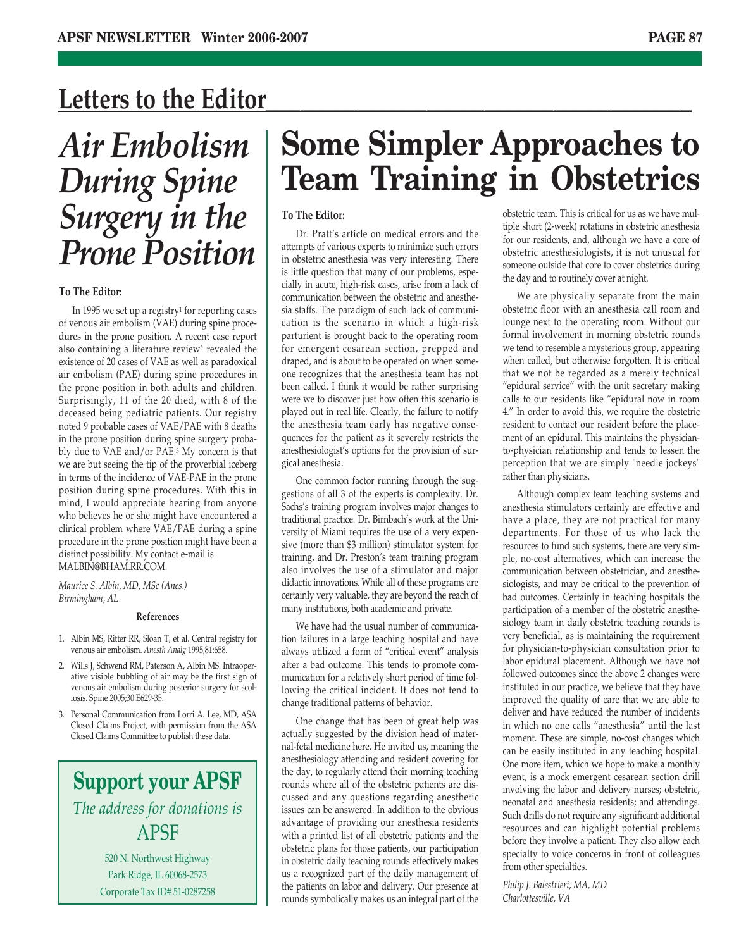## Letters to the Editor

*Air Embolism During Spine Surgery in the Prone Position*

## **To The Editor:**

In 1995 we set up a registry1 for reporting cases of venous air embolism (VAE) during spine procedures in the prone position. A recent case report also containing a literature review<sup>2</sup> revealed the existence of 20 cases of VAE as well as paradoxical air embolism (PAE) during spine procedures in the prone position in both adults and children. Surprisingly, 11 of the 20 died, with 8 of the deceased being pediatric patients. Our registry noted 9 probable cases of VAE/PAE with 8 deaths in the prone position during spine surgery probably due to VAE and/or PAE.3 My concern is that we are but seeing the tip of the proverbial iceberg in terms of the incidence of VAE-PAE in the prone position during spine procedures. With this in mind, I would appreciate hearing from anyone who believes he or she might have encountered a clinical problem where VAE/PAE during a spine procedure in the prone position might have been a distinct possibility. My contact e-mail is MALBIN@BHAM.RR.COM.

*Maurice S. Albin, MD, MSc (Anes.) Birmingham, AL*

### **References**

- 1. Albin MS, Ritter RR, Sloan T, et al. Central registry for venous air embolism. *Anesth Analg* 1995;81:658.
- 2. Wills J, Schwend RM, Paterson A, Albin MS. Intraoperative visible bubbling of air may be the first sign of venous air embolism during posterior surgery for scoliosis. Spine 2005;30:E629-35.
- 3. Personal Communication from Lorri A. Lee, MD, ASA Closed Claims Project, with permission from the ASA Closed Claims Committee to publish these data.

## **Support your APSF** *The address for donations is* APSF

520 N. Northwest Highway Park Ridge, IL 60068-2573 Corporate Tax ID# 51-0287258

## **Some Simpler Approaches to Team Training in Obstetrics**

## **To The Editor:**

Dr. Pratt's article on medical errors and the attempts of various experts to minimize such errors in obstetric anesthesia was very interesting. There is little question that many of our problems, especially in acute, high-risk cases, arise from a lack of communication between the obstetric and anesthesia staffs. The paradigm of such lack of communication is the scenario in which a high-risk parturient is brought back to the operating room for emergent cesarean section, prepped and draped, and is about to be operated on when someone recognizes that the anesthesia team has not been called. I think it would be rather surprising were we to discover just how often this scenario is played out in real life. Clearly, the failure to notify the anesthesia team early has negative consequences for the patient as it severely restricts the anesthesiologist's options for the provision of surgical anesthesia.

One common factor running through the suggestions of all 3 of the experts is complexity. Dr. Sachs's training program involves major changes to traditional practice. Dr. Birnbach's work at the University of Miami requires the use of a very expensive (more than \$3 million) stimulator system for training, and Dr. Preston's team training program also involves the use of a stimulator and major didactic innovations. While all of these programs are certainly very valuable, they are beyond the reach of many institutions, both academic and private.

We have had the usual number of communication failures in a large teaching hospital and have always utilized a form of "critical event" analysis after a bad outcome. This tends to promote communication for a relatively short period of time following the critical incident. It does not tend to change traditional patterns of behavior.

One change that has been of great help was actually suggested by the division head of maternal-fetal medicine here. He invited us, meaning the anesthesiology attending and resident covering for the day, to regularly attend their morning teaching rounds where all of the obstetric patients are discussed and any questions regarding anesthetic issues can be answered. In addition to the obvious advantage of providing our anesthesia residents with a printed list of all obstetric patients and the obstetric plans for those patients, our participation in obstetric daily teaching rounds effectively makes us a recognized part of the daily management of the patients on labor and delivery. Our presence at rounds symbolically makes us an integral part of the obstetric team. This is critical for us as we have multiple short (2-week) rotations in obstetric anesthesia for our residents, and, although we have a core of obstetric anesthesiologists, it is not unusual for someone outside that core to cover obstetrics during the day and to routinely cover at night.

We are physically separate from the main obstetric floor with an anesthesia call room and lounge next to the operating room. Without our formal involvement in morning obstetric rounds we tend to resemble a mysterious group, appearing when called, but otherwise forgotten. It is critical that we not be regarded as a merely technical "epidural service" with the unit secretary making calls to our residents like "epidural now in room 4." In order to avoid this, we require the obstetric resident to contact our resident before the placement of an epidural. This maintains the physicianto-physician relationship and tends to lessen the perception that we are simply "needle jockeys" rather than physicians.

Although complex team teaching systems and anesthesia stimulators certainly are effective and have a place, they are not practical for many departments. For those of us who lack the resources to fund such systems, there are very simple, no-cost alternatives, which can increase the communication between obstetrician, and anesthesiologists, and may be critical to the prevention of bad outcomes. Certainly in teaching hospitals the participation of a member of the obstetric anesthesiology team in daily obstetric teaching rounds is very beneficial, as is maintaining the requirement for physician-to-physician consultation prior to labor epidural placement. Although we have not followed outcomes since the above 2 changes were instituted in our practice, we believe that they have improved the quality of care that we are able to deliver and have reduced the number of incidents in which no one calls "anesthesia" until the last moment. These are simple, no-cost changes which can be easily instituted in any teaching hospital. One more item, which we hope to make a monthly event, is a mock emergent cesarean section drill involving the labor and delivery nurses; obstetric, neonatal and anesthesia residents; and attendings. Such drills do not require any significant additional resources and can highlight potential problems before they involve a patient. They also allow each specialty to voice concerns in front of colleagues from other specialties.

*Philip J. Balestrieri, MA, MD Charlottesville, VA*